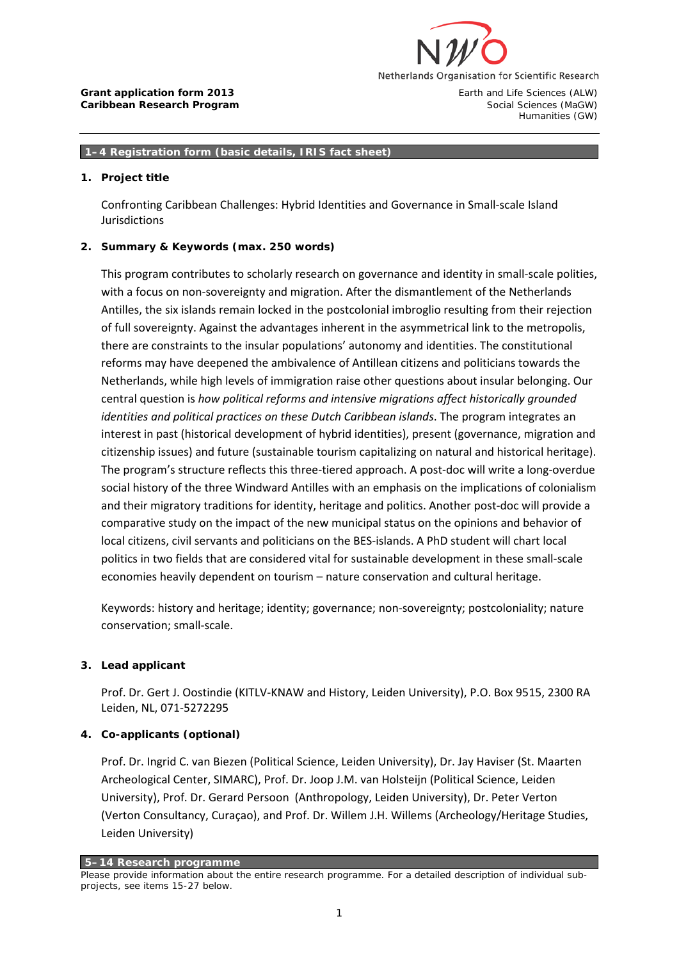

#### **1–4 Registration form (basic details, IRIS fact sheet)**

#### **1. Project title**

Confronting Caribbean Challenges: Hybrid Identities and Governance in Small-scale Island Jurisdictions

### **2. Summary & Keywords (max. 250 words)**

This program contributes to scholarly research on governance and identity in small-scale polities, with a focus on non-sovereignty and migration. After the dismantlement of the Netherlands Antilles, the six islands remain locked in the postcolonial imbroglio resulting from their rejection of full sovereignty. Against the advantages inherent in the asymmetrical link to the metropolis, there are constraints to the insular populations' autonomy and identities. The constitutional reforms may have deepened the ambivalence of Antillean citizens and politicians towards the Netherlands, while high levels of immigration raise other questions about insular belonging. Our central question is *how political reforms and intensive migrations affect historically grounded identities and political practices on these Dutch Caribbean islands*. The program integrates an interest in past (historical development of hybrid identities), present (governance, migration and citizenship issues) and future (sustainable tourism capitalizing on natural and historical heritage). The program's structure reflects this three-tiered approach. A post-doc will write a long-overdue social history of the three Windward Antilles with an emphasis on the implications of colonialism and their migratory traditions for identity, heritage and politics. Another post-doc will provide a comparative study on the impact of the new municipal status on the opinions and behavior of local citizens, civil servants and politicians on the BES-islands. A PhD student will chart local politics in two fields that are considered vital for sustainable development in these small-scale economies heavily dependent on tourism – nature conservation and cultural heritage.

Keywords: history and heritage; identity; governance; non-sovereignty; postcoloniality; nature conservation; small-scale.

### **3. Lead applicant**

Prof. Dr. Gert J. Oostindie (KITLV-KNAW and History, Leiden University), P.O. Box 9515, 2300 RA Leiden, NL, 071-5272295

### **4. Co-applicants (optional)**

Prof. Dr. Ingrid C. van Biezen (Political Science, Leiden University), Dr. Jay Haviser (St. Maarten Archeological Center, SIMARC), Prof. Dr. Joop J.M. van Holsteijn (Political Science, Leiden University), Prof. Dr. Gerard Persoon (Anthropology, Leiden University), Dr. Peter Verton (Verton Consultancy, Curaçao), and Prof. Dr. Willem J.H. Willems (Archeology/Heritage Studies, Leiden University)

**5–14 Research programme**

*Please provide information about the entire research programme. For a detailed description of individual subprojects, see items 15-27 below.*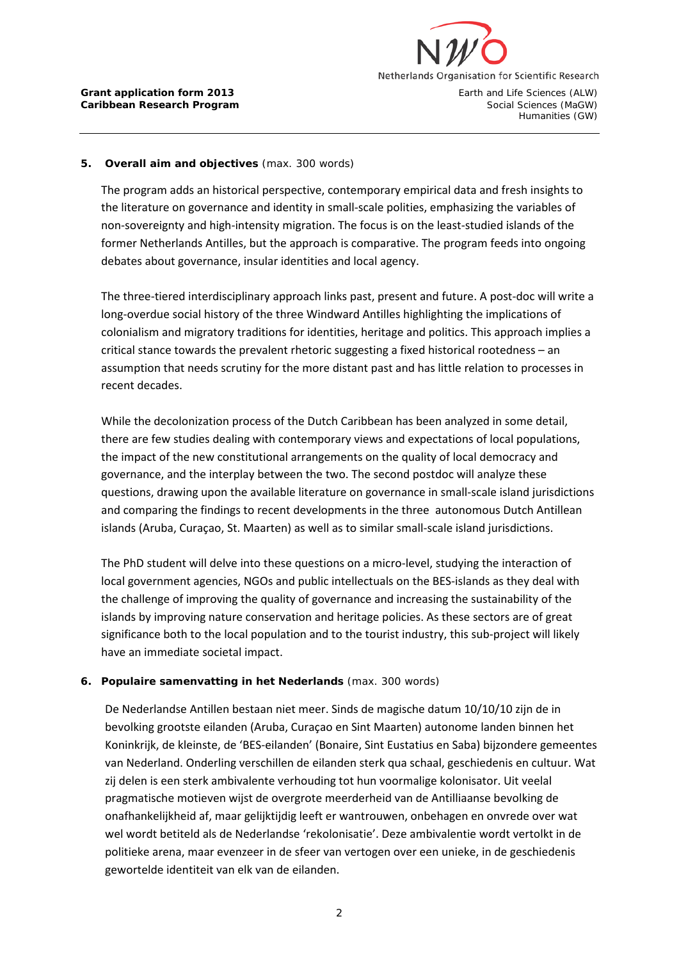

### **5. Overall aim and objectives** (max. 300 words)

The program adds an historical perspective, contemporary empirical data and fresh insights to the literature on governance and identity in small-scale polities, emphasizing the variables of non-sovereignty and high-intensity migration. The focus is on the least-studied islands of the former Netherlands Antilles, but the approach is comparative. The program feeds into ongoing debates about governance, insular identities and local agency.

The three-tiered interdisciplinary approach links past, present and future. A post-doc will write a long-overdue social history of the three Windward Antilles highlighting the implications of colonialism and migratory traditions for identities, heritage and politics. This approach implies a critical stance towards the prevalent rhetoric suggesting a fixed historical rootedness – an assumption that needs scrutiny for the more distant past and has little relation to processes in recent decades.

While the decolonization process of the Dutch Caribbean has been analyzed in some detail, there are few studies dealing with contemporary views and expectations of local populations, the impact of the new constitutional arrangements on the quality of local democracy and governance, and the interplay between the two. The second postdoc will analyze these questions, drawing upon the available literature on governance in small-scale island jurisdictions and comparing the findings to recent developments in the three autonomous Dutch Antillean islands (Aruba, Curaçao, St. Maarten) as well as to similar small-scale island jurisdictions.

The PhD student will delve into these questions on a micro-level, studying the interaction of local government agencies, NGOs and public intellectuals on the BES-islands as they deal with the challenge of improving the quality of governance and increasing the sustainability of the islands by improving nature conservation and heritage policies. As these sectors are of great significance both to the local population and to the tourist industry, this sub-project will likely have an immediate societal impact.

### **6. Populaire samenvatting in het Nederlands** (max. 300 words)

De Nederlandse Antillen bestaan niet meer. Sinds de magische datum 10/10/10 zijn de in bevolking grootste eilanden (Aruba, Curaçao en Sint Maarten) autonome landen binnen het Koninkrijk, de kleinste, de 'BES-eilanden' (Bonaire, Sint Eustatius en Saba) bijzondere gemeentes van Nederland. Onderling verschillen de eilanden sterk qua schaal, geschiedenis en cultuur. Wat zij delen is een sterk ambivalente verhouding tot hun voormalige kolonisator. Uit veelal pragmatische motieven wijst de overgrote meerderheid van de Antilliaanse bevolking de onafhankelijkheid af, maar gelijktijdig leeft er wantrouwen, onbehagen en onvrede over wat wel wordt betiteld als de Nederlandse 'rekolonisatie'. Deze ambivalentie wordt vertolkt in de politieke arena, maar evenzeer in de sfeer van vertogen over een unieke, in de geschiedenis gewortelde identiteit van elk van de eilanden.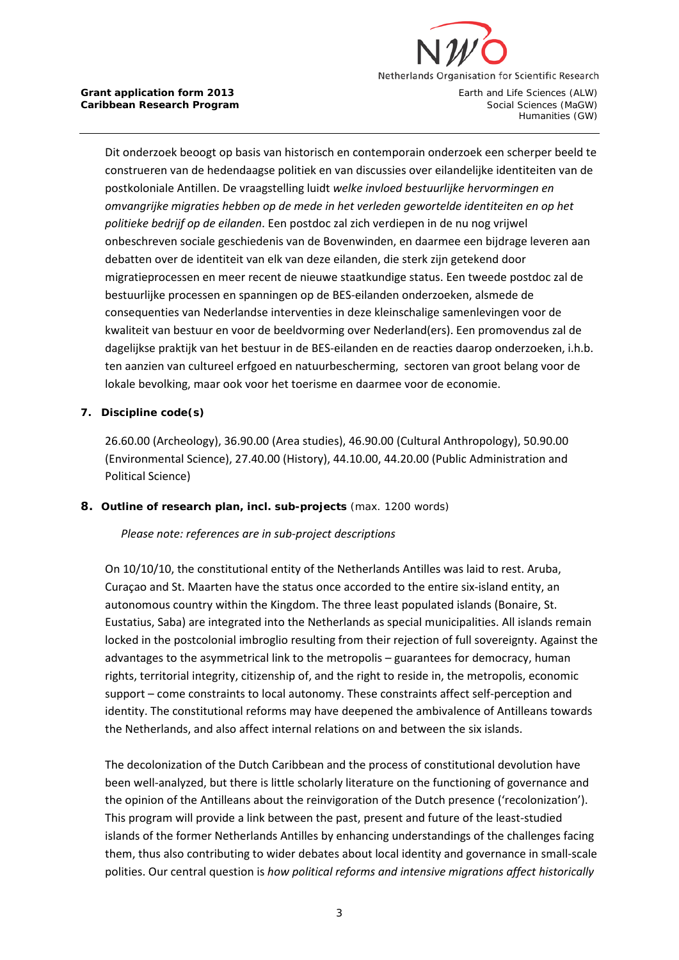

Dit onderzoek beoogt op basis van historisch en contemporain onderzoek een scherper beeld te construeren van de hedendaagse politiek en van discussies over eilandelijke identiteiten van de postkoloniale Antillen. De vraagstelling luidt *welke invloed bestuurlijke hervormingen en omvangrijke migraties hebben op de mede in het verleden gewortelde identiteiten en op het politieke bedrijf op de eilanden*. Een postdoc zal zich verdiepen in de nu nog vrijwel onbeschreven sociale geschiedenis van de Bovenwinden, en daarmee een bijdrage leveren aan debatten over de identiteit van elk van deze eilanden, die sterk zijn getekend door migratieprocessen en meer recent de nieuwe staatkundige status. Een tweede postdoc zal de bestuurlijke processen en spanningen op de BES-eilanden onderzoeken, alsmede de consequenties van Nederlandse interventies in deze kleinschalige samenlevingen voor de kwaliteit van bestuur en voor de beeldvorming over Nederland(ers). Een promovendus zal de dagelijkse praktijk van het bestuur in de BES-eilanden en de reacties daarop onderzoeken, i.h.b. ten aanzien van cultureel erfgoed en natuurbescherming, sectoren van groot belang voor de lokale bevolking, maar ook voor het toerisme en daarmee voor de economie.

### **7. Discipline code(s)**

26.60.00 (Archeology), 36.90.00 (Area studies), 46.90.00 (Cultural Anthropology), 50.90.00 (Environmental Science), 27.40.00 (History), 44.10.00, 44.20.00 (Public Administration and Political Science)

### **8. Outline of research plan, incl. sub-projects** (max. 1200 words)

*Please note: references are in sub-project descriptions*

On 10/10/10, the constitutional entity of the Netherlands Antilles was laid to rest. Aruba, Curaçao and St. Maarten have the status once accorded to the entire six-island entity, an autonomous country within the Kingdom. The three least populated islands (Bonaire, St. Eustatius, Saba) are integrated into the Netherlands as special municipalities. All islands remain locked in the postcolonial imbroglio resulting from their rejection of full sovereignty. Against the advantages to the asymmetrical link to the metropolis – guarantees for democracy, human rights, territorial integrity, citizenship of, and the right to reside in, the metropolis, economic support – come constraints to local autonomy. These constraints affect self-perception and identity. The constitutional reforms may have deepened the ambivalence of Antilleans towards the Netherlands, and also affect internal relations on and between the six islands.

The decolonization of the Dutch Caribbean and the process of constitutional devolution have been well-analyzed, but there is little scholarly literature on the functioning of governance and the opinion of the Antilleans about the reinvigoration of the Dutch presence ('recolonization'). This program will provide a link between the past, present and future of the least-studied islands of the former Netherlands Antilles by enhancing understandings of the challenges facing them, thus also contributing to wider debates about local identity and governance in small-scale polities. Our central question is *how political reforms and intensive migrations affect historically*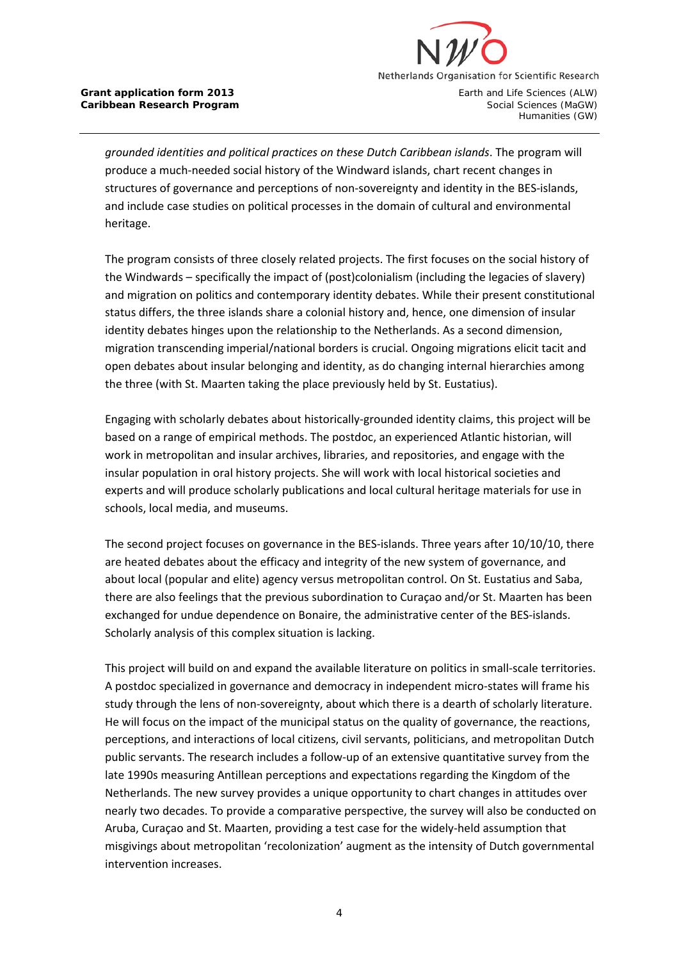

Humanities (GW)

*grounded identities and political practices on these Dutch Caribbean islands*. The program will produce a much-needed social history of the Windward islands, chart recent changes in structures of governance and perceptions of non-sovereignty and identity in the BES-islands, and include case studies on political processes in the domain of cultural and environmental heritage.

The program consists of three closely related projects. The first focuses on the social history of the Windwards – specifically the impact of (post)colonialism (including the legacies of slavery) and migration on politics and contemporary identity debates. While their present constitutional status differs, the three islands share a colonial history and, hence, one dimension of insular identity debates hinges upon the relationship to the Netherlands. As a second dimension, migration transcending imperial/national borders is crucial. Ongoing migrations elicit tacit and open debates about insular belonging and identity, as do changing internal hierarchies among the three (with St. Maarten taking the place previously held by St. Eustatius).

Engaging with scholarly debates about historically-grounded identity claims, this project will be based on a range of empirical methods. The postdoc, an experienced Atlantic historian, will work in metropolitan and insular archives, libraries, and repositories, and engage with the insular population in oral history projects. She will work with local historical societies and experts and will produce scholarly publications and local cultural heritage materials for use in schools, local media, and museums.

The second project focuses on governance in the BES-islands. Three years after 10/10/10, there are heated debates about the efficacy and integrity of the new system of governance, and about local (popular and elite) agency versus metropolitan control. On St. Eustatius and Saba, there are also feelings that the previous subordination to Curaçao and/or St. Maarten has been exchanged for undue dependence on Bonaire, the administrative center of the BES-islands. Scholarly analysis of this complex situation is lacking.

This project will build on and expand the available literature on politics in small-scale territories. A postdoc specialized in governance and democracy in independent micro-states will frame his study through the lens of non-sovereignty, about which there is a dearth of scholarly literature. He will focus on the impact of the municipal status on the quality of governance, the reactions, perceptions, and interactions of local citizens, civil servants, politicians, and metropolitan Dutch public servants. The research includes a follow-up of an extensive quantitative survey from the late 1990s measuring Antillean perceptions and expectations regarding the Kingdom of the Netherlands. The new survey provides a unique opportunity to chart changes in attitudes over nearly two decades. To provide a comparative perspective, the survey will also be conducted on Aruba, Curaçao and St. Maarten, providing a test case for the widely-held assumption that misgivings about metropolitan 'recolonization' augment as the intensity of Dutch governmental intervention increases.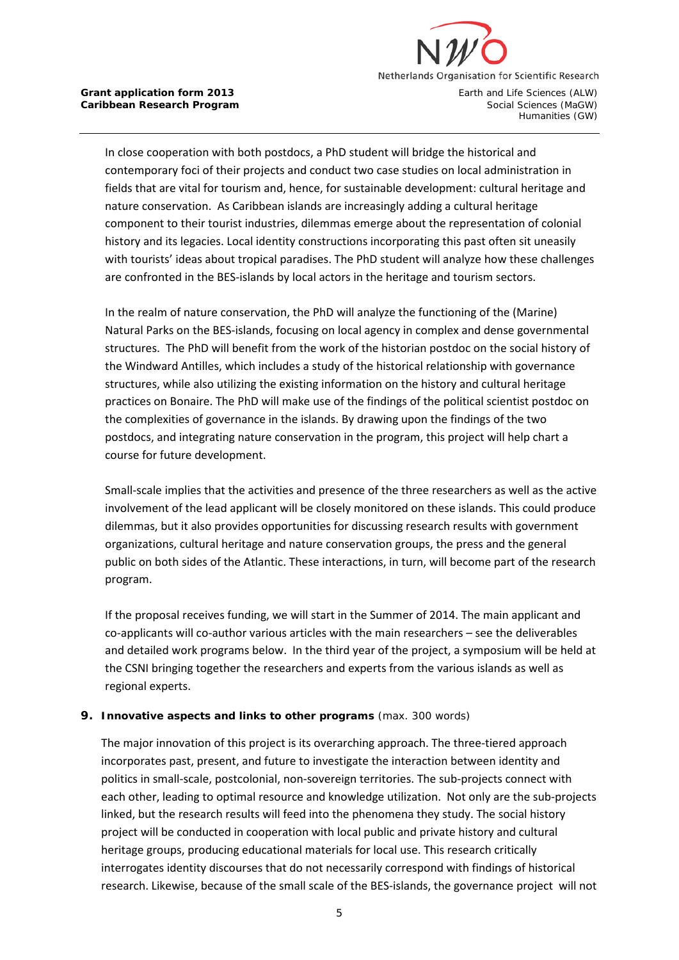

In close cooperation with both postdocs, a PhD student will bridge the historical and contemporary foci of their projects and conduct two case studies on local administration in fields that are vital for tourism and, hence, for sustainable development: cultural heritage and nature conservation. As Caribbean islands are increasingly adding a cultural heritage component to their tourist industries, dilemmas emerge about the representation of colonial history and its legacies. Local identity constructions incorporating this past often sit uneasily with tourists' ideas about tropical paradises. The PhD student will analyze how these challenges are confronted in the BES-islands by local actors in the heritage and tourism sectors.

In the realm of nature conservation, the PhD will analyze the functioning of the (Marine) Natural Parks on the BES-islands, focusing on local agency in complex and dense governmental structures. The PhD will benefit from the work of the historian postdoc on the social history of the Windward Antilles, which includes a study of the historical relationship with governance structures, while also utilizing the existing information on the history and cultural heritage practices on Bonaire. The PhD will make use of the findings of the political scientist postdoc on the complexities of governance in the islands. By drawing upon the findings of the two postdocs, and integrating nature conservation in the program, this project will help chart a course for future development.

Small-scale implies that the activities and presence of the three researchers as well as the active involvement of the lead applicant will be closely monitored on these islands. This could produce dilemmas, but it also provides opportunities for discussing research results with government organizations, cultural heritage and nature conservation groups, the press and the general public on both sides of the Atlantic. These interactions, in turn, will become part of the research program.

If the proposal receives funding, we will start in the Summer of 2014. The main applicant and co-applicants will co-author various articles with the main researchers – see the deliverables and detailed work programs below. In the third year of the project, a symposium will be held at the CSNI bringing together the researchers and experts from the various islands as well as regional experts.

### **9. Innovative aspects and links to other programs** (max. 300 words)

The major innovation of this project is its overarching approach. The three-tiered approach incorporates past, present, and future to investigate the interaction between identity and politics in small-scale, postcolonial, non-sovereign territories. The sub-projects connect with each other, leading to optimal resource and knowledge utilization. Not only are the sub-projects linked, but the research results will feed into the phenomena they study. The social history project will be conducted in cooperation with local public and private history and cultural heritage groups, producing educational materials for local use. This research critically interrogates identity discourses that do not necessarily correspond with findings of historical research. Likewise, because of the small scale of the BES-islands, the governance project will not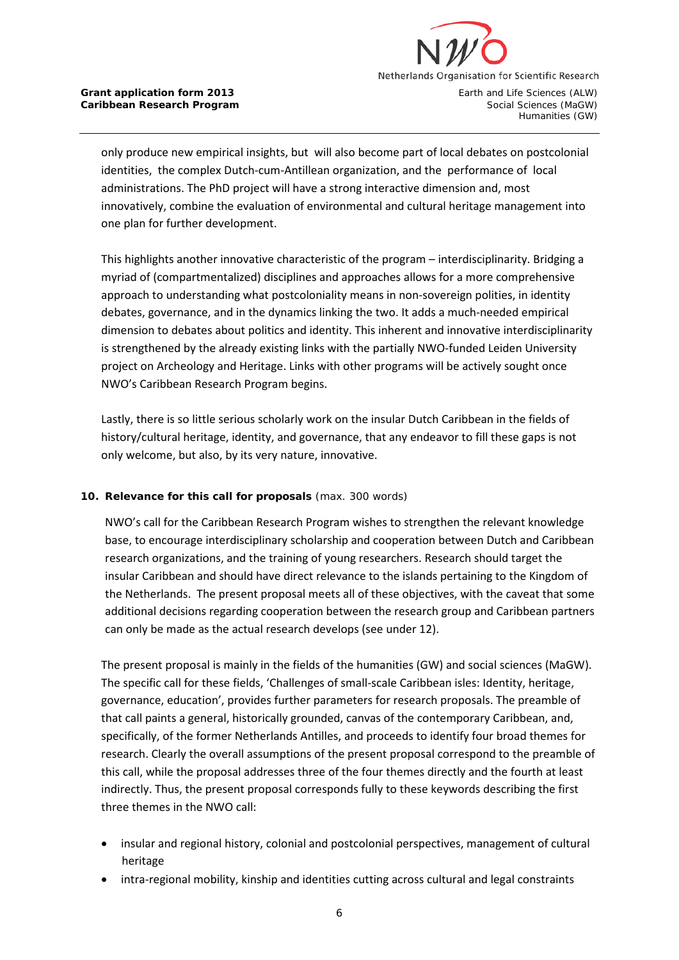

Humanities (GW)

only produce new empirical insights, but will also become part of local debates on postcolonial identities, the complex Dutch-cum-Antillean organization, and the performance of local administrations. The PhD project will have a strong interactive dimension and, most innovatively, combine the evaluation of environmental and cultural heritage management into one plan for further development.

This highlights another innovative characteristic of the program – interdisciplinarity. Bridging a myriad of (compartmentalized) disciplines and approaches allows for a more comprehensive approach to understanding what postcoloniality means in non-sovereign polities, in identity debates, governance, and in the dynamics linking the two. It adds a much-needed empirical dimension to debates about politics and identity. This inherent and innovative interdisciplinarity is strengthened by the already existing links with the partially NWO-funded Leiden University project on Archeology and Heritage. Links with other programs will be actively sought once NWO's Caribbean Research Program begins.

Lastly, there is so little serious scholarly work on the insular Dutch Caribbean in the fields of history/cultural heritage, identity, and governance, that any endeavor to fill these gaps is not only welcome, but also, by its very nature, innovative.

### **10. Relevance for this call for proposals** (max. 300 words)

NWO's call for the Caribbean Research Program wishes to strengthen the relevant knowledge base, to encourage interdisciplinary scholarship and cooperation between Dutch and Caribbean research organizations, and the training of young researchers. Research should target the insular Caribbean and should have direct relevance to the islands pertaining to the Kingdom of the Netherlands. The present proposal meets all of these objectives, with the caveat that some additional decisions regarding cooperation between the research group and Caribbean partners can only be made as the actual research develops (see under 12).

The present proposal is mainly in the fields of the humanities (GW) and social sciences (MaGW). The specific call for these fields, 'Challenges of small-scale Caribbean isles: Identity, heritage, governance, education', provides further parameters for research proposals. The preamble of that call paints a general, historically grounded, canvas of the contemporary Caribbean, and, specifically, of the former Netherlands Antilles, and proceeds to identify four broad themes for research. Clearly the overall assumptions of the present proposal correspond to the preamble of this call, while the proposal addresses three of the four themes directly and the fourth at least indirectly. Thus, the present proposal corresponds fully to these keywords describing the first three themes in the NWO call:

- insular and regional history, colonial and postcolonial perspectives, management of cultural heritage
- intra-regional mobility, kinship and identities cutting across cultural and legal constraints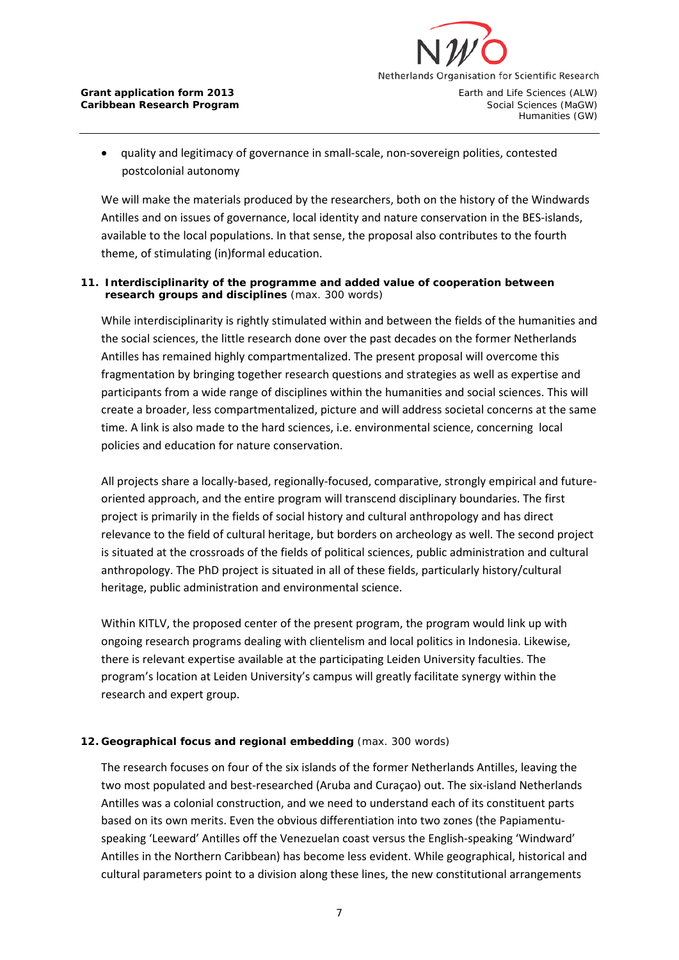

• quality and legitimacy of governance in small-scale, non-sovereign polities, contested postcolonial autonomy

We will make the materials produced by the researchers, both on the history of the Windwards Antilles and on issues of governance, local identity and nature conservation in the BES-islands, available to the local populations. In that sense, the proposal also contributes to the fourth theme, of stimulating (in)formal education.

### **11. Interdisciplinarity of the programme and added value of cooperation between research groups and disciplines** (max. 300 words)

While interdisciplinarity is rightly stimulated within and between the fields of the humanities and the social sciences, the little research done over the past decades on the former Netherlands Antilles has remained highly compartmentalized. The present proposal will overcome this fragmentation by bringing together research questions and strategies as well as expertise and participants from a wide range of disciplines within the humanities and social sciences. This will create a broader, less compartmentalized, picture and will address societal concerns at the same time. A link is also made to the hard sciences, i.e. environmental science, concerning local policies and education for nature conservation.

All projects share a locally-based, regionally-focused, comparative, strongly empirical and futureoriented approach, and the entire program will transcend disciplinary boundaries. The first project is primarily in the fields of social history and cultural anthropology and has direct relevance to the field of cultural heritage, but borders on archeology as well. The second project is situated at the crossroads of the fields of political sciences, public administration and cultural anthropology. The PhD project is situated in all of these fields, particularly history/cultural heritage, public administration and environmental science.

Within KITLV, the proposed center of the present program, the program would link up with ongoing research programs dealing with clientelism and local politics in Indonesia. Likewise, there is relevant expertise available at the participating Leiden University faculties. The program's location at Leiden University's campus will greatly facilitate synergy within the research and expert group.

### **12. Geographical focus and regional embedding** (max. 300 words)

The research focuses on four of the six islands of the former Netherlands Antilles, leaving the two most populated and best-researched (Aruba and Curaçao) out. The six-island Netherlands Antilles was a colonial construction, and we need to understand each of its constituent parts based on its own merits. Even the obvious differentiation into two zones (the Papiamentuspeaking 'Leeward' Antilles off the Venezuelan coast versus the English-speaking 'Windward' Antilles in the Northern Caribbean) has become less evident. While geographical, historical and cultural parameters point to a division along these lines, the new constitutional arrangements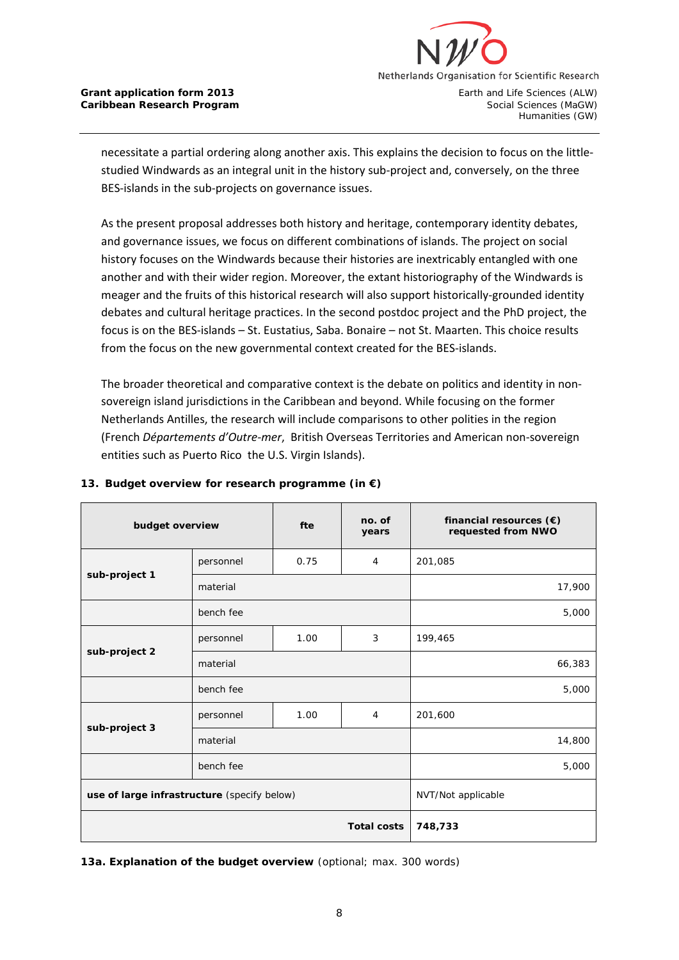

Humanities (GW)

necessitate a partial ordering along another axis. This explains the decision to focus on the littlestudied Windwards as an integral unit in the history sub-project and, conversely, on the three BES-islands in the sub-projects on governance issues.

As the present proposal addresses both history and heritage, contemporary identity debates, and governance issues, we focus on different combinations of islands. The project on social history focuses on the Windwards because their histories are inextricably entangled with one another and with their wider region. Moreover, the extant historiography of the Windwards is meager and the fruits of this historical research will also support historically-grounded identity debates and cultural heritage practices. In the second postdoc project and the PhD project, the focus is on the BES-islands – St. Eustatius, Saba. Bonaire – not St. Maarten. This choice results from the focus on the new governmental context created for the BES-islands.

The broader theoretical and comparative context is the debate on politics and identity in nonsovereign island jurisdictions in the Caribbean and beyond. While focusing on the former Netherlands Antilles, the research will include comparisons to other polities in the region (French *Départements d'Outre-mer*, British Overseas Territories and American non-sovereign entities such as Puerto Rico the U.S. Virgin Islands).

| budget overview                             |           | fte   | no. of<br>years    | financial resources $(\epsilon)$<br>requested from NWO |
|---------------------------------------------|-----------|-------|--------------------|--------------------------------------------------------|
|                                             | personnel | 0.75  | 4                  | 201,085                                                |
| sub-project 1                               | material  |       |                    | 17,900                                                 |
|                                             | bench fee |       |                    | 5,000                                                  |
|                                             | personnel | 1.00  | 3                  | 199,465                                                |
| sub-project 2                               | material  |       |                    | 66,383                                                 |
|                                             | bench fee |       |                    | 5,000                                                  |
|                                             | personnel | 1.00  | 4                  | 201,600                                                |
| sub-project 3                               | material  |       |                    | 14,800                                                 |
|                                             | bench fee | 5,000 |                    |                                                        |
| use of large infrastructure (specify below) |           |       | NVT/Not applicable |                                                        |
| <b>Total costs</b>                          |           |       |                    | 748,733                                                |

### **13. Budget overview for research programme (in €)**

**13a. Explanation of the budget overview** (optional; max. 300 words)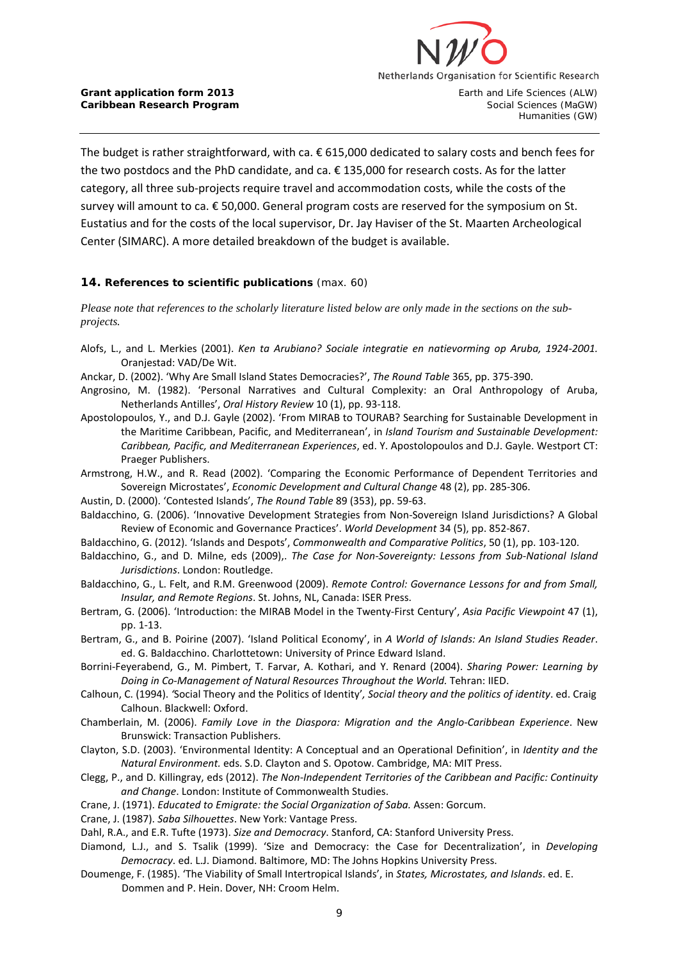

The budget is rather straightforward, with ca. € 615,000 dedicated to salary costs and bench fees for the two postdocs and the PhD candidate, and ca. € 135,000 for research costs. As for the latter category, all three sub-projects require travel and accommodation costs, while the costs of the survey will amount to ca. € 50,000. General program costs are reserved for the symposium on St. Eustatius and for the costs of the local supervisor, Dr. Jay Haviser of the St. Maarten Archeological Center (SIMARC). A more detailed breakdown of the budget is available.

#### **14. References to scientific publications** (max. 60)

*Please note that references to the scholarly literature listed below are only made in the sections on the subprojects.*

- Alofs, L., and L. Merkies (2001). *Ken ta Arubiano? Sociale integratie en natievorming op Aruba, 1924-2001.*  Oranjestad: VAD/De Wit.
- Anckar, D. (2002). 'Why Are Small Island States Democracies?', *The Round Table* 365, pp. 375-390.
- Angrosino, M. (1982). 'Personal Narratives and Cultural Complexity: an Oral Anthropology of Aruba, Netherlands Antilles', *Oral History Review* 10 (1), pp. 93-118.
- Apostolopoulos, Y., and D.J. Gayle (2002). 'From MIRAB to TOURAB? Searching for Sustainable Development in the Maritime Caribbean, Pacific, and Mediterranean', in *Island Tourism and Sustainable Development: Caribbean, Pacific, and Mediterranean Experiences*, ed. Y. Apostolopoulos and D.J. Gayle. Westport CT: Praeger Publishers.
- Armstrong, H.W., and R. Read (2002). 'Comparing the Economic Performance of Dependent Territories and Sovereign Microstates', *Economic Development and Cultural Change* 48 (2), pp. 285-306.
- <span id="page-8-0"></span>Austin, D. (2000). 'Contested Islands', *The Round Table* 89 (353), pp. 59-63.
- Baldacchino, G. (2006). 'Innovative Development Strategies from Non-Sovereign Island Jurisdictions? A Global Review of Economic and Governance Practices'. *World Development* 34 (5), pp. 852-867.
- Baldacchino, G. (2012). 'Islands and Despots', *Commonwealth and Comparative Politics*, 50 (1), pp. 103-120.
- Baldacchino, G., and D. Milne, eds (2009),. *The Case for Non-Sovereignty: Lessons from Sub-National Island Jurisdictions*. London: Routledge.
- Baldacchino, G., L. Felt, and R.M. Greenwood (2009). *Remote Control: Governance Lessons for and from Small, Insular, and Remote Regions*. St. Johns, NL, Canada: ISER Press.
- Bertram, G. (2006). 'Introduction: the MIRAB Model in the Twenty-First Century', *Asia Pacific Viewpoint* 47 (1), pp. 1-13.
- Bertram, G., and B. Poirine (2007). 'Island Political Economy', in *A World of Islands: An Island Studies Reader*. ed. G. Baldacchino. Charlottetown: University of Prince Edward Island.
- Borrini-Feyerabend, G., M. Pimbert, T. Farvar, A. Kothari, and Y. Renard (2004). *Sharing Power: Learning by Doing in Co-Management of Natural Resources Throughout the World.* Tehran: IIED.
- Calhoun, C. (1994). *'*Social Theory and the Politics of Identity'*, Social theory and the politics of identity*. ed. Craig Calhoun. Blackwell: Oxford.
- Chamberlain, M. (2006). *Family Love in the Diaspora: Migration and the Anglo-Caribbean Experience*. New Brunswick: Transaction Publishers.
- Clayton, S.D. (2003). 'Environmental Identity: A Conceptual and an Operational Definition', in *Identity and the Natural Environment.* eds. S.D. Clayton and S. Opotow. Cambridge, MA: MIT Press.
- Clegg, P., and D. Killingray, eds (2012). *The Non-Independent Territories of the Caribbean and Pacific: Continuity and Change*. London: Institute of Commonwealth Studies.
- Crane, J. (1971). *Educated to Emigrate: the Social Organization of Saba.* Assen: Gorcum.
- Crane, J. (1987). *Saba Silhouettes*. New York: Vantage Press.
- Dahl, R.A., and E.R. Tufte (1973). *Size and Democracy*. Stanford, CA: Stanford University Press.
- Diamond, L.J., and S. Tsalik (1999). 'Size and Democracy: the Case for Decentralization', in *Developing Democracy*. ed. L.J. Diamond. Baltimore, MD: The Johns Hopkins University Press.
- Doumenge, F. (1985). 'The Viability of Small Intertropical Islands', in *States, Microstates, and Islands*. ed. E. Dommen and P. Hein. Dover, NH: Croom Helm.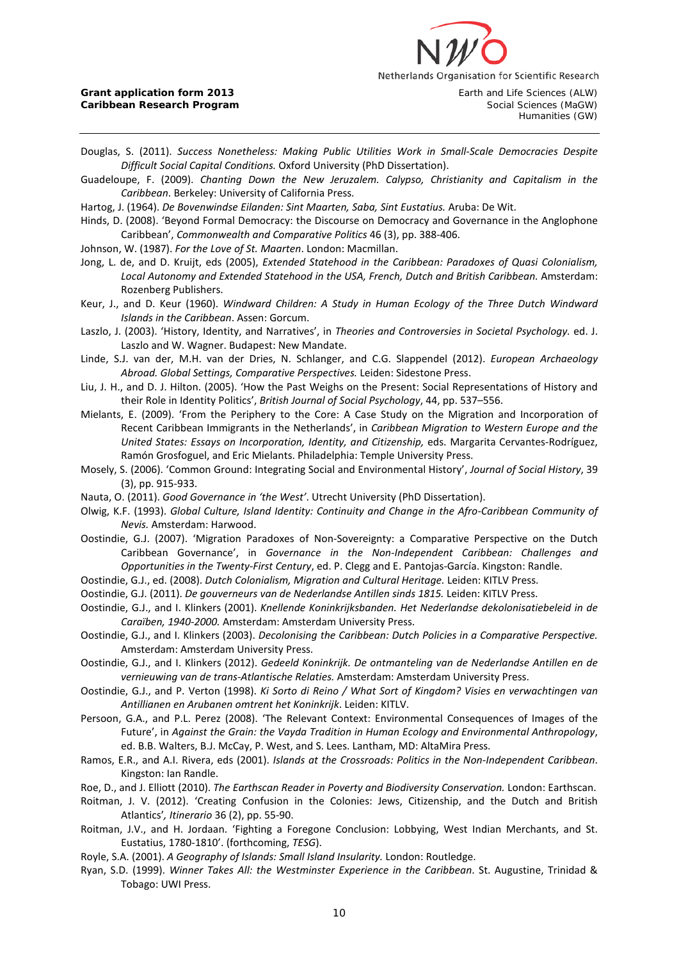

Humanities (GW)

Douglas, S. (2011). *Success Nonetheless: Making Public Utilities Work in Small-Scale Democracies Despite Difficult Social Capital Conditions.* Oxford University (PhD Dissertation).

Guadeloupe, F. (2009). *Chanting Down the New Jeruzalem. Calypso, Christianity and Capitalism in the Caribbean*. Berkeley: University of California Press.

- Hartog, J. (1964). *De Bovenwindse Eilanden: Sint Maarten, Saba, Sint Eustatius.* Aruba: De Wit.
- Hinds, D. (2008). 'Beyond Formal Democracy: the Discourse on Democracy and Governance in the Anglophone Caribbean', *Commonwealth and Comparative Politics* 46 (3), pp. 388-406.
- Johnson, W. (1987). *For the Love of St. Maarten*. London: Macmillan.

Jong, L. de, and D. Kruijt, eds (2005), *Extended Statehood in the Caribbean: Paradoxes of Quasi Colonialism, Local Autonomy and Extended Statehood in the USA, French, Dutch and British Caribbean.* Amsterdam: Rozenberg Publishers.

Keur, J., and D. Keur (1960). *Windward Children: A Study in Human Ecology of the Three Dutch Windward Islands in the Caribbean*. Assen: Gorcum.

Laszlo, J. (2003). 'History, Identity, and Narratives', in *Theories and Controversies in Societal Psychology.* ed. J. Laszlo and W. Wagner. Budapest: New Mandate.

- Linde, S.J. van der, M.H. van der Dries, N. Schlanger, and C.G. Slappendel (2012). *European Archaeology Abroad. Global Settings, Comparative Perspectives.* Leiden: Sidestone Press.
- Liu, J. H., and D. J. Hilton. (2005). 'How the Past Weighs on the Present: Social Representations of History and their Role in Identity Politics', *British Journal of Social Psychology*, 44, pp. 537–556.
- Mielants, E. (2009). 'From the Periphery to the Core: A Case Study on the Migration and Incorporation of Recent Caribbean Immigrants in the Netherlands', in *Caribbean Migration to Western Europe and the*  United States: Essays on Incorporation, Identity, and Citizenship, eds. Margarita Cervantes-Rodríguez, Ramón Grosfoguel, and Eric Mielants. Philadelphia: Temple University Press.
- Mosely, S. (2006). 'Common Ground: Integrating Social and Environmental History', *Journal of Social History*, 39 (3), pp. 915-933.
- Nauta, O. (2011). *Good Governance in 'the West'*. Utrecht University (PhD Dissertation).
- Olwig, K.F. (1993). *Global Culture, Island Identity: Continuity and Change in the Afro-Caribbean Community of Nevis.* Amsterdam: Harwood.
- Oostindie, G.J. (2007). 'Migration Paradoxes of Non-Sovereignty: a Comparative Perspective on the Dutch Caribbean Governance', in *Governance in the Non-Independent Caribbean: Challenges and Opportunities in the Twenty-First Century*, ed. P. Clegg and E. Pantojas-García. Kingston: Randle.
- Oostindie, G.J., ed. (2008). *Dutch Colonialism, Migration and Cultural Heritage.* Leiden: KITLV Press.
- Oostindie, G.J. (2011). *De gouverneurs van de Nederlandse Antillen sinds 1815.* Leiden: KITLV Press.
- Oostindie, G.J., and I. Klinkers (2001). *Knellende Koninkrijksbanden. Het Nederlandse dekolonisatiebeleid in de Caraïben, 1940-2000.* Amsterdam: Amsterdam University Press.
- Oostindie, G.J., and I. Klinkers (2003). *Decolonising the Caribbean: Dutch Policies in a Comparative Perspective.* Amsterdam: Amsterdam University Press.
- Oostindie, G.J., and I. Klinkers (2012). *Gedeeld Koninkrijk. De ontmanteling van de Nederlandse Antillen en de vernieuwing van de trans-Atlantische Relaties.* Amsterdam: Amsterdam University Press.
- Oostindie, G.J., and P. Verton (1998). *Ki Sorto di Reino / What Sort of Kingdom? Visies en verwachtingen van Antillianen en Arubanen omtrent het Koninkrijk*. Leiden: KITLV.
- Persoon, G.A., and P.L. Perez (2008). 'The Relevant Context: Environmental Consequences of Images of the Future', in *Against the Grain: the Vayda Tradition in Human Ecology and Environmental Anthropology*, ed. B.B. Walters, B.J. McCay, P. West, and S. Lees. Lantham, MD: AltaMira Press.
- Ramos, E.R., and A.I. Rivera, eds (2001). *Islands at the Crossroads: Politics in the Non-Independent Caribbean*. Kingston: Ian Randle.
- Roe, D., and J. Elliott (2010). *The Earthscan Reader in Poverty and Biodiversity Conservation.* London: Earthscan.
- Roitman, J. V. (2012). 'Creating Confusion in the Colonies: Jews, Citizenship, and the Dutch and British Atlantics'*, Itinerario* 36 (2), pp. 55-90.
- Roitman, J.V., and H. Jordaan. 'Fighting a Foregone Conclusion: Lobbying, West Indian Merchants, and St. Eustatius, 1780-1810'. (forthcoming, *TESG*).
- Royle, S.A. (2001). *A Geography of Islands: Small Island Insularity.* London: Routledge.
- Ryan, S.D. (1999). *Winner Takes All: the Westminster Experience in the Caribbean*. St. Augustine, Trinidad & Tobago: UWI Press.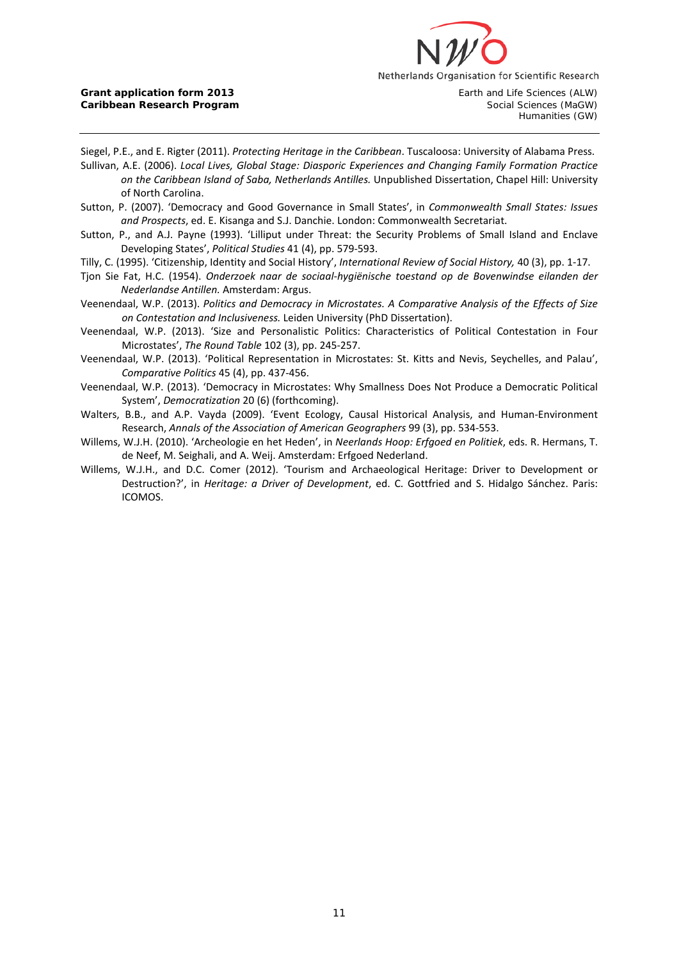

Humanities (GW)

Siegel, P.E., and E. Rigter (2011). *Protecting Heritage in the Caribbean*. Tuscaloosa: University of Alabama Press.

Sullivan, A.E. (2006). *Local Lives, Global Stage: Diasporic Experiences and Changing Family Formation Practice on the Caribbean Island of Saba, Netherlands Antilles.* Unpublished Dissertation, Chapel Hill: University of North Carolina.

- Sutton, P. (2007). 'Democracy and Good Governance in Small States', in *Commonwealth Small States: Issues and Prospects*, ed. E. Kisanga and S.J. Danchie. London: Commonwealth Secretariat.
- Sutton, P., and A.J. Payne (1993). 'Lilliput under Threat: the Security Problems of Small Island and Enclave Developing States', *Political Studies* 41 (4), pp. 579-593.
- Tilly, C. (1995). 'Citizenship, Identity and Social History', *International Review of Social History,* 40 (3), pp. 1-17.
- Tjon Sie Fat, H.C. (1954). *Onderzoek naar de sociaal-hygiënische toestand op de Bovenwindse eilanden der Nederlandse Antillen.* Amsterdam: Argus.
- Veenendaal, W.P. (2013). *Politics and Democracy in Microstates. A Comparative Analysis of the Effects of Size on Contestation and Inclusiveness.* Leiden University (PhD Dissertation).
- Veenendaal, W.P. (2013). 'Size and Personalistic Politics: Characteristics of Political Contestation in Four Microstates', *The Round Table* 102 (3), pp. 245-257.
- Veenendaal, W.P. (2013). 'Political Representation in Microstates: St. Kitts and Nevis, Seychelles, and Palau', *Comparative Politics* 45 (4), pp. 437-456.
- Veenendaal, W.P. (2013). 'Democracy in Microstates: Why Smallness Does Not Produce a Democratic Political System', *Democratization* 20 (6) (forthcoming).
- Walters, B.B., and A.P. Vayda (2009). 'Event Ecology, Causal Historical Analysis, and Human-Environment Research, *Annals of the Association of American Geographers* 99 (3), pp. 534-553.
- Willems, W.J.H. (2010). 'Archeologie en het Heden', in *Neerlands Hoop: Erfgoed en Politiek*, eds. R. Hermans, T. de Neef, M. Seighali, and A. Weij. Amsterdam: Erfgoed Nederland.
- Willems, W.J.H., and D.C. Comer (2012). 'Tourism and Archaeological Heritage: Driver to Development or Destruction?', in *Heritage: a Driver of Development*, ed. C. Gottfried and S. Hidalgo Sánchez. Paris: ICOMOS.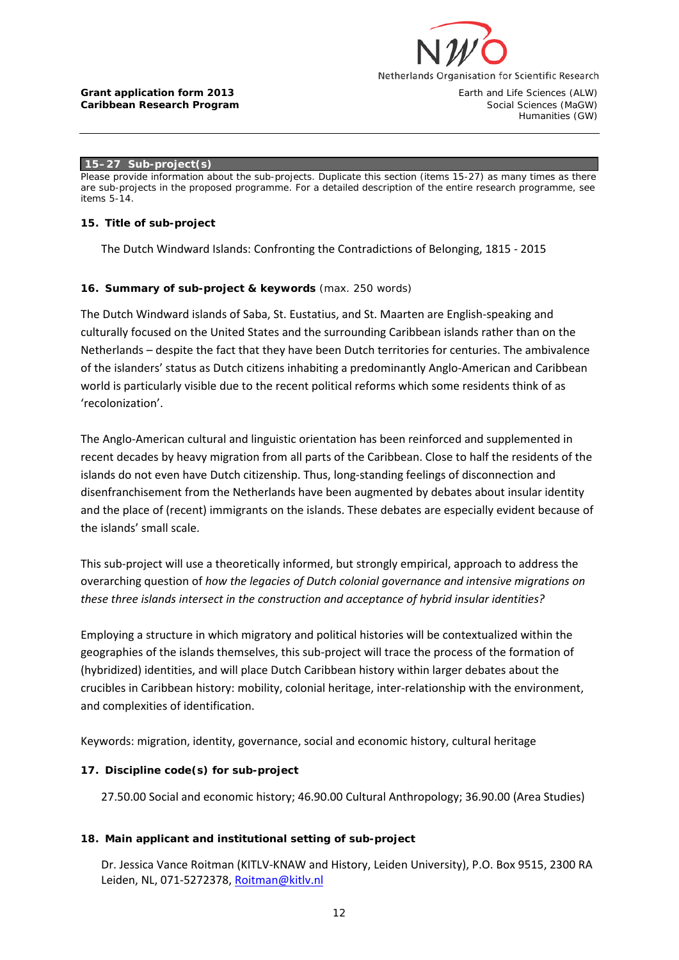

#### **Grant application form 2013 Earth and Life Sciences (ALW)**<br> **Caribbean Research Program Earth and Life Sciences (MaGW)**<br>
Social Sciences (MaGW) **Caribbean Research Program**

Humanities (GW)

#### **15–27 Sub-project(s)**

*Please provide information about the sub-projects. Duplicate this section (items 15-27) as many times as there are sub-projects in the proposed programme. For a detailed description of the entire research programme, see items 5-14.*

#### **15. Title of sub-project**

The Dutch Windward Islands: Confronting the Contradictions of Belonging, 1815 - 2015

### **16. Summary of sub-project & keywords** (max. 250 words)

The Dutch Windward islands of Saba, St. Eustatius, and St. Maarten are English-speaking and culturally focused on the United States and the surrounding Caribbean islands rather than on the Netherlands – despite the fact that they have been Dutch territories for centuries. The ambivalence of the islanders' status as Dutch citizens inhabiting a predominantly Anglo-American and Caribbean world is particularly visible due to the recent political reforms which some residents think of as 'recolonization'.

The Anglo-American cultural and linguistic orientation has been reinforced and supplemented in recent decades by heavy migration from all parts of the Caribbean. Close to half the residents of the islands do not even have Dutch citizenship. Thus, long-standing feelings of disconnection and disenfranchisement from the Netherlands have been augmented by debates about insular identity and the place of (recent) immigrants on the islands. These debates are especially evident because of the islands' small scale.

This sub-project will use a theoretically informed, but strongly empirical, approach to address the overarching question of *how the legacies of Dutch colonial governance and intensive migrations on these three islands intersect in the construction and acceptance of hybrid insular identities?* 

Employing a structure in which migratory and political histories will be contextualized within the geographies of the islands themselves, this sub-project will trace the process of the formation of (hybridized) identities, and will place Dutch Caribbean history within larger debates about the crucibles in Caribbean history: mobility, colonial heritage, inter-relationship with the environment, and complexities of identification.

Keywords: migration, identity, governance, social and economic history, cultural heritage

### **17. Discipline code(s) for sub-project**

27.50.00 Social and economic history; 46.90.00 Cultural Anthropology; 36.90.00 (Area Studies)

### **18. Main applicant and institutional setting of sub-project**

Dr. Jessica Vance Roitman (KITLV-KNAW and History, Leiden University), P.O. Box 9515, 2300 RA Leiden, NL, 071-5272378, [Roitman@kitlv.nl](mailto:Roitman@kitlv.nl)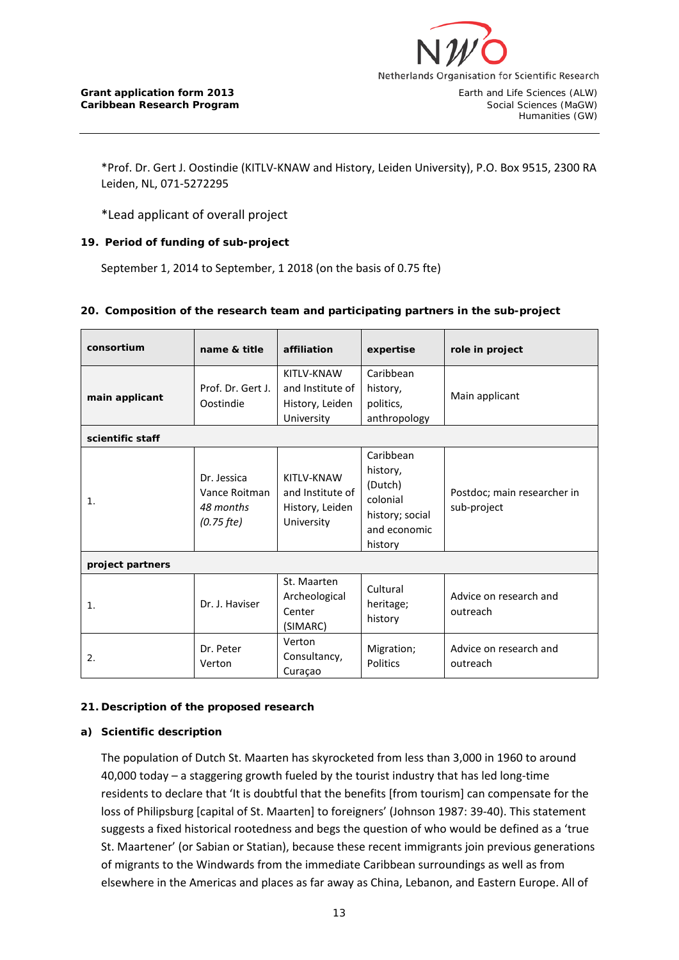

\*Prof. Dr. Gert J. Oostindie (KITLV-KNAW and History, Leiden University), P.O. Box 9515, 2300 RA Leiden, NL, 071-5272295

\*Lead applicant of overall project

# **19. Period of funding of sub-project**

September 1, 2014 to September, 1 2018 (on the basis of 0.75 fte)

### **20. Composition of the research team and participating partners in the sub-project**

| consortium       | name & title                                              | affiliation                                                     | expertise                                                                                  | role in project                            |
|------------------|-----------------------------------------------------------|-----------------------------------------------------------------|--------------------------------------------------------------------------------------------|--------------------------------------------|
| main applicant   | Prof. Dr. Gert J.<br>Oostindie                            | KITLV-KNAW<br>and Institute of<br>History, Leiden<br>University | Caribbean<br>history,<br>politics,<br>anthropology                                         | Main applicant                             |
| scientific staff |                                                           |                                                                 |                                                                                            |                                            |
| 1.               | Dr. Jessica<br>Vance Roitman<br>48 months<br>$(0.75$ fte) | KITLV-KNAW<br>and Institute of<br>History, Leiden<br>University | Caribbean<br>history,<br>(Dutch)<br>colonial<br>history; social<br>and economic<br>history | Postdoc; main researcher in<br>sub-project |
| project partners |                                                           |                                                                 |                                                                                            |                                            |
| 1.               | Dr. J. Haviser                                            | St. Maarten<br>Archeological<br>Center<br>(SIMARC)              | Cultural<br>heritage;<br>history                                                           | Advice on research and<br>outreach         |
| 2.               | Dr. Peter<br>Verton                                       | Verton<br>Consultancy,<br>Curaçao                               | Migration;<br>Politics                                                                     | Advice on research and<br>outreach         |

### **21. Description of the proposed research**

### **a) Scientific description**

The population of Dutch St. Maarten has skyrocketed from less than 3,000 in 1960 to around 40,000 today – a staggering growth fueled by the tourist industry that has led long-time residents to declare that 'It is doubtful that the benefits [from tourism] can compensate for the loss of Philipsburg [capital of St. Maarten] to foreigners' (Johnson 1987: 39-40). This statement suggests a fixed historical rootedness and begs the question of who would be defined as a 'true St. Maartener' (or Sabian or Statian), because these recent immigrants join previous generations of migrants to the Windwards from the immediate Caribbean surroundings as well as from elsewhere in the Americas and places as far away as China, Lebanon, and Eastern Europe. All of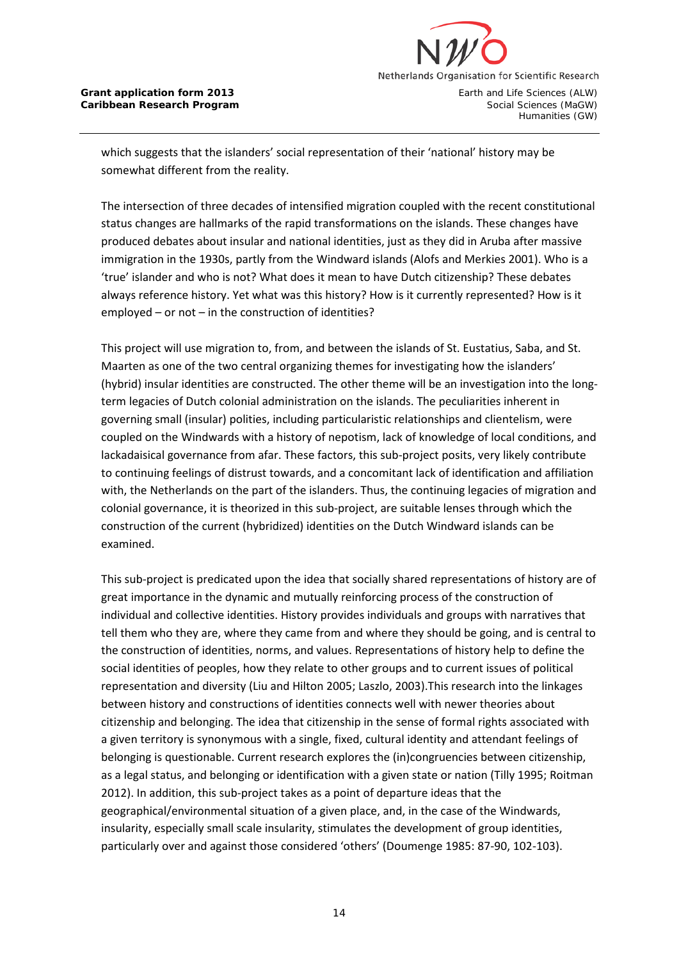

Humanities (GW)

which suggests that the islanders' social representation of their 'national' history may be somewhat different from the reality.

The intersection of three decades of intensified migration coupled with the recent constitutional status changes are hallmarks of the rapid transformations on the islands. These changes have produced debates about insular and national identities, just as they did in Aruba after massive immigration in the 1930s, partly from the Windward islands (Alofs and Merkies 2001). Who is a 'true' islander and who is not? What does it mean to have Dutch citizenship? These debates always reference history. Yet what was this history? How is it currently represented? How is it employed – or not – in the construction of identities?

This project will use migration to, from, and between the islands of St. Eustatius, Saba, and St. Maarten as one of the two central organizing themes for investigating how the islanders' (hybrid) insular identities are constructed. The other theme will be an investigation into the longterm legacies of Dutch colonial administration on the islands. The peculiarities inherent in governing small (insular) polities, including particularistic relationships and clientelism, were coupled on the Windwards with a history of nepotism, lack of knowledge of local conditions, and lackadaisical governance from afar. These factors, this sub-project posits, very likely contribute to continuing feelings of distrust towards, and a concomitant lack of identification and affiliation with, the Netherlands on the part of the islanders. Thus, the continuing legacies of migration and colonial governance, it is theorized in this sub-project, are suitable lenses through which the construction of the current (hybridized) identities on the Dutch Windward islands can be examined.

This sub-project is predicated upon the idea that socially shared representations of history are of great importance in the dynamic and mutually reinforcing process of the construction of individual and collective identities. History provides individuals and groups with narratives that tell them who they are, where they came from and where they should be going, and is central to the construction of identities, norms, and values. Representations of history help to define the social identities of peoples, how they relate to other groups and to current issues of political representation and diversity (Liu and Hilton 2005; Laszlo, 2003).This research into the linkages between history and constructions of identities connects well with newer theories about citizenship and belonging. The idea that citizenship in the sense of formal rights associated with a given territory is synonymous with a single, fixed, cultural identity and attendant feelings of belonging is questionable. Current research explores the (in)congruencies between citizenship, as a legal status, and belonging or identification with a given state or nation (Tilly 1995; Roitman 2012). In addition, this sub-project takes as a point of departure ideas that the geographical/environmental situation of a given place, and, in the case of the Windwards, insularity, especially small scale insularity, stimulates the development of group identities, particularly over and against those considered 'others' (Doumenge 1985: 87-90, 102-103).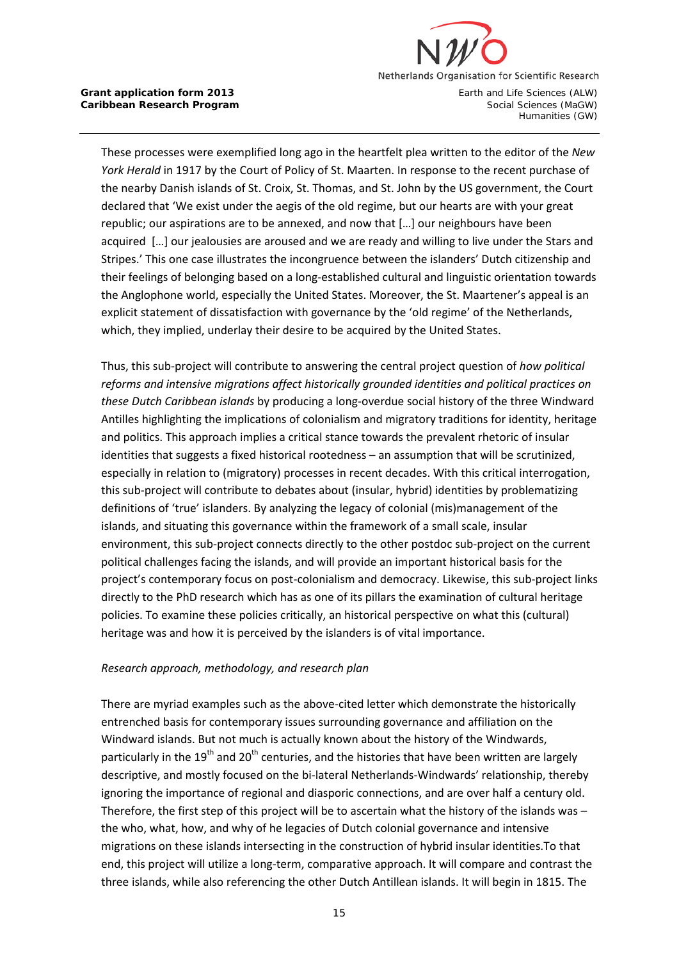

These processes were exemplified long ago in the heartfelt plea written to the editor of the *New York Herald* in 1917 by the Court of Policy of St. Maarten. In response to the recent purchase of the nearby Danish islands of St. Croix, St. Thomas, and St. John by the US government, the Court declared that 'We exist under the aegis of the old regime, but our hearts are with your great republic; our aspirations are to be annexed, and now that […] our neighbours have been acquired […] our jealousies are aroused and we are ready and willing to live under the Stars and Stripes.' This one case illustrates the incongruence between the islanders' Dutch citizenship and their feelings of belonging based on a long-established cultural and linguistic orientation towards the Anglophone world, especially the United States. Moreover, the St. Maartener's appeal is an explicit statement of dissatisfaction with governance by the 'old regime' of the Netherlands, which, they implied, underlay their desire to be acquired by the United States.

Thus, this sub-project will contribute to answering the central project question of *how political reforms and intensive migrations affect historically grounded identities and political practices on these Dutch Caribbean islands* by producing a long-overdue social history of the three Windward Antilles highlighting the implications of colonialism and migratory traditions for identity, heritage and politics. This approach implies a critical stance towards the prevalent rhetoric of insular identities that suggests a fixed historical rootedness – an assumption that will be scrutinized, especially in relation to (migratory) processes in recent decades. With this critical interrogation, this sub-project will contribute to debates about (insular, hybrid) identities by problematizing definitions of 'true' islanders. By analyzing the legacy of colonial (mis)management of the islands, and situating this governance within the framework of a small scale, insular environment, this sub-project connects directly to the other postdoc sub-project on the current political challenges facing the islands, and will provide an important historical basis for the project's contemporary focus on post-colonialism and democracy. Likewise, this sub-project links directly to the PhD research which has as one of its pillars the examination of cultural heritage policies. To examine these policies critically, an historical perspective on what this (cultural) heritage was and how it is perceived by the islanders is of vital importance.

# *Research approach, methodology, and research plan*

There are myriad examples such as the above-cited letter which demonstrate the historically entrenched basis for contemporary issues surrounding governance and affiliation on the Windward islands. But not much is actually known about the history of the Windwards, particularly in the  $19<sup>th</sup>$  and  $20<sup>th</sup>$  centuries, and the histories that have been written are largely descriptive, and mostly focused on the bi-lateral Netherlands-Windwards' relationship, thereby ignoring the importance of regional and diasporic connections, and are over half a century old. Therefore, the first step of this project will be to ascertain what the history of the islands was – the who, what, how, and why of he legacies of Dutch colonial governance and intensive migrations on these islands intersecting in the construction of hybrid insular identities.To that end, this project will utilize a long-term, comparative approach. It will compare and contrast the three islands, while also referencing the other Dutch Antillean islands. It will begin in 1815. The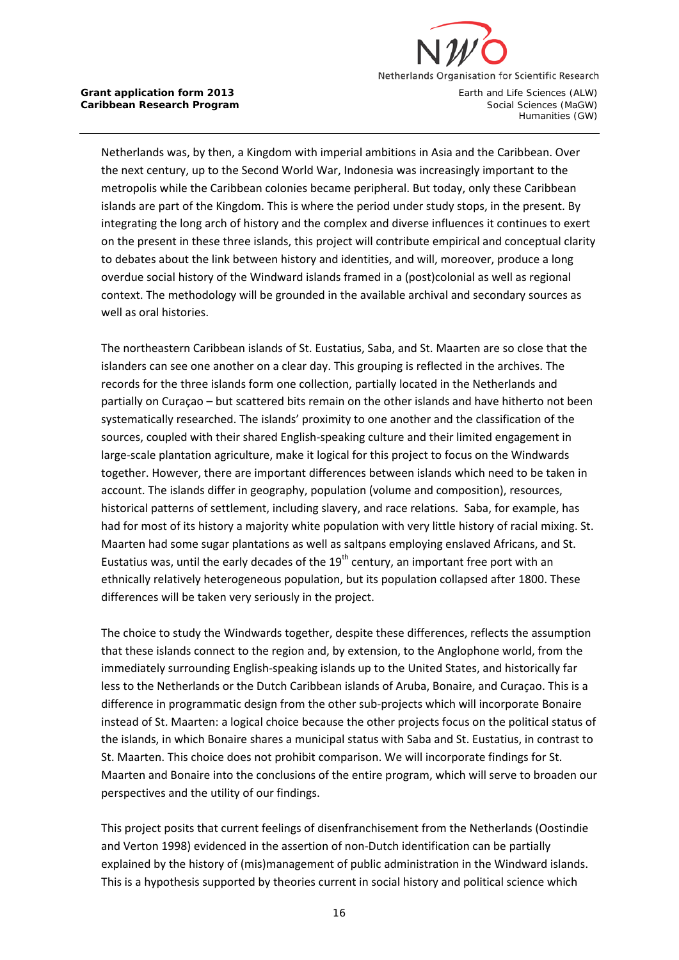

Netherlands was, by then, a Kingdom with imperial ambitions in Asia and the Caribbean. Over the next century, up to the Second World War, Indonesia was increasingly important to the metropolis while the Caribbean colonies became peripheral. But today, only these Caribbean islands are part of the Kingdom. This is where the period under study stops, in the present. By integrating the long arch of history and the complex and diverse influences it continues to exert on the present in these three islands, this project will contribute empirical and conceptual clarity to debates about the link between history and identities, and will, moreover, produce a long overdue social history of the Windward islands framed in a (post)colonial as well as regional context. The methodology will be grounded in the available archival and secondary sources as well as oral histories.

The northeastern Caribbean islands of St. Eustatius, Saba, and St. Maarten are so close that the islanders can see one another on a clear day. This grouping is reflected in the archives. The records for the three islands form one collection, partially located in the Netherlands and partially on Curaçao – but scattered bits remain on the other islands and have hitherto not been systematically researched. The islands' proximity to one another and the classification of the sources, coupled with their shared English-speaking culture and their limited engagement in large-scale plantation agriculture, make it logical for this project to focus on the Windwards together. However, there are important differences between islands which need to be taken in account. The islands differ in geography, population (volume and composition), resources, historical patterns of settlement, including slavery, and race relations. Saba, for example, has had for most of its history a majority white population with very little history of racial mixing. St. Maarten had some sugar plantations as well as saltpans employing enslaved Africans, and St. Eustatius was, until the early decades of the  $19<sup>th</sup>$  century, an important free port with an ethnically relatively heterogeneous population, but its population collapsed after 1800. These differences will be taken very seriously in the project.

The choice to study the Windwards together, despite these differences, reflects the assumption that these islands connect to the region and, by extension, to the Anglophone world, from the immediately surrounding English-speaking islands up to the United States, and historically far less to the Netherlands or the Dutch Caribbean islands of Aruba, Bonaire, and Curaçao. This is a difference in programmatic design from the other sub-projects which will incorporate Bonaire instead of St. Maarten: a logical choice because the other projects focus on the political status of the islands, in which Bonaire shares a municipal status with Saba and St. Eustatius, in contrast to St. Maarten. This choice does not prohibit comparison. We will incorporate findings for St. Maarten and Bonaire into the conclusions of the entire program, which will serve to broaden our perspectives and the utility of our findings.

This project posits that current feelings of disenfranchisement from the Netherlands (Oostindie and Verton 1998) evidenced in the assertion of non-Dutch identification can be partially explained by the history of (mis)management of public administration in the Windward islands. This is a hypothesis supported by theories current in social history and political science which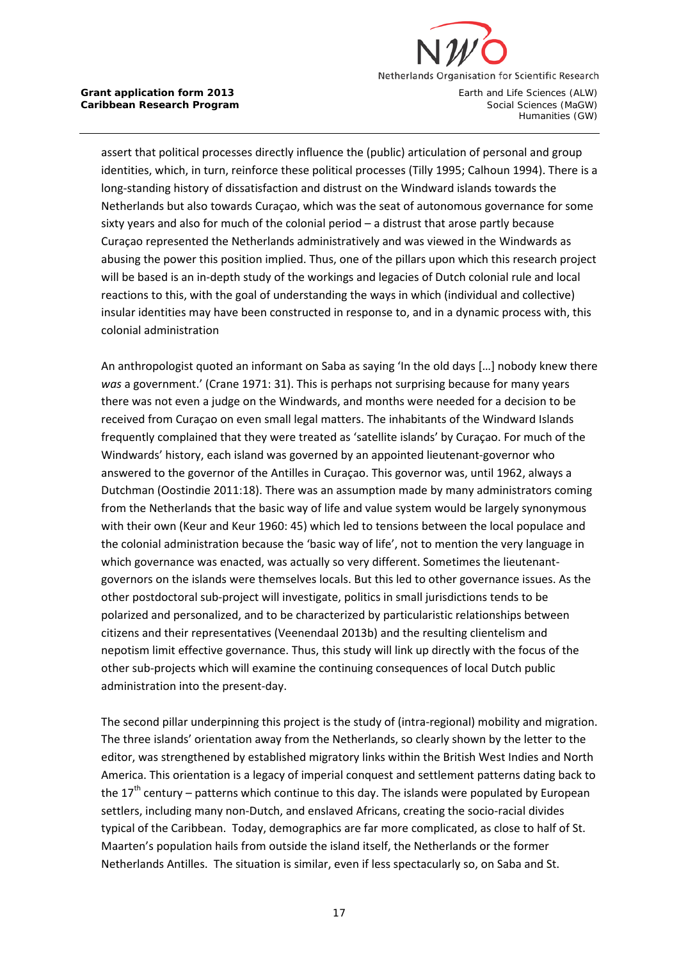

assert that political processes directly influence the (public) articulation of personal and group identities, which, in turn, reinforce these political processes (Tilly 1995; Calhoun 1994). There is a long-standing history of dissatisfaction and distrust on the Windward islands towards the Netherlands but also towards Curaçao, which was the seat of autonomous governance for some sixty years and also for much of the colonial period – a distrust that arose partly because Curaçao represented the Netherlands administratively and was viewed in the Windwards as abusing the power this position implied. Thus, one of the pillars upon which this research project will be based is an in-depth study of the workings and legacies of Dutch colonial rule and local reactions to this, with the goal of understanding the ways in which (individual and collective) insular identities may have been constructed in response to, and in a dynamic process with, this colonial administration

An anthropologist quoted an informant on Saba as saying 'In the old days […] nobody knew there *was* a government.' (Crane 1971: 31). This is perhaps not surprising because for many years there was not even a judge on the Windwards, and months were needed for a decision to be received from Curaçao on even small legal matters. The inhabitants of the Windward Islands frequently complained that they were treated as 'satellite islands' by Curaçao. For much of the Windwards' history, each island was governed by an appointed lieutenant-governor who answered to the governor of the Antilles in Curaçao. This governor was, until 1962, always a Dutchman (Oostindie 2011:18). There was an assumption made by many administrators coming from the Netherlands that the basic way of life and value system would be largely synonymous with their own (Keur and Keur 1960: 45) which led to tensions between the local populace and the colonial administration because the 'basic way of life', not to mention the very language in which governance was enacted, was actually so very different. Sometimes the lieutenantgovernors on the islands were themselves locals. But this led to other governance issues. As the other postdoctoral sub-project will investigate, politics in small jurisdictions tends to be polarized and personalized, and to be characterized by particularistic relationships between citizens and their representatives (Veenendaal 2013b) and the resulting clientelism and nepotism limit effective governance. Thus, this study will link up directly with the focus of the other sub-projects which will examine the continuing consequences of local Dutch public administration into the present-day.

The second pillar underpinning this project is the study of (intra-regional) mobility and migration. The three islands' orientation away from the Netherlands, so clearly shown by the letter to the editor, was strengthened by established migratory links within the British West Indies and North America. This orientation is a legacy of imperial conquest and settlement patterns dating back to the  $17<sup>th</sup>$  century – patterns which continue to this day. The islands were populated by European settlers, including many non-Dutch, and enslaved Africans, creating the socio-racial divides typical of the Caribbean. Today, demographics are far more complicated, as close to half of St. Maarten's population hails from outside the island itself, the Netherlands or the former Netherlands Antilles. The situation is similar, even if less spectacularly so, on Saba and St.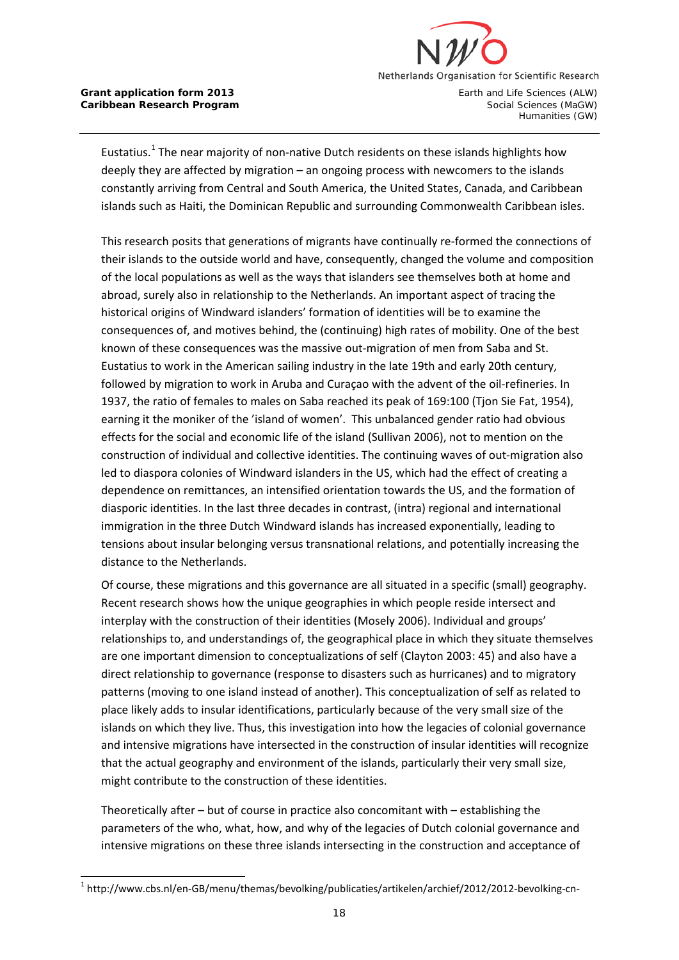

Eustatius.<sup>[1](#page-17-0)</sup> The near majority of non-native Dutch residents on these islands highlights how deeply they are affected by migration – an ongoing process with newcomers to the islands constantly arriving from Central and South America, the United States, Canada, and Caribbean islands such as Haiti, the Dominican Republic and surrounding Commonwealth Caribbean isles.

This research posits that generations of migrants have continually re-formed the connections of their islands to the outside world and have, consequently, changed the volume and composition of the local populations as well as the ways that islanders see themselves both at home and abroad, surely also in relationship to the Netherlands. An important aspect of tracing the historical origins of Windward islanders' formation of identities will be to examine the consequences of, and motives behind, the (continuing) high rates of mobility. One of the best known of these consequences was the massive out-migration of men from Saba and St. Eustatius to work in the American sailing industry in the late 19th and early 20th century, followed by migration to work in Aruba and Curaçao with the advent of the oil-refineries. In 1937, the ratio of females to males on Saba reached its peak of 169:100 (Tjon Sie Fat, 1954), earning it the moniker of the 'island of women'. This unbalanced gender ratio had obvious effects for the social and economic life of the island (Sullivan 2006), not to mention on the construction of individual and collective identities. The continuing waves of out-migration also led to diaspora colonies of Windward islanders in the US, which had the effect of creating a dependence on remittances, an intensified orientation towards the US, and the formation of diasporic identities. In the last three decades in contrast, (intra) regional and international immigration in the three Dutch Windward islands has increased exponentially, leading to tensions about insular belonging versus transnational relations, and potentially increasing the distance to the Netherlands.

Of course, these migrations and this governance are all situated in a specific (small) geography. Recent research shows how the unique geographies in which people reside intersect and interplay with the construction of their identities (Mosely 2006). Individual and groups' relationships to, and understandings of, the geographical place in which they situate themselves are one important dimension to conceptualizations of self (Clayton 2003: 45) and also have a direct relationship to governance (response to disasters such as hurricanes) and to migratory patterns (moving to one island instead of another). This conceptualization of self as related to place likely adds to insular identifications, particularly because of the very small size of the islands on which they live. Thus, this investigation into how the legacies of colonial governance and intensive migrations have intersected in the construction of insular identities will recognize that the actual geography and environment of the islands, particularly their very small size, might contribute to the construction of these identities.

Theoretically after – but of course in practice also concomitant with – establishing the parameters of the who, what, how, and why of the legacies of Dutch colonial governance and intensive migrations on these three islands intersecting in the construction and acceptance of

<span id="page-17-0"></span><sup>&</sup>lt;sup>1</sup> http://www.cbs.nl/en-GB/menu/themas/bevolking/publicaties/artikelen/archief/2012/2012-bevolking-cn-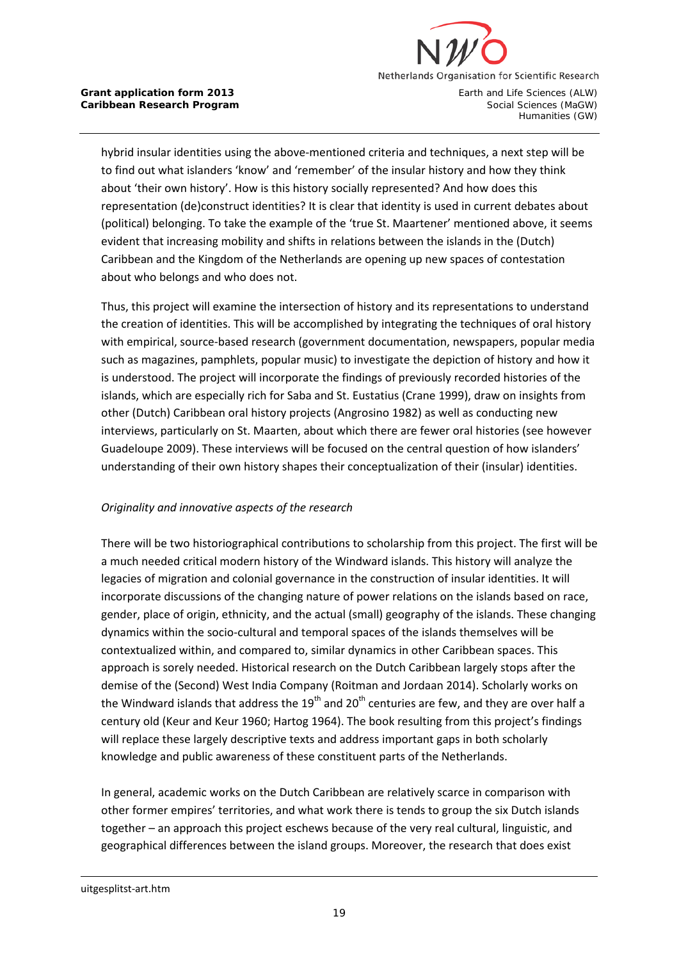

hybrid insular identities using the above-mentioned criteria and techniques, a next step will be to find out what islanders 'know' and 'remember' of the insular history and how they think about 'their own history'. How is this history socially represented? And how does this representation (de)construct identities? It is clear that identity is used in current debates about (political) belonging. To take the example of the 'true St. Maartener' mentioned above, it seems evident that increasing mobility and shifts in relations between the islands in the (Dutch) Caribbean and the Kingdom of the Netherlands are opening up new spaces of contestation about who belongs and who does not.

Thus, this project will examine the intersection of history and its representations to understand the creation of identities. This will be accomplished by integrating the techniques of oral history with empirical, source-based research (government documentation, newspapers, popular media such as magazines, pamphlets, popular music) to investigate the depiction of history and how it is understood. The project will incorporate the findings of previously recorded histories of the islands, which are especially rich for Saba and St. Eustatius (Crane 1999), draw on insights from other (Dutch) Caribbean oral history projects (Angrosino 1982) as well as conducting new interviews, particularly on St. Maarten, about which there are fewer oral histories (see however Guadeloupe 2009). These interviews will be focused on the central question of how islanders' understanding of their own history shapes their conceptualization of their (insular) identities.

# *Originality and innovative aspects of the research*

There will be two historiographical contributions to scholarship from this project. The first will be a much needed critical modern history of the Windward islands. This history will analyze the legacies of migration and colonial governance in the construction of insular identities. It will incorporate discussions of the changing nature of power relations on the islands based on race, gender, place of origin, ethnicity, and the actual (small) geography of the islands. These changing dynamics within the socio-cultural and temporal spaces of the islands themselves will be contextualized within, and compared to, similar dynamics in other Caribbean spaces. This approach is sorely needed. Historical research on the Dutch Caribbean largely stops after the demise of the (Second) West India Company (Roitman and Jordaan 2014). Scholarly works on the Windward islands that address the  $19<sup>th</sup>$  and  $20<sup>th</sup>$  centuries are few, and they are over half a century old (Keur and Keur 1960; Hartog 1964). The book resulting from this project's findings will replace these largely descriptive texts and address important gaps in both scholarly knowledge and public awareness of these constituent parts of the Netherlands.

In general, academic works on the Dutch Caribbean are relatively scarce in comparison with other former empires' territories, and what work there is tends to group the six Dutch islands together – an approach this project eschews because of the very real cultural, linguistic, and geographical differences between the island groups. Moreover, the research that does exist

-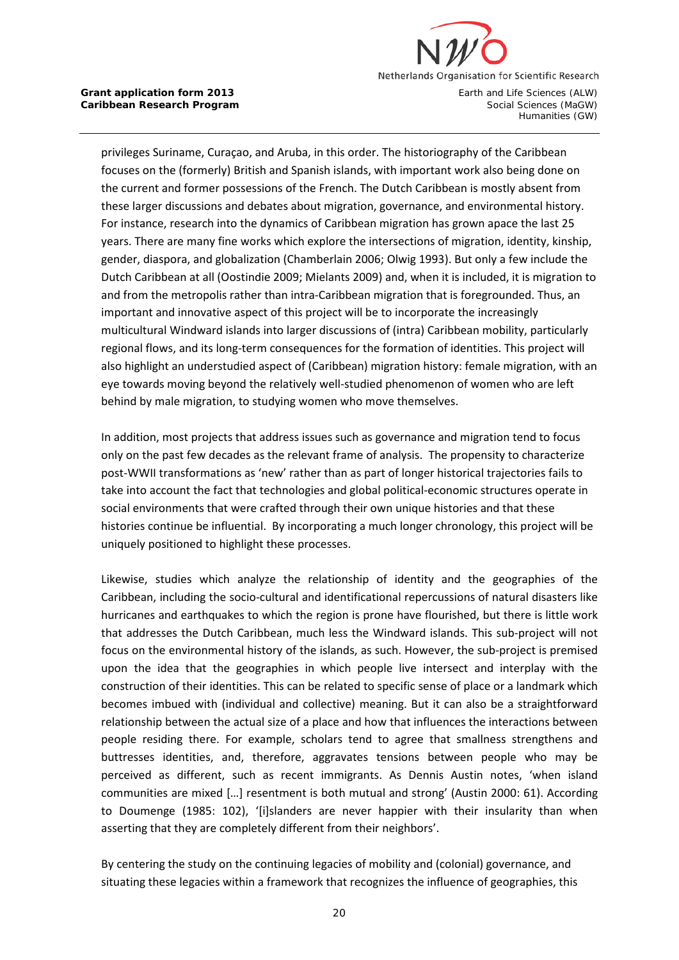

privileges Suriname, Curaçao, and Aruba, in this order. The historiography of the Caribbean focuses on the (formerly) British and Spanish islands, with important work also being done on the current and former possessions of the French. The Dutch Caribbean is mostly absent from these larger discussions and debates about migration, governance, and environmental history. For instance, research into the dynamics of Caribbean migration has grown apace the last 25 years. There are many fine works which explore the intersections of migration, identity, kinship, gender, diaspora, and globalization (Chamberlain 2006; Olwig 1993). But only a few include the Dutch Caribbean at all (Oostindie 2009; Mielants 2009) and, when it is included, it is migration to and from the metropolis rather than intra-Caribbean migration that is foregrounded. Thus, an important and innovative aspect of this project will be to incorporate the increasingly multicultural Windward islands into larger discussions of (intra) Caribbean mobility, particularly regional flows, and its long-term consequences for the formation of identities. This project will also highlight an understudied aspect of (Caribbean) migration history: female migration, with an eye towards moving beyond the relatively well-studied phenomenon of women who are left behind by male migration, to studying women who move themselves.

In addition, most projects that address issues such as governance and migration tend to focus only on the past few decades as the relevant frame of analysis. The propensity to characterize post-WWII transformations as 'new' rather than as part of longer historical trajectories fails to take into account the fact that technologies and global political-economic structures operate in social environments that were crafted through their own unique histories and that these histories continue be influential. By incorporating a much longer chronology, this project will be uniquely positioned to highlight these processes.

Likewise, studies which analyze the relationship of identity and the geographies of the Caribbean, including the socio-cultural and identificational repercussions of natural disasters like hurricanes and earthquakes to which the region is prone have flourished, but there is little work that addresses the Dutch Caribbean, much less the Windward islands. This sub-project will not focus on the environmental history of the islands, as such. However, the sub-project is premised upon the idea that the geographies in which people live intersect and interplay with the construction of their identities. This can be related to specific sense of place or a landmark which becomes imbued with (individual and collective) meaning. But it can also be a straightforward relationship between the actual size of a place and how that influences the interactions between people residing there. For example, scholars tend to agree that smallness strengthens and buttresses identities, and, therefore, aggravates tensions between people who may be perceived as different, such as recent immigrants. As Dennis Austin notes, 'when island communities are mixed […] resentment is both mutual and strong' (Austin [2000: 61\)](#page-8-0). According to Doumenge (1985: 102), '[i]slanders are never happier with their insularity than when asserting that they are completely different from their neighbors'.

By centering the study on the continuing legacies of mobility and (colonial) governance, and situating these legacies within a framework that recognizes the influence of geographies, this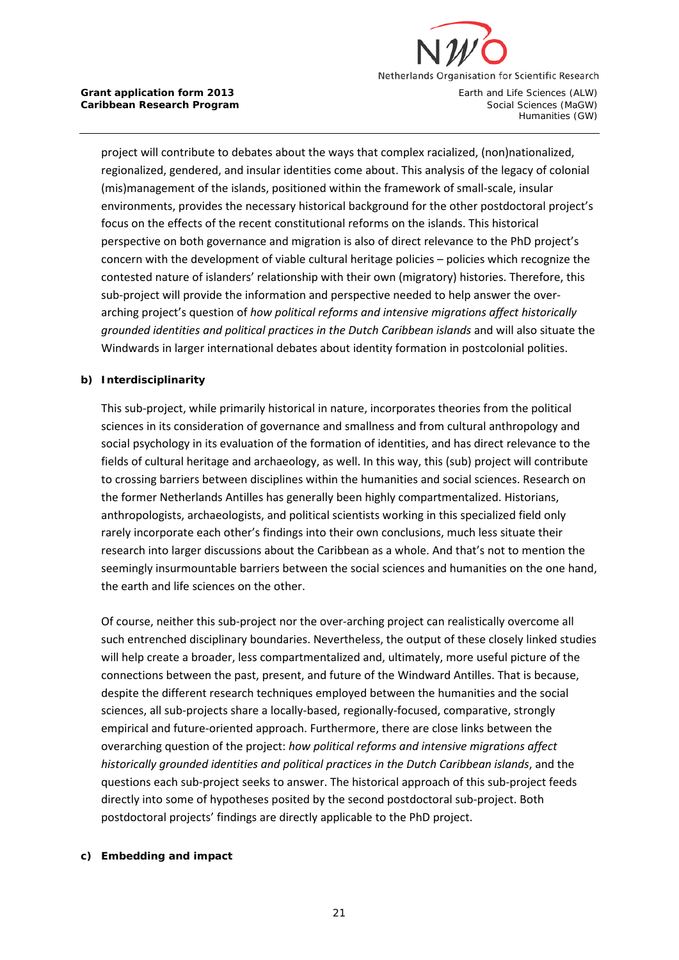

project will contribute to debates about the ways that complex racialized, (non)nationalized, regionalized, gendered, and insular identities come about. This analysis of the legacy of colonial (mis)management of the islands, positioned within the framework of small-scale, insular environments, provides the necessary historical background for the other postdoctoral project's focus on the effects of the recent constitutional reforms on the islands. This historical perspective on both governance and migration is also of direct relevance to the PhD project's concern with the development of viable cultural heritage policies – policies which recognize the contested nature of islanders' relationship with their own (migratory) histories. Therefore, this sub-project will provide the information and perspective needed to help answer the overarching project's question of *how political reforms and intensive migrations affect historically grounded identities and political practices in the Dutch Caribbean islands* and will also situate the Windwards in larger international debates about identity formation in postcolonial polities.

### **b) Interdisciplinarity**

This sub-project, while primarily historical in nature, incorporates theories from the political sciences in its consideration of governance and smallness and from cultural anthropology and social psychology in its evaluation of the formation of identities, and has direct relevance to the fields of cultural heritage and archaeology, as well. In this way, this (sub) project will contribute to crossing barriers between disciplines within the humanities and social sciences. Research on the former Netherlands Antilles has generally been highly compartmentalized. Historians, anthropologists, archaeologists, and political scientists working in this specialized field only rarely incorporate each other's findings into their own conclusions, much less situate their research into larger discussions about the Caribbean as a whole. And that's not to mention the seemingly insurmountable barriers between the social sciences and humanities on the one hand, the earth and life sciences on the other.

Of course, neither this sub-project nor the over-arching project can realistically overcome all such entrenched disciplinary boundaries. Nevertheless, the output of these closely linked studies will help create a broader, less compartmentalized and, ultimately, more useful picture of the connections between the past, present, and future of the Windward Antilles. That is because, despite the different research techniques employed between the humanities and the social sciences, all sub-projects share a locally-based, regionally-focused, comparative, strongly empirical and future-oriented approach. Furthermore, there are close links between the overarching question of the project: *how political reforms and intensive migrations affect historically grounded identities and political practices in the Dutch Caribbean islands*, and the questions each sub-project seeks to answer. The historical approach of this sub-project feeds directly into some of hypotheses posited by the second postdoctoral sub-project. Both postdoctoral projects' findings are directly applicable to the PhD project.

### **c) Embedding and impact**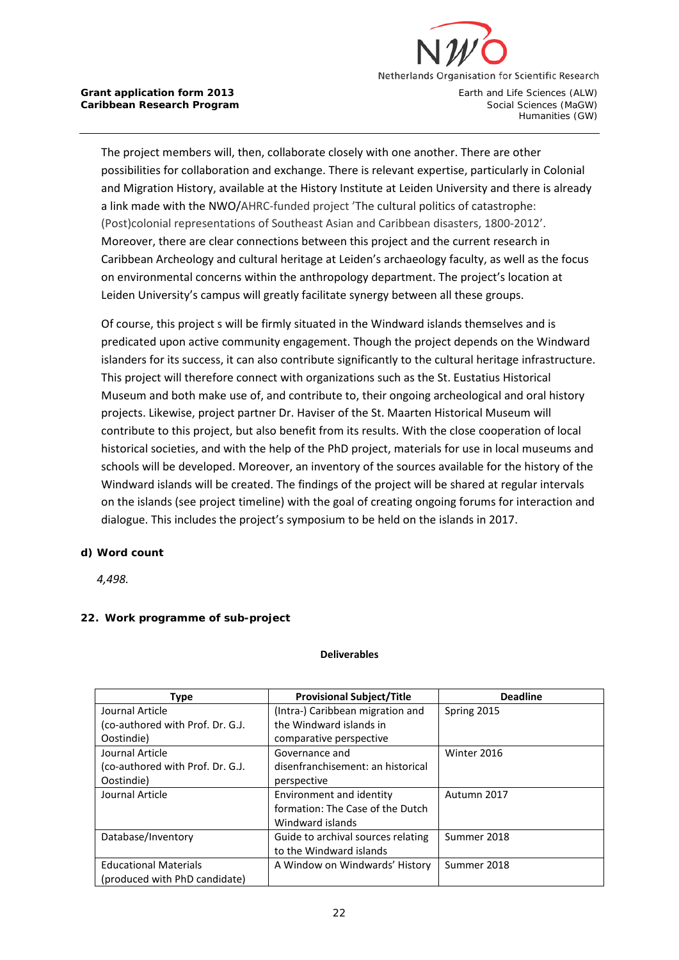

The project members will, then, collaborate closely with one another. There are other possibilities for collaboration and exchange. There is relevant expertise, particularly in Colonial and Migration History, available at the History Institute at Leiden University and there is already a link made with the NWO/AHRC-funded project 'The cultural politics of catastrophe: (Post)colonial representations of Southeast Asian and Caribbean disasters, 1800-2012'. Moreover, there are clear connections between this project and the current research in Caribbean Archeology and cultural heritage at Leiden's archaeology faculty, as well as the focus on environmental concerns within the anthropology department. The project's location at Leiden University's campus will greatly facilitate synergy between all these groups.

Of course, this project s will be firmly situated in the Windward islands themselves and is predicated upon active community engagement. Though the project depends on the Windward islanders for its success, it can also contribute significantly to the cultural heritage infrastructure. This project will therefore connect with organizations such as the St. Eustatius Historical Museum and both make use of, and contribute to, their ongoing archeological and oral history projects. Likewise, project partner Dr. Haviser of the St. Maarten Historical Museum will contribute to this project, but also benefit from its results. With the close cooperation of local historical societies, and with the help of the PhD project, materials for use in local museums and schools will be developed. Moreover, an inventory of the sources available for the history of the Windward islands will be created. The findings of the project will be shared at regular intervals on the islands (see project timeline) with the goal of creating ongoing forums for interaction and dialogue. This includes the project's symposium to be held on the islands in 2017.

### **d) Word count**

*4,498.*

# **22. Work programme of sub-project**

#### **Deliverables**

| Type                             | <b>Provisional Subject/Title</b>   | <b>Deadline</b> |
|----------------------------------|------------------------------------|-----------------|
| Journal Article                  | (Intra-) Caribbean migration and   | Spring 2015     |
| (co-authored with Prof. Dr. G.J. | the Windward islands in            |                 |
| Oostindie)                       | comparative perspective            |                 |
| Journal Article                  | Governance and                     | Winter 2016     |
| (co-authored with Prof. Dr. G.J. | disenfranchisement: an historical  |                 |
| Oostindie)                       | perspective                        |                 |
| Journal Article                  | Environment and identity           | Autumn 2017     |
|                                  | formation: The Case of the Dutch   |                 |
|                                  | Windward islands                   |                 |
| Database/Inventory               | Guide to archival sources relating | Summer 2018     |
|                                  | to the Windward islands            |                 |
| <b>Educational Materials</b>     | A Window on Windwards' History     | Summer 2018     |
| (produced with PhD candidate)    |                                    |                 |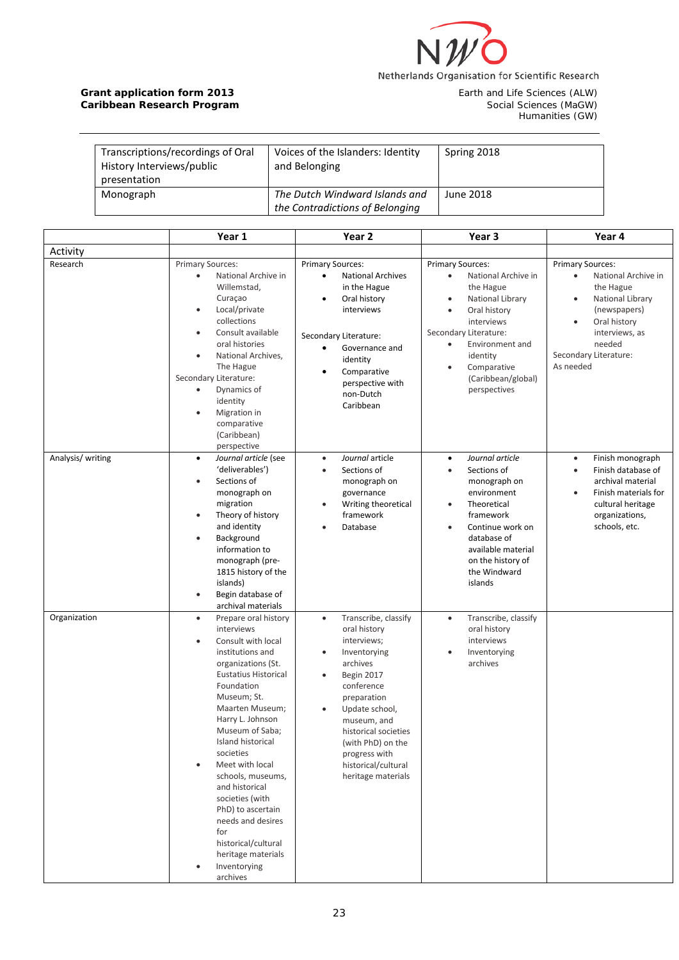

Earth and Life Sciences (ALW)<br>Social Sciences (MaGW)<br>Humanities (GW)

| Transcriptions/recordings of Oral<br>History Interviews/public<br>presentation | Voices of the Islanders: Identity<br>and Belonging                | Spring 2018 |
|--------------------------------------------------------------------------------|-------------------------------------------------------------------|-------------|
| Monograph                                                                      | The Dutch Windward Islands and<br>the Contradictions of Belonging | June 2018   |

|                   | Year 1                                                                                                                                                                                                                                                                                                                                                                                                                                                                                      | Year <sub>2</sub>                                                                                                                                                                                                                                                                                                          | Year 3                                                                                                                                                                                                                                               | Year 4                                                                                                                                                                                                                   |
|-------------------|---------------------------------------------------------------------------------------------------------------------------------------------------------------------------------------------------------------------------------------------------------------------------------------------------------------------------------------------------------------------------------------------------------------------------------------------------------------------------------------------|----------------------------------------------------------------------------------------------------------------------------------------------------------------------------------------------------------------------------------------------------------------------------------------------------------------------------|------------------------------------------------------------------------------------------------------------------------------------------------------------------------------------------------------------------------------------------------------|--------------------------------------------------------------------------------------------------------------------------------------------------------------------------------------------------------------------------|
| Activity          |                                                                                                                                                                                                                                                                                                                                                                                                                                                                                             |                                                                                                                                                                                                                                                                                                                            |                                                                                                                                                                                                                                                      |                                                                                                                                                                                                                          |
| Research          | Primary Sources:<br>National Archive in<br>$\bullet$<br>Willemstad,<br>Curaçao<br>Local/private<br>$\bullet$<br>collections<br>Consult available<br>$\bullet$<br>oral histories<br>National Archives,<br>$\bullet$<br>The Hague<br>Secondary Literature:<br>Dynamics of<br>$\bullet$<br>identity<br>Migration in<br>$\bullet$<br>comparative<br>(Caribbean)<br>perspective                                                                                                                  | <b>Primary Sources:</b><br><b>National Archives</b><br>$\bullet$<br>in the Hague<br>Oral history<br>$\bullet$<br>interviews<br>Secondary Literature:<br>Governance and<br>٠<br>identity<br>Comparative<br>٠<br>perspective with<br>non-Dutch<br>Caribbean                                                                  | <b>Primary Sources:</b><br>National Archive in<br>$\bullet$<br>the Hague<br>National Library<br>Oral history<br>interviews<br>Secondary Literature:<br>Environment and<br>$\bullet$<br>identity<br>Comparative<br>(Caribbean/global)<br>perspectives | <b>Primary Sources:</b><br>National Archive in<br>$\bullet$<br>the Hague<br>National Library<br>$\bullet$<br>(newspapers)<br>Oral history<br>$\bullet$<br>interviews, as<br>needed<br>Secondary Literature:<br>As needed |
| Analysis/ writing | Journal article (see<br>$\bullet$<br>'deliverables')<br>Sections of<br>$\bullet$<br>monograph on<br>migration<br>Theory of history<br>$\bullet$<br>and identity<br>Background<br>$\bullet$<br>information to<br>monograph (pre-<br>1815 history of the<br>islands)<br>Begin database of<br>$\bullet$<br>archival materials                                                                                                                                                                  | Journal article<br>$\bullet$<br>Sections of<br>$\bullet$<br>monograph on<br>governance<br>Writing theoretical<br>$\bullet$<br>framework<br>Database<br>$\bullet$                                                                                                                                                           | Journal article<br>$\bullet$<br>Sections of<br>monograph on<br>environment<br>Theoretical<br>framework<br>Continue work on<br>database of<br>available material<br>on the history of<br>the Windward<br>islands                                      | Finish monograph<br>$\bullet$<br>Finish database of<br>$\bullet$<br>archival material<br>Finish materials for<br>$\bullet$<br>cultural heritage<br>organizations,<br>schools, etc.                                       |
| Organization      | Prepare oral history<br>$\bullet$<br>interviews<br>Consult with local<br>$\bullet$<br>institutions and<br>organizations (St.<br><b>Eustatius Historical</b><br>Foundation<br>Museum; St.<br>Maarten Museum;<br>Harry L. Johnson<br>Museum of Saba;<br>Island historical<br>societies<br>Meet with local<br>schools, museums,<br>and historical<br>societies (with<br>PhD) to ascertain<br>needs and desires<br>for<br>historical/cultural<br>heritage materials<br>Inventorying<br>archives | Transcribe, classify<br>$\bullet$<br>oral history<br>interviews;<br>Inventorying<br>$\bullet$<br>archives<br>Begin 2017<br>$\bullet$<br>conference<br>preparation<br>Update school,<br>$\bullet$<br>museum, and<br>historical societies<br>(with PhD) on the<br>progress with<br>historical/cultural<br>heritage materials | Transcribe, classify<br>$\bullet$<br>oral history<br>interviews<br>Inventorying<br>archives                                                                                                                                                          |                                                                                                                                                                                                                          |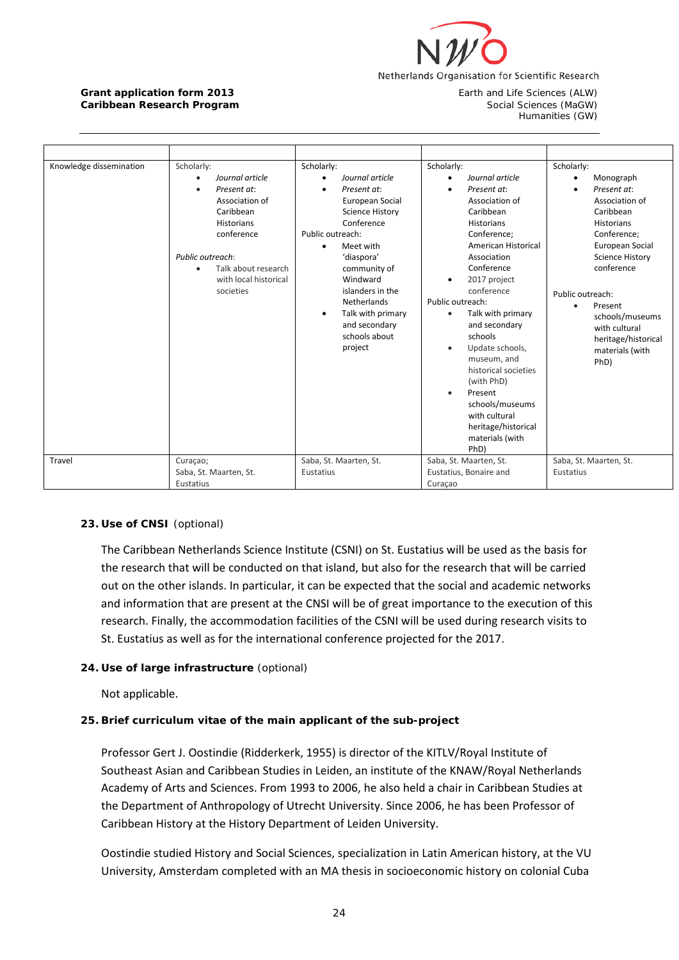

Humanities (GW)

| Knowledge dissemination<br>Scholarly:<br>$\bullet$ | Journal article<br>Present at:<br>Association of<br>Caribbean<br><b>Historians</b><br>conference | Scholarly:<br>$\bullet$<br>٠<br>Public outreach: | Journal article<br>Present at:<br>European Social<br><b>Science History</b><br>Conference                                                                | Scholarly:<br>$\bullet$            | Journal article<br>Present at:<br>Association of<br>Caribbean<br><b>Historians</b><br>Conference;                                                                                                                                                                                                        | Scholarly:                    | Monograph<br>Present at:<br>Association of<br>Caribbean<br><b>Historians</b><br>Conference;                                                              |
|----------------------------------------------------|--------------------------------------------------------------------------------------------------|--------------------------------------------------|----------------------------------------------------------------------------------------------------------------------------------------------------------|------------------------------------|----------------------------------------------------------------------------------------------------------------------------------------------------------------------------------------------------------------------------------------------------------------------------------------------------------|-------------------------------|----------------------------------------------------------------------------------------------------------------------------------------------------------|
| $\bullet$                                          | Public outreach:<br>Talk about research<br>with local historical<br>societies                    | ٠<br>$\bullet$                                   | Meet with<br>'diaspora'<br>community of<br>Windward<br>islanders in the<br>Netherlands<br>Talk with primary<br>and secondary<br>schools about<br>project | ٠<br>Public outreach:<br>$\bullet$ | American Historical<br>Association<br>Conference<br>2017 project<br>conference<br>Talk with primary<br>and secondary<br>schools<br>Update schools,<br>museum, and<br>historical societies<br>(with PhD)<br>Present<br>schools/museums<br>with cultural<br>heritage/historical<br>materials (with<br>PhD) | Public outreach:<br>$\bullet$ | European Social<br><b>Science History</b><br>conference<br>Present<br>schools/museums<br>with cultural<br>heritage/historical<br>materials (with<br>PhD) |
| Travel<br>Curaçao;<br>Eustatius                    | Saba, St. Maarten, St.                                                                           | Eustatius                                        | Saba, St. Maarten, St.                                                                                                                                   | Curaçao                            | Saba, St. Maarten, St.<br>Eustatius, Bonaire and                                                                                                                                                                                                                                                         | Eustatius                     | Saba, St. Maarten, St.                                                                                                                                   |

### **23. Use of CNSI** (optional)

The Caribbean Netherlands Science Institute (CSNI) on St. Eustatius will be used as the basis for the research that will be conducted on that island, but also for the research that will be carried out on the other islands. In particular, it can be expected that the social and academic networks and information that are present at the CNSI will be of great importance to the execution of this research. Finally, the accommodation facilities of the CSNI will be used during research visits to St. Eustatius as well as for the international conference projected for the 2017.

### **24. Use of large infrastructure** (optional)

Not applicable.

### **25. Brief curriculum vitae of the main applicant of the sub-project**

Professor Gert J. Oostindie (Ridderkerk, 1955) is director of the KITLV/Royal Institute of Southeast Asian and Caribbean Studies in Leiden, an institute of the KNAW/Royal Netherlands Academy of Arts and Sciences. From 1993 to 2006, he also held a chair in Caribbean Studies at the Department of Anthropology of Utrecht University. Since 2006, he has been Professor of Caribbean History at the History Department of Leiden University.

Oostindie studied History and Social Sciences, specialization in Latin American history, at the VU University, Amsterdam completed with an MA thesis in socioeconomic history on colonial Cuba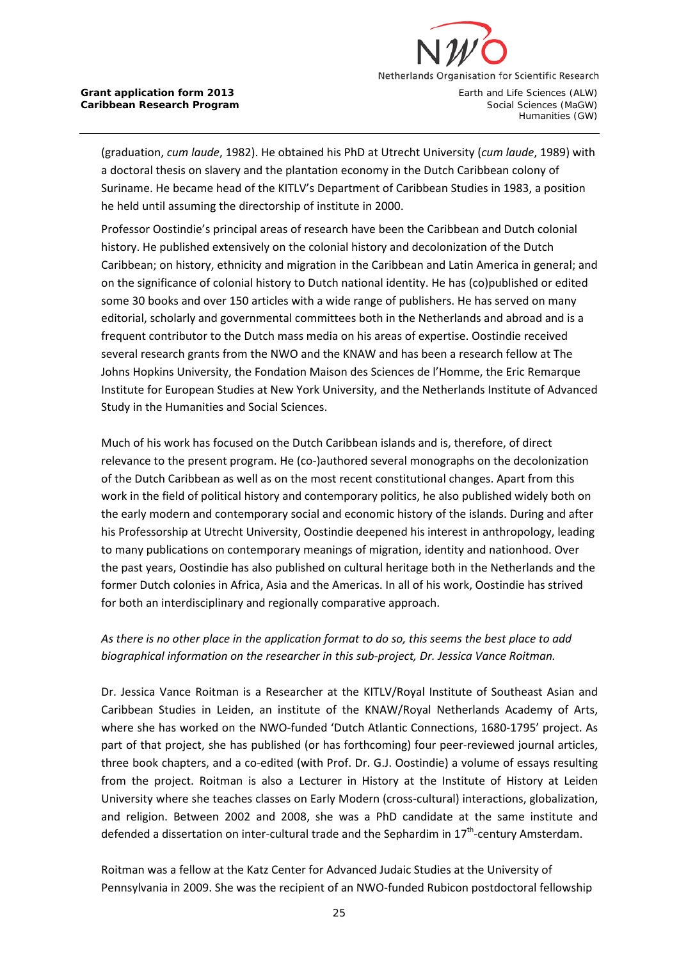

(graduation, *cum laude*, 1982). He obtained his PhD at Utrecht University (*cum laude*, 1989) with a doctoral thesis on slavery and the plantation economy in the Dutch Caribbean colony of Suriname. He became head of the KITLV's Department of Caribbean Studies in 1983, a position he held until assuming the directorship of institute in 2000.

Professor Oostindie's principal areas of research have been the Caribbean and Dutch colonial history. He published extensively on the colonial history and decolonization of the Dutch Caribbean; on history, ethnicity and migration in the Caribbean and Latin America in general; and on the significance of colonial history to Dutch national identity. He has (co)published or edited some 30 books and over 150 articles with a wide range of publishers. He has served on many editorial, scholarly and governmental committees both in the Netherlands and abroad and is a frequent contributor to the Dutch mass media on his areas of expertise. Oostindie received several research grants from the NWO and the KNAW and has been a research fellow at The Johns Hopkins University, the Fondation Maison des Sciences de l'Homme, the Eric Remarque Institute for European Studies at New York University, and the Netherlands Institute of Advanced Study in the Humanities and Social Sciences.

Much of his work has focused on the Dutch Caribbean islands and is, therefore, of direct relevance to the present program. He (co-)authored several monographs on the decolonization of the Dutch Caribbean as well as on the most recent constitutional changes. Apart from this work in the field of political history and contemporary politics, he also published widely both on the early modern and contemporary social and economic history of the islands. During and after his Professorship at Utrecht University, Oostindie deepened his interest in anthropology, leading to many publications on contemporary meanings of migration, identity and nationhood. Over the past years, Oostindie has also published on cultural heritage both in the Netherlands and the former Dutch colonies in Africa, Asia and the Americas. In all of his work, Oostindie has strived for both an interdisciplinary and regionally comparative approach.

# *As there is no other place in the application format to do so, this seems the best place to add biographical information on the researcher in this sub-project, Dr. Jessica Vance Roitman.*

Dr. Jessica Vance Roitman is a Researcher at the KITLV/Royal Institute of Southeast Asian and Caribbean Studies in Leiden, an institute of the KNAW/Royal Netherlands Academy of Arts, where she has worked on the NWO-funded 'Dutch Atlantic Connections, 1680-1795' project. As part of that project, she has published (or has forthcoming) four peer-reviewed journal articles, three book chapters, and a co-edited (with Prof. Dr. G.J. Oostindie) a volume of essays resulting from the project. Roitman is also a Lecturer in History at the Institute of History at Leiden University where she teaches classes on Early Modern (cross-cultural) interactions, globalization, and religion. Between 2002 and 2008, she was a PhD candidate at the same institute and defended a dissertation on inter-cultural trade and the Sephardim in  $17<sup>th</sup>$ -century Amsterdam.

Roitman was a fellow at the Katz Center for Advanced Judaic Studies at the University of Pennsylvania in 2009. She was the recipient of an NWO-funded Rubicon postdoctoral fellowship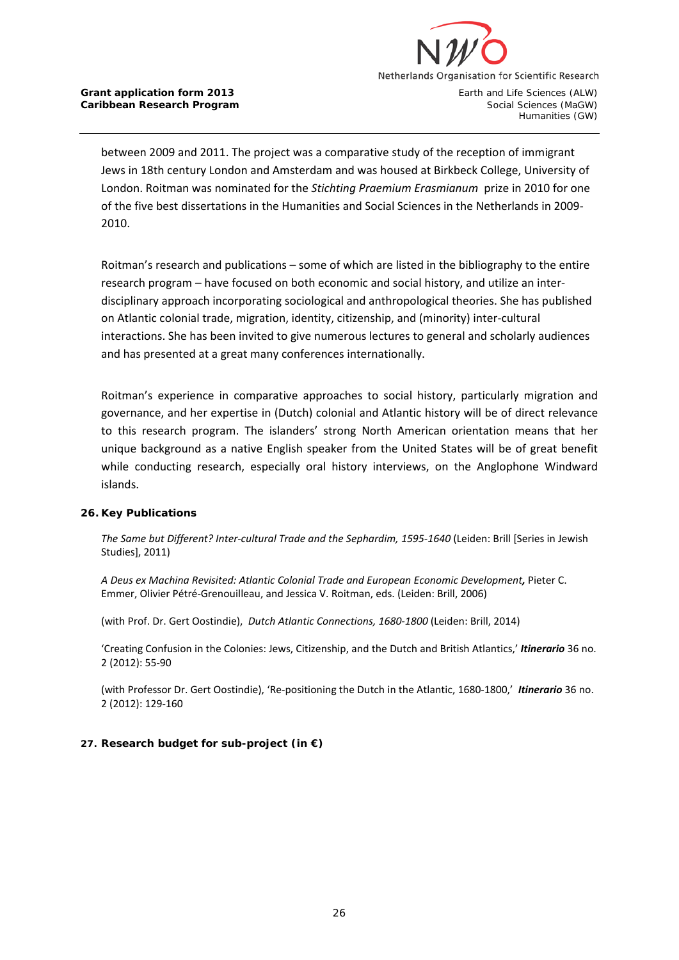

Humanities (GW)

between 2009 and 2011. The project was a comparative study of the reception of immigrant Jews in 18th century London and Amsterdam and was housed at Birkbeck College, University of London. Roitman was nominated for the *Stichting Praemium Erasmianum* prize in 2010 for one of the five best dissertations in the Humanities and Social Sciences in the Netherlands in 2009- 2010.

Roitman's research and publications – some of which are listed in the bibliography to the entire research program – have focused on both economic and social history, and utilize an interdisciplinary approach incorporating sociological and anthropological theories. She has published on Atlantic colonial trade, migration, identity, citizenship, and (minority) inter-cultural interactions. She has been invited to give numerous lectures to general and scholarly audiences and has presented at a great many conferences internationally.

Roitman's experience in comparative approaches to social history, particularly migration and governance, and her expertise in (Dutch) colonial and Atlantic history will be of direct relevance to this research program. The islanders' strong North American orientation means that her unique background as a native English speaker from the United States will be of great benefit while conducting research, especially oral history interviews, on the Anglophone Windward islands.

### **26. Key Publications**

*The Same but Different? Inter-cultural Trade and the Sephardim, 1595-1640* (Leiden: Brill [Series in Jewish Studies], 2011)

*A Deus ex Machina Revisited: Atlantic Colonial Trade and European Economic Development,* Pieter C. Emmer, Olivier Pétré-Grenouilleau, and Jessica V. Roitman, eds. (Leiden: Brill, 2006)

(with Prof. Dr. Gert Oostindie), *Dutch Atlantic Connections, 1680-1800* (Leiden: Brill, 2014)

'Creating Confusion in the Colonies: Jews, Citizenship, and the Dutch and British Atlantics,' *Itinerario* 36 no. 2 (2012): 55-90

(with Professor Dr. Gert Oostindie), 'Re-positioning the Dutch in the Atlantic, 1680-1800,' *Itinerario* 36 no. 2 (2012): 129-160

### **27. Research budget for sub-project (in €)**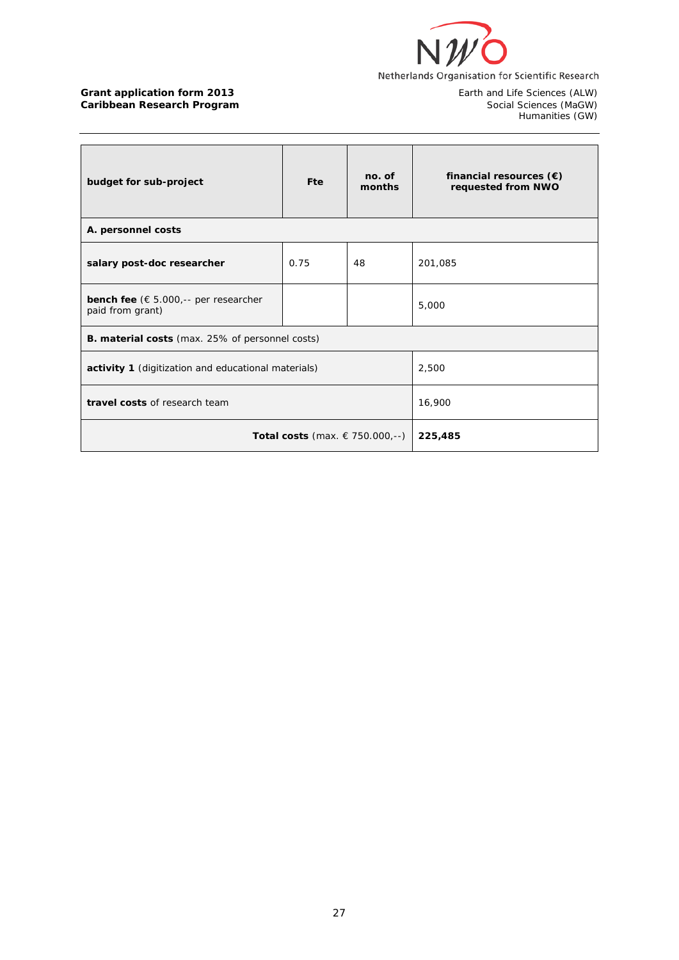

Earth and Life Sciences (ALW)<br>Social Sciences (MaGW)<br>Humanities (GW)

| budget for sub-project                                                    | <b>Fte</b> | no. of<br>months | financial resources $(\epsilon)$<br>requested from NWO |  |  |
|---------------------------------------------------------------------------|------------|------------------|--------------------------------------------------------|--|--|
| A. personnel costs                                                        |            |                  |                                                        |  |  |
| salary post-doc researcher                                                | 0.75       | 48               | 201,085                                                |  |  |
| <b>bench fee</b> ( $\epsilon$ 5.000,-- per researcher<br>paid from grant) |            |                  | 5,000                                                  |  |  |
| <b>B. material costs</b> (max. 25% of personnel costs)                    |            |                  |                                                        |  |  |
| activity 1 (digitization and educational materials)                       | 2,500      |                  |                                                        |  |  |
| travel costs of research team                                             | 16,900     |                  |                                                        |  |  |
| <b>Total costs</b> (max. € 750.000,--)                                    | 225,485    |                  |                                                        |  |  |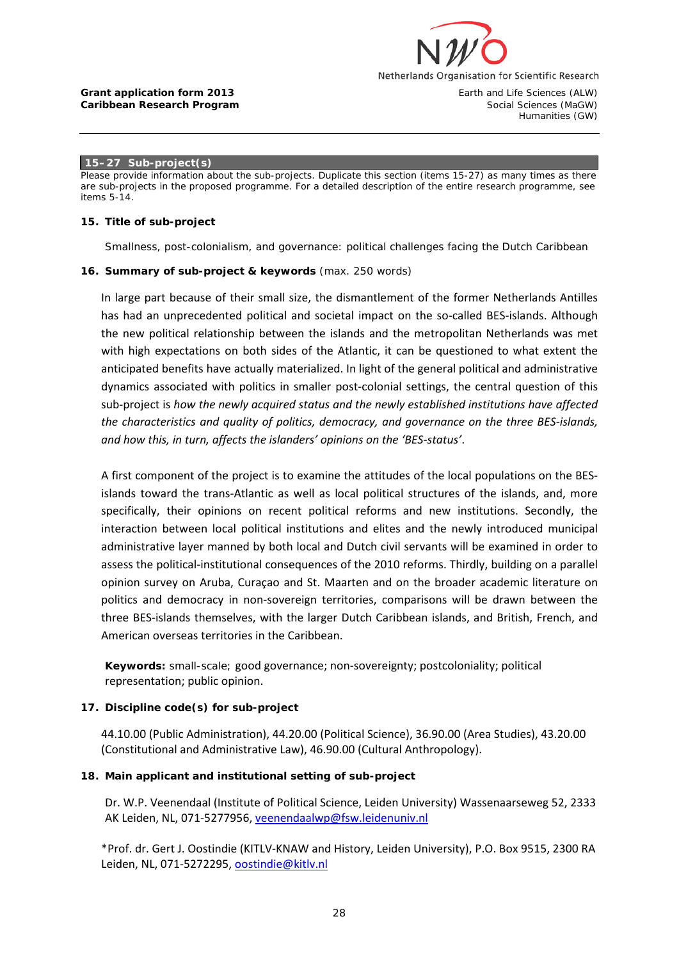

#### **15–27 Sub-project(s)**

*Please provide information about the sub-projects. Duplicate this section (items 15-27) as many times as there are sub-projects in the proposed programme. For a detailed description of the entire research programme, see items 5-14.*

#### **15. Title of sub-project**

Smallness, post-colonialism, and governance: political challenges facing the Dutch Caribbean

#### **16. Summary of sub-project & keywords** (max. 250 words)

In large part because of their small size, the dismantlement of the former Netherlands Antilles has had an unprecedented political and societal impact on the so-called BES-islands. Although the new political relationship between the islands and the metropolitan Netherlands was met with high expectations on both sides of the Atlantic, it can be questioned to what extent the anticipated benefits have actually materialized. In light of the general political and administrative dynamics associated with politics in smaller post-colonial settings, the central question of this sub-project is *how the newly acquired status and the newly established institutions have affected the characteristics and quality of politics, democracy, and governance on the three BES-islands, and how this, in turn, affects the islanders' opinions on the 'BES-status'*.

A first component of the project is to examine the attitudes of the local populations on the BESislands toward the trans-Atlantic as well as local political structures of the islands, and, more specifically, their opinions on recent political reforms and new institutions. Secondly, the interaction between local political institutions and elites and the newly introduced municipal administrative layer manned by both local and Dutch civil servants will be examined in order to assess the political-institutional consequences of the 2010 reforms. Thirdly, building on a parallel opinion survey on Aruba, Curaçao and St. Maarten and on the broader academic literature on politics and democracy in non-sovereign territories, comparisons will be drawn between the three BES-islands themselves, with the larger Dutch Caribbean islands, and British, French, and American overseas territories in the Caribbean.

**Keywords:** small-scale; good governance; non-sovereignty; postcoloniality; political representation; public opinion.

#### **17. Discipline code(s) for sub-project**

44.10.00 (Public Administration), 44.20.00 (Political Science), 36.90.00 (Area Studies), 43.20.00 (Constitutional and Administrative Law), 46.90.00 (Cultural Anthropology).

#### **18. Main applicant and institutional setting of sub-project**

Dr. W.P. Veenendaal (Institute of Political Science, Leiden University) Wassenaarseweg 52, 2333 AK Leiden, NL, 071-5277956, [veenendaalwp@fsw.leidenuniv.nl](mailto:veenendaalwp@fsw.leidenuniv.nl)

\*Prof. dr. Gert J. Oostindie (KITLV-KNAW and History, Leiden University), P.O. Box 9515, 2300 RA Leiden, NL, 071-5272295, [oostindie@kitlv.nl](mailto:oostindie@kitlv.nl)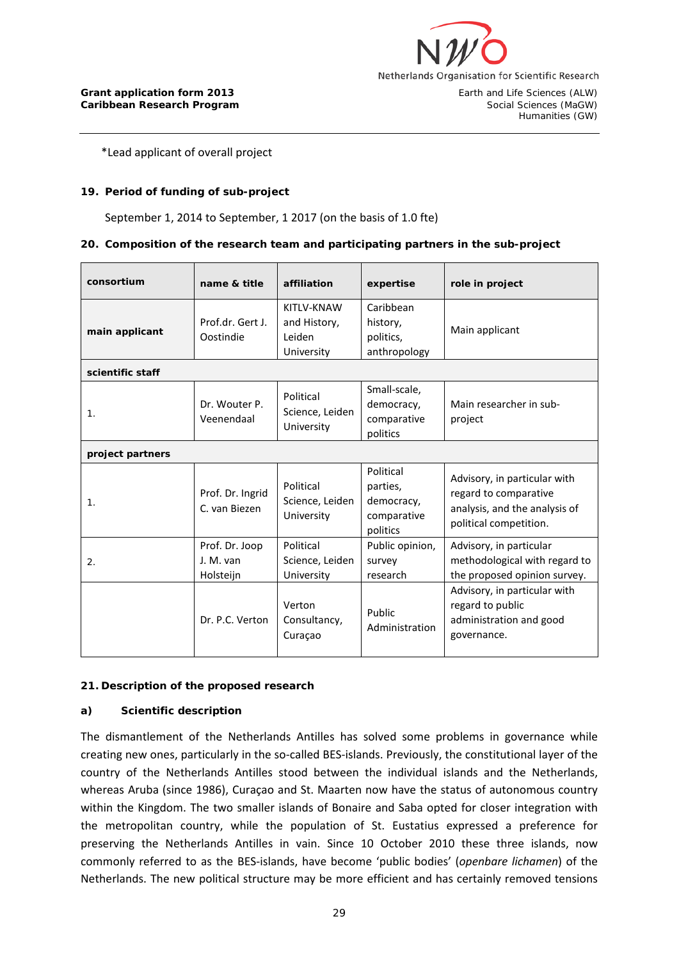

\*Lead applicant of overall project

### **19. Period of funding of sub-project**

September 1, 2014 to September, 1 2017 (on the basis of 1.0 fte)

#### **20. Composition of the research team and participating partners in the sub-project**

| consortium                         | name & title                             | affiliation                                        | expertise                                                      | role in project                                                                                                  |  |  |
|------------------------------------|------------------------------------------|----------------------------------------------------|----------------------------------------------------------------|------------------------------------------------------------------------------------------------------------------|--|--|
| main applicant<br>scientific staff | Prof.dr. Gert J.<br>Oostindie            | KITLV-KNAW<br>and History,<br>Leiden<br>University | Caribbean<br>history,<br>politics,<br>anthropology             | Main applicant                                                                                                   |  |  |
| 1.                                 | Dr. Wouter P.<br>Veenendaal              | Political<br>Science, Leiden<br>University         | Small-scale,<br>democracy,<br>comparative<br>politics          | Main researcher in sub-<br>project                                                                               |  |  |
| project partners                   |                                          |                                                    |                                                                |                                                                                                                  |  |  |
| 1 <sub>1</sub>                     | Prof. Dr. Ingrid<br>C. van Biezen        | Political<br>Science, Leiden<br>University         | Political<br>parties,<br>democracy,<br>comparative<br>politics | Advisory, in particular with<br>regard to comparative<br>analysis, and the analysis of<br>political competition. |  |  |
| 2.                                 | Prof. Dr. Joop<br>J. M. van<br>Holsteijn | Political<br>Science, Leiden<br>University         | Public opinion,<br>survey<br>research                          | Advisory, in particular<br>methodological with regard to<br>the proposed opinion survey.                         |  |  |
|                                    | Dr. P.C. Verton                          | Verton<br>Consultancy,<br>Curaçao                  | Public<br>Administration                                       | Advisory, in particular with<br>regard to public<br>administration and good<br>governance.                       |  |  |

#### **21. Description of the proposed research**

#### **a) Scientific description**

The dismantlement of the Netherlands Antilles has solved some problems in governance while creating new ones, particularly in the so-called BES-islands. Previously, the constitutional layer of the country of the Netherlands Antilles stood between the individual islands and the Netherlands, whereas Aruba (since 1986), Curaçao and St. Maarten now have the status of autonomous country within the Kingdom. The two smaller islands of Bonaire and Saba opted for closer integration with the metropolitan country, while the population of St. Eustatius expressed a preference for preserving the Netherlands Antilles in vain. Since 10 October 2010 these three islands, now commonly referred to as the BES-islands, have become 'public bodies' (*openbare lichamen*) of the Netherlands. The new political structure may be more efficient and has certainly removed tensions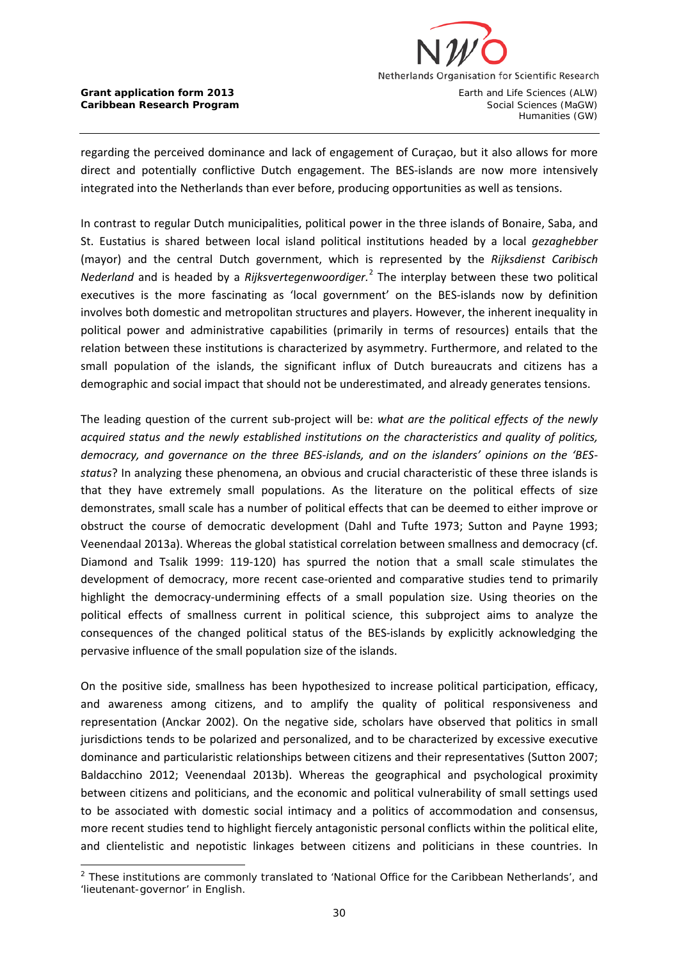

**Caribbean Research Program** Social Sciences (MaGW)

Humanities (GW)

regarding the perceived dominance and lack of engagement of Curaçao, but it also allows for more direct and potentially conflictive Dutch engagement. The BES-islands are now more intensively integrated into the Netherlands than ever before, producing opportunities as well as tensions.

In contrast to regular Dutch municipalities, political power in the three islands of Bonaire, Saba, and St. Eustatius is shared between local island political institutions headed by a local *gezaghebber*  (mayor) and the central Dutch government, which is represented by the *Rijksdienst Caribisch Nederland* and is headed by a *Rijksvertegenwoordiger.*[2](#page-29-0) The interplay between these two political executives is the more fascinating as 'local government' on the BES-islands now by definition involves both domestic and metropolitan structures and players. However, the inherent inequality in political power and administrative capabilities (primarily in terms of resources) entails that the relation between these institutions is characterized by asymmetry. Furthermore, and related to the small population of the islands, the significant influx of Dutch bureaucrats and citizens has a demographic and social impact that should not be underestimated, and already generates tensions.

The leading question of the current sub-project will be: *what are the political effects of the newly acquired status and the newly established institutions on the characteristics and quality of politics, democracy, and governance on the three BES-islands, and on the islanders' opinions on the 'BESstatus*? In analyzing these phenomena, an obvious and crucial characteristic of these three islands is that they have extremely small populations. As the literature on the political effects of size demonstrates, small scale has a number of political effects that can be deemed to either improve or obstruct the course of democratic development (Dahl and Tufte 1973; Sutton and Payne 1993; Veenendaal 2013a). Whereas the global statistical correlation between smallness and democracy (cf. Diamond and Tsalik 1999: 119-120) has spurred the notion that a small scale stimulates the development of democracy, more recent case-oriented and comparative studies tend to primarily highlight the democracy-undermining effects of a small population size. Using theories on the political effects of smallness current in political science, this subproject aims to analyze the consequences of the changed political status of the BES-islands by explicitly acknowledging the pervasive influence of the small population size of the islands.

On the positive side, smallness has been hypothesized to increase political participation, efficacy, and awareness among citizens, and to amplify the quality of political responsiveness and representation (Anckar 2002). On the negative side, scholars have observed that politics in small jurisdictions tends to be polarized and personalized, and to be characterized by excessive executive dominance and particularistic relationships between citizens and their representatives (Sutton 2007; Baldacchino 2012; Veenendaal 2013b). Whereas the geographical and psychological proximity between citizens and politicians, and the economic and political vulnerability of small settings used to be associated with domestic social intimacy and a politics of accommodation and consensus, more recent studies tend to highlight fiercely antagonistic personal conflicts within the political elite, and clientelistic and nepotistic linkages between citizens and politicians in these countries. In

<span id="page-29-0"></span><sup>-</sup> $2$  These institutions are commonly translated to 'National Office for the Caribbean Netherlands', and 'lieutenant-governor' in English.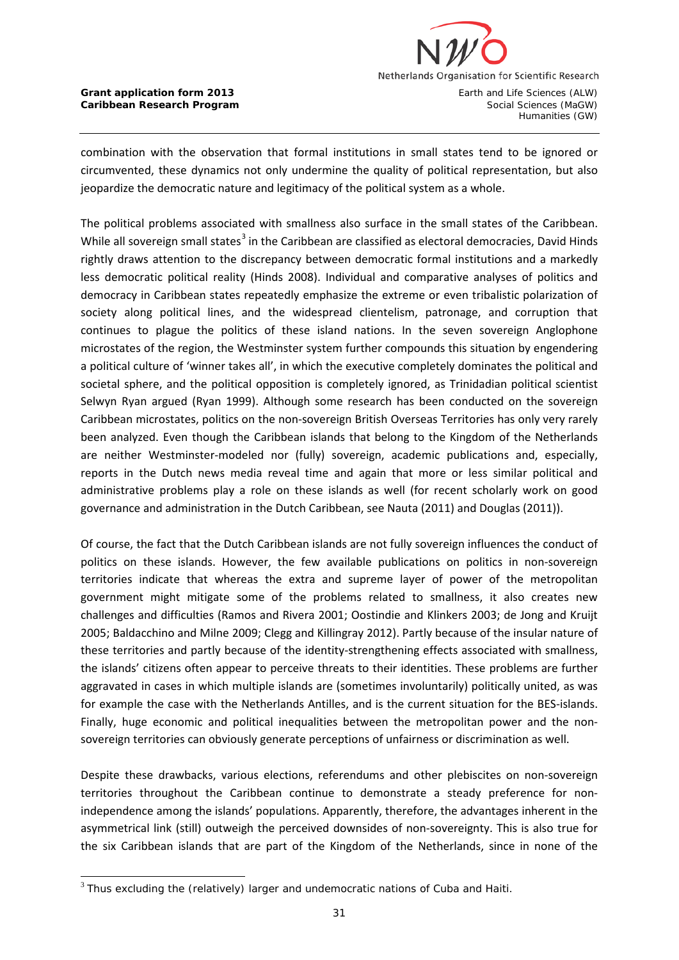

**Caribbean Research Program** Social Sciences (MaGW)

Humanities (GW)

combination with the observation that formal institutions in small states tend to be ignored or circumvented, these dynamics not only undermine the quality of political representation, but also jeopardize the democratic nature and legitimacy of the political system as a whole.

The political problems associated with smallness also surface in the small states of the Caribbean. While all sovereign small states<sup>[3](#page-30-0)</sup> in the Caribbean are classified as electoral democracies, David Hinds rightly draws attention to the discrepancy between democratic formal institutions and a markedly less democratic political reality (Hinds 2008). Individual and comparative analyses of politics and democracy in Caribbean states repeatedly emphasize the extreme or even tribalistic polarization of society along political lines, and the widespread clientelism, patronage, and corruption that continues to plague the politics of these island nations. In the seven sovereign Anglophone microstates of the region, the Westminster system further compounds this situation by engendering a political culture of 'winner takes all', in which the executive completely dominates the political and societal sphere, and the political opposition is completely ignored, as Trinidadian political scientist Selwyn Ryan argued (Ryan 1999). Although some research has been conducted on the sovereign Caribbean microstates, politics on the non-sovereign British Overseas Territories has only very rarely been analyzed. Even though the Caribbean islands that belong to the Kingdom of the Netherlands are neither Westminster-modeled nor (fully) sovereign, academic publications and, especially, reports in the Dutch news media reveal time and again that more or less similar political and administrative problems play a role on these islands as well (for recent scholarly work on good governance and administration in the Dutch Caribbean, see Nauta (2011) and Douglas (2011)).

Of course, the fact that the Dutch Caribbean islands are not fully sovereign influences the conduct of politics on these islands. However, the few available publications on politics in non-sovereign territories indicate that whereas the extra and supreme layer of power of the metropolitan government might mitigate some of the problems related to smallness, it also creates new challenges and difficulties (Ramos and Rivera 2001; Oostindie and Klinkers 2003; de Jong and Kruijt 2005; Baldacchino and Milne 2009; Clegg and Killingray 2012). Partly because of the insular nature of these territories and partly because of the identity-strengthening effects associated with smallness, the islands' citizens often appear to perceive threats to their identities. These problems are further aggravated in cases in which multiple islands are (sometimes involuntarily) politically united, as was for example the case with the Netherlands Antilles, and is the current situation for the BES-islands. Finally, huge economic and political inequalities between the metropolitan power and the nonsovereign territories can obviously generate perceptions of unfairness or discrimination as well.

Despite these drawbacks, various elections, referendums and other plebiscites on non-sovereign territories throughout the Caribbean continue to demonstrate a steady preference for nonindependence among the islands' populations. Apparently, therefore, the advantages inherent in the asymmetrical link (still) outweigh the perceived downsides of non-sovereignty. This is also true for the six Caribbean islands that are part of the Kingdom of the Netherlands, since in none of the

<span id="page-30-0"></span> $3$  Thus excluding the (relatively) larger and undemocratic nations of Cuba and Haiti.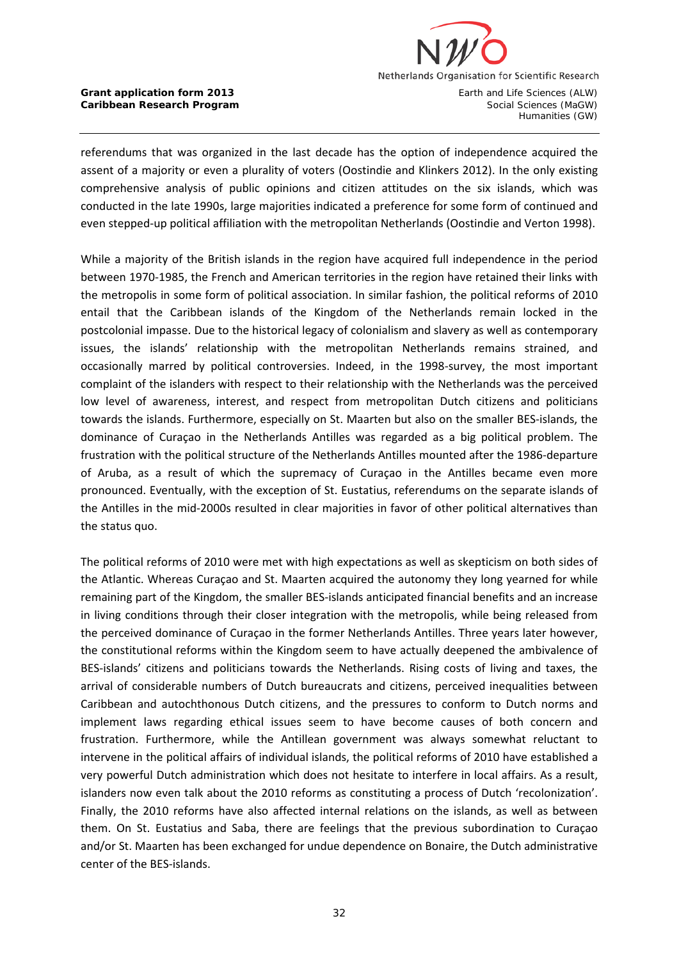

referendums that was organized in the last decade has the option of independence acquired the assent of a majority or even a plurality of voters (Oostindie and Klinkers 2012). In the only existing comprehensive analysis of public opinions and citizen attitudes on the six islands, which was conducted in the late 1990s, large majorities indicated a preference for some form of continued and even stepped-up political affiliation with the metropolitan Netherlands (Oostindie and Verton 1998).

While a majority of the British islands in the region have acquired full independence in the period between 1970-1985, the French and American territories in the region have retained their links with the metropolis in some form of political association. In similar fashion, the political reforms of 2010 entail that the Caribbean islands of the Kingdom of the Netherlands remain locked in the postcolonial impasse. Due to the historical legacy of colonialism and slavery as well as contemporary issues, the islands' relationship with the metropolitan Netherlands remains strained, and occasionally marred by political controversies. Indeed, in the 1998-survey, the most important complaint of the islanders with respect to their relationship with the Netherlands was the perceived low level of awareness, interest, and respect from metropolitan Dutch citizens and politicians towards the islands. Furthermore, especially on St. Maarten but also on the smaller BES-islands, the dominance of Curaçao in the Netherlands Antilles was regarded as a big political problem. The frustration with the political structure of the Netherlands Antilles mounted after the 1986-departure of Aruba, as a result of which the supremacy of Curaçao in the Antilles became even more pronounced. Eventually, with the exception of St. Eustatius, referendums on the separate islands of the Antilles in the mid-2000s resulted in clear majorities in favor of other political alternatives than the status quo.

The political reforms of 2010 were met with high expectations as well as skepticism on both sides of the Atlantic. Whereas Curaçao and St. Maarten acquired the autonomy they long yearned for while remaining part of the Kingdom, the smaller BES-islands anticipated financial benefits and an increase in living conditions through their closer integration with the metropolis, while being released from the perceived dominance of Curaçao in the former Netherlands Antilles. Three years later however, the constitutional reforms within the Kingdom seem to have actually deepened the ambivalence of BES-islands' citizens and politicians towards the Netherlands. Rising costs of living and taxes, the arrival of considerable numbers of Dutch bureaucrats and citizens, perceived inequalities between Caribbean and autochthonous Dutch citizens, and the pressures to conform to Dutch norms and implement laws regarding ethical issues seem to have become causes of both concern and frustration. Furthermore, while the Antillean government was always somewhat reluctant to intervene in the political affairs of individual islands, the political reforms of 2010 have established a very powerful Dutch administration which does not hesitate to interfere in local affairs. As a result, islanders now even talk about the 2010 reforms as constituting a process of Dutch 'recolonization'. Finally, the 2010 reforms have also affected internal relations on the islands, as well as between them. On St. Eustatius and Saba, there are feelings that the previous subordination to Curaçao and/or St. Maarten has been exchanged for undue dependence on Bonaire, the Dutch administrative center of the BES-islands.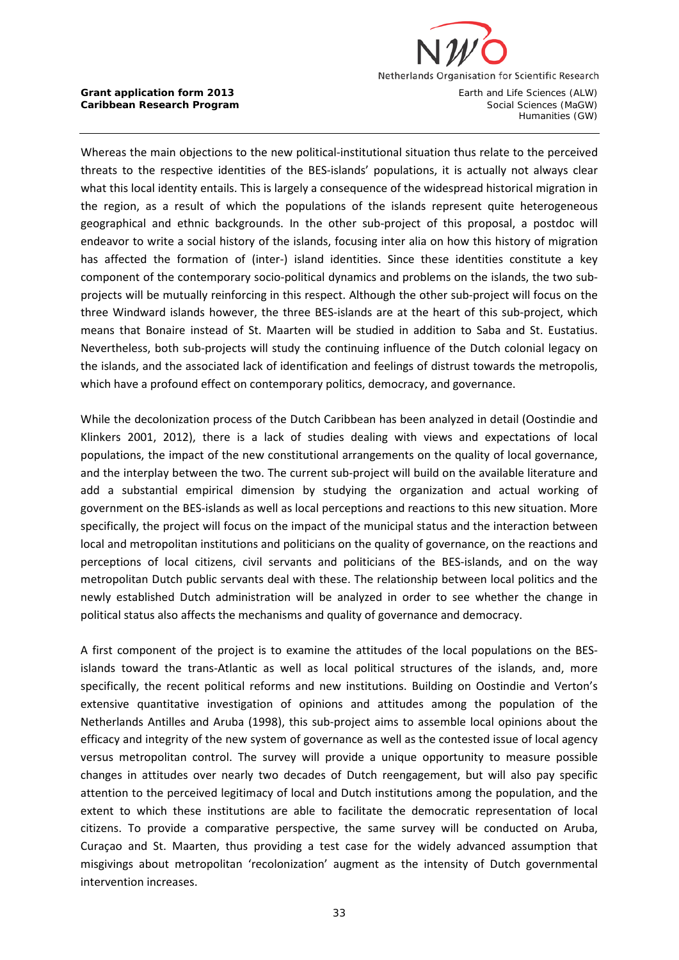

Whereas the main objections to the new political-institutional situation thus relate to the perceived threats to the respective identities of the BES-islands' populations, it is actually not always clear what this local identity entails. This is largely a consequence of the widespread historical migration in the region, as a result of which the populations of the islands represent quite heterogeneous geographical and ethnic backgrounds. In the other sub-project of this proposal, a postdoc will endeavor to write a social history of the islands, focusing inter alia on how this history of migration has affected the formation of (inter-) island identities. Since these identities constitute a key component of the contemporary socio-political dynamics and problems on the islands, the two subprojects will be mutually reinforcing in this respect. Although the other sub-project will focus on the three Windward islands however, the three BES-islands are at the heart of this sub-project, which means that Bonaire instead of St. Maarten will be studied in addition to Saba and St. Eustatius. Nevertheless, both sub-projects will study the continuing influence of the Dutch colonial legacy on the islands, and the associated lack of identification and feelings of distrust towards the metropolis, which have a profound effect on contemporary politics, democracy, and governance.

While the decolonization process of the Dutch Caribbean has been analyzed in detail (Oostindie and Klinkers 2001, 2012), there is a lack of studies dealing with views and expectations of local populations, the impact of the new constitutional arrangements on the quality of local governance, and the interplay between the two. The current sub-project will build on the available literature and add a substantial empirical dimension by studying the organization and actual working of government on the BES-islands as well as local perceptions and reactions to this new situation. More specifically, the project will focus on the impact of the municipal status and the interaction between local and metropolitan institutions and politicians on the quality of governance, on the reactions and perceptions of local citizens, civil servants and politicians of the BES-islands, and on the way metropolitan Dutch public servants deal with these. The relationship between local politics and the newly established Dutch administration will be analyzed in order to see whether the change in political status also affects the mechanisms and quality of governance and democracy.

A first component of the project is to examine the attitudes of the local populations on the BESislands toward the trans-Atlantic as well as local political structures of the islands, and, more specifically, the recent political reforms and new institutions. Building on Oostindie and Verton's extensive quantitative investigation of opinions and attitudes among the population of the Netherlands Antilles and Aruba (1998), this sub-project aims to assemble local opinions about the efficacy and integrity of the new system of governance as well as the contested issue of local agency versus metropolitan control. The survey will provide a unique opportunity to measure possible changes in attitudes over nearly two decades of Dutch reengagement, but will also pay specific attention to the perceived legitimacy of local and Dutch institutions among the population, and the extent to which these institutions are able to facilitate the democratic representation of local citizens. To provide a comparative perspective, the same survey will be conducted on Aruba, Curaçao and St. Maarten, thus providing a test case for the widely advanced assumption that misgivings about metropolitan 'recolonization' augment as the intensity of Dutch governmental intervention increases.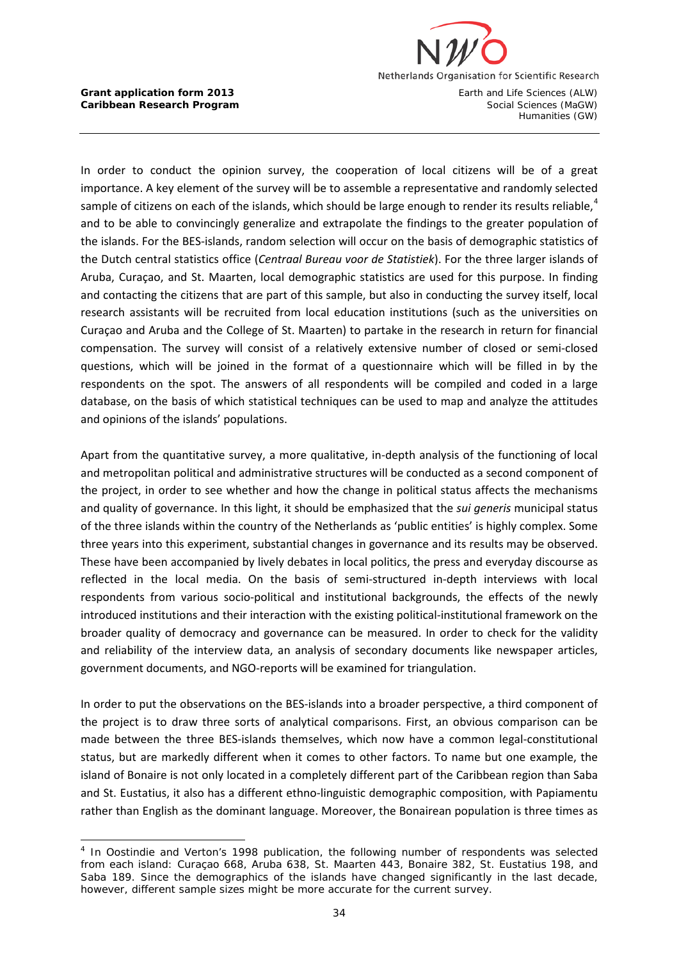

**Caribbean Research Program** Social Sciences (MaGW)

Humanities (GW)

In order to conduct the opinion survey, the cooperation of local citizens will be of a great importance. A key element of the survey will be to assemble a representative and randomly selected sample of citizens on each of the islands, which should be large enough to render its results reliable,  $4$ and to be able to convincingly generalize and extrapolate the findings to the greater population of the islands. For the BES-islands, random selection will occur on the basis of demographic statistics of the Dutch central statistics office (*Centraal Bureau voor de Statistiek*). For the three larger islands of Aruba, Curaçao, and St. Maarten, local demographic statistics are used for this purpose. In finding and contacting the citizens that are part of this sample, but also in conducting the survey itself, local research assistants will be recruited from local education institutions (such as the universities on Curaçao and Aruba and the College of St. Maarten) to partake in the research in return for financial compensation. The survey will consist of a relatively extensive number of closed or semi-closed questions, which will be joined in the format of a questionnaire which will be filled in by the respondents on the spot. The answers of all respondents will be compiled and coded in a large database, on the basis of which statistical techniques can be used to map and analyze the attitudes and opinions of the islands' populations.

Apart from the quantitative survey, a more qualitative, in-depth analysis of the functioning of local and metropolitan political and administrative structures will be conducted as a second component of the project, in order to see whether and how the change in political status affects the mechanisms and quality of governance. In this light, it should be emphasized that the *sui generis* municipal status of the three islands within the country of the Netherlands as 'public entities' is highly complex. Some three years into this experiment, substantial changes in governance and its results may be observed. These have been accompanied by lively debates in local politics, the press and everyday discourse as reflected in the local media. On the basis of semi-structured in-depth interviews with local respondents from various socio-political and institutional backgrounds, the effects of the newly introduced institutions and their interaction with the existing political-institutional framework on the broader quality of democracy and governance can be measured. In order to check for the validity and reliability of the interview data, an analysis of secondary documents like newspaper articles, government documents, and NGO-reports will be examined for triangulation.

In order to put the observations on the BES-islands into a broader perspective, a third component of the project is to draw three sorts of analytical comparisons. First, an obvious comparison can be made between the three BES-islands themselves, which now have a common legal-constitutional status, but are markedly different when it comes to other factors. To name but one example, the island of Bonaire is not only located in a completely different part of the Caribbean region than Saba and St. Eustatius, it also has a different ethno-linguistic demographic composition, with Papiamentu rather than English as the dominant language. Moreover, the Bonairean population is three times as

<span id="page-33-0"></span>l <sup>4</sup> In Oostindie and Verton's 1998 publication, the following number of respondents was selected from each island: Curaçao 668, Aruba 638, St. Maarten 443, Bonaire 382, St. Eustatius 198, and Saba 189. Since the demographics of the islands have changed significantly in the last decade, however, different sample sizes might be more accurate for the current survey.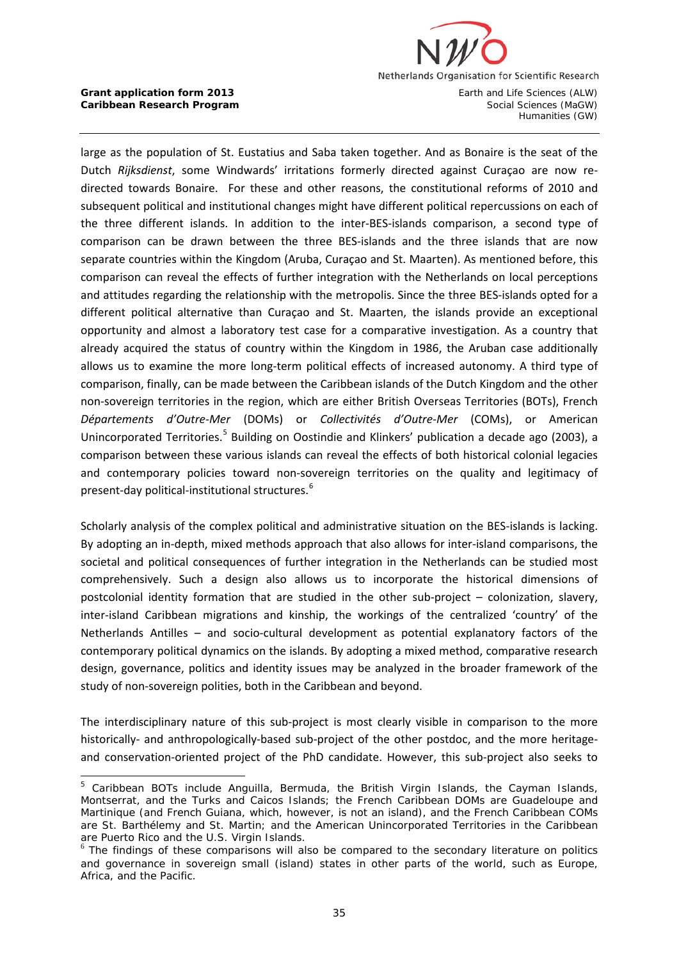

large as the population of St. Eustatius and Saba taken together. And as Bonaire is the seat of the Dutch *Rijksdienst*, some Windwards' irritations formerly directed against Curaçao are now redirected towards Bonaire. For these and other reasons, the constitutional reforms of 2010 and subsequent political and institutional changes might have different political repercussions on each of the three different islands. In addition to the inter-BES-islands comparison, a second type of comparison can be drawn between the three BES-islands and the three islands that are now separate countries within the Kingdom (Aruba, Curaçao and St. Maarten). As mentioned before, this comparison can reveal the effects of further integration with the Netherlands on local perceptions and attitudes regarding the relationship with the metropolis. Since the three BES-islands opted for a different political alternative than Curaçao and St. Maarten, the islands provide an exceptional opportunity and almost a laboratory test case for a comparative investigation. As a country that already acquired the status of country within the Kingdom in 1986, the Aruban case additionally allows us to examine the more long-term political effects of increased autonomy. A third type of comparison, finally, can be made between the Caribbean islands of the Dutch Kingdom and the other non-sovereign territories in the region, which are either British Overseas Territories (BOTs), French *Départements d'Outre-Mer* (DOMs) or *Collectivités d'Outre-Mer* (COMs), or American Unincorporated Territories.<sup>[5](#page-34-0)</sup> Building on Oostindie and Klinkers' publication a decade ago (2003), a comparison between these various islands can reveal the effects of both historical colonial legacies and contemporary policies toward non-sovereign territories on the quality and legitimacy of present-day political-institutional structures.[6](#page-34-1)

Scholarly analysis of the complex political and administrative situation on the BES-islands is lacking. By adopting an in-depth, mixed methods approach that also allows for inter-island comparisons, the societal and political consequences of further integration in the Netherlands can be studied most comprehensively. Such a design also allows us to incorporate the historical dimensions of postcolonial identity formation that are studied in the other sub-project – colonization, slavery, inter-island Caribbean migrations and kinship, the workings of the centralized 'country' of the Netherlands Antilles – and socio-cultural development as potential explanatory factors of the contemporary political dynamics on the islands. By adopting a mixed method, comparative research design, governance, politics and identity issues may be analyzed in the broader framework of the study of non-sovereign polities, both in the Caribbean and beyond.

The interdisciplinary nature of this sub-project is most clearly visible in comparison to the more historically- and anthropologically-based sub-project of the other postdoc, and the more heritageand conservation-oriented project of the PhD candidate. However, this sub-project also seeks to

<span id="page-34-0"></span>j  $5$  Caribbean BOTs include Anguilla, Bermuda, the British Virgin Islands, the Cayman Islands, Montserrat, and the Turks and Caicos Islands; the French Caribbean DOMs are Guadeloupe and Martinique (and French Guiana, which, however, is not an island), and the French Caribbean COMs are St. Barthélemy and St. Martin; and the American Unincorporated Territories in the Caribbean are Puerto Rico and the U.S. Virgin Islands.

<span id="page-34-1"></span> $6$  The findings of these comparisons will also be compared to the secondary literature on politics and governance in sovereign small (island) states in other parts of the world, such as Europe, Africa, and the Pacific.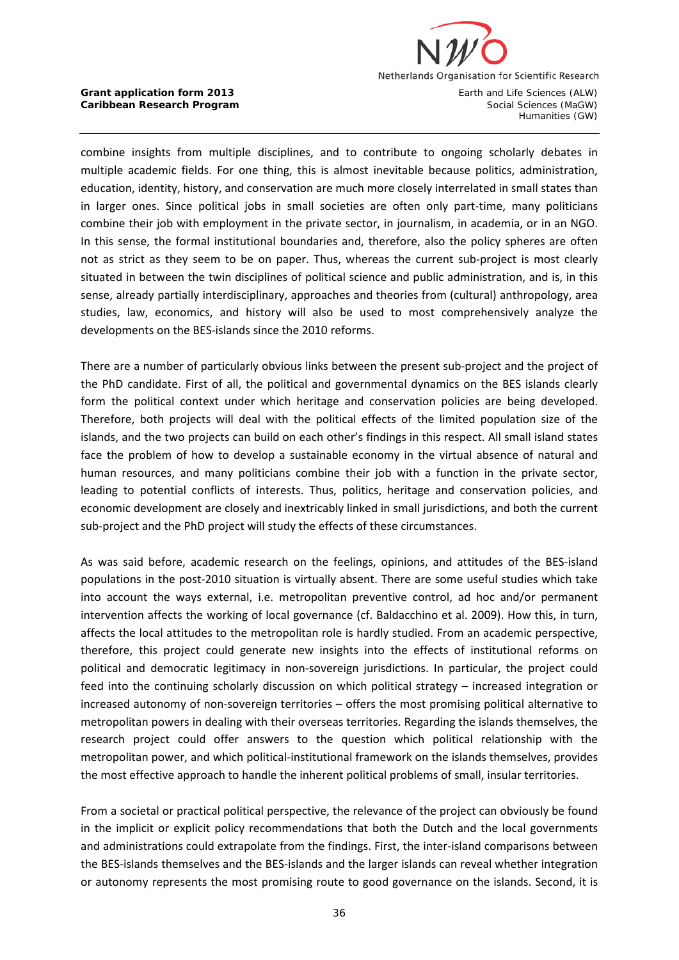

**Caribbean Research Program** Social Sciences (MaGW)

Humanities (GW)

combine insights from multiple disciplines, and to contribute to ongoing scholarly debates in multiple academic fields. For one thing, this is almost inevitable because politics, administration, education, identity, history, and conservation are much more closely interrelated in small states than in larger ones. Since political jobs in small societies are often only part-time, many politicians combine their job with employment in the private sector, in journalism, in academia, or in an NGO. In this sense, the formal institutional boundaries and, therefore, also the policy spheres are often not as strict as they seem to be on paper. Thus, whereas the current sub-project is most clearly situated in between the twin disciplines of political science and public administration, and is, in this sense, already partially interdisciplinary, approaches and theories from (cultural) anthropology, area studies, law, economics, and history will also be used to most comprehensively analyze the developments on the BES-islands since the 2010 reforms.

There are a number of particularly obvious links between the present sub-project and the project of the PhD candidate. First of all, the political and governmental dynamics on the BES islands clearly form the political context under which heritage and conservation policies are being developed. Therefore, both projects will deal with the political effects of the limited population size of the islands, and the two projects can build on each other's findings in this respect. All small island states face the problem of how to develop a sustainable economy in the virtual absence of natural and human resources, and many politicians combine their job with a function in the private sector, leading to potential conflicts of interests. Thus, politics, heritage and conservation policies, and economic development are closely and inextricably linked in small jurisdictions, and both the current sub-project and the PhD project will study the effects of these circumstances.

As was said before, academic research on the feelings, opinions, and attitudes of the BES-island populations in the post-2010 situation is virtually absent. There are some useful studies which take into account the ways external, i.e. metropolitan preventive control, ad hoc and/or permanent intervention affects the working of local governance (cf. Baldacchino et al. 2009). How this, in turn, affects the local attitudes to the metropolitan role is hardly studied. From an academic perspective, therefore, this project could generate new insights into the effects of institutional reforms on political and democratic legitimacy in non-sovereign jurisdictions. In particular, the project could feed into the continuing scholarly discussion on which political strategy – increased integration or increased autonomy of non-sovereign territories – offers the most promising political alternative to metropolitan powers in dealing with their overseas territories. Regarding the islands themselves, the research project could offer answers to the question which political relationship with the metropolitan power, and which political-institutional framework on the islands themselves, provides the most effective approach to handle the inherent political problems of small, insular territories.

From a societal or practical political perspective, the relevance of the project can obviously be found in the implicit or explicit policy recommendations that both the Dutch and the local governments and administrations could extrapolate from the findings. First, the inter-island comparisons between the BES-islands themselves and the BES-islands and the larger islands can reveal whether integration or autonomy represents the most promising route to good governance on the islands. Second, it is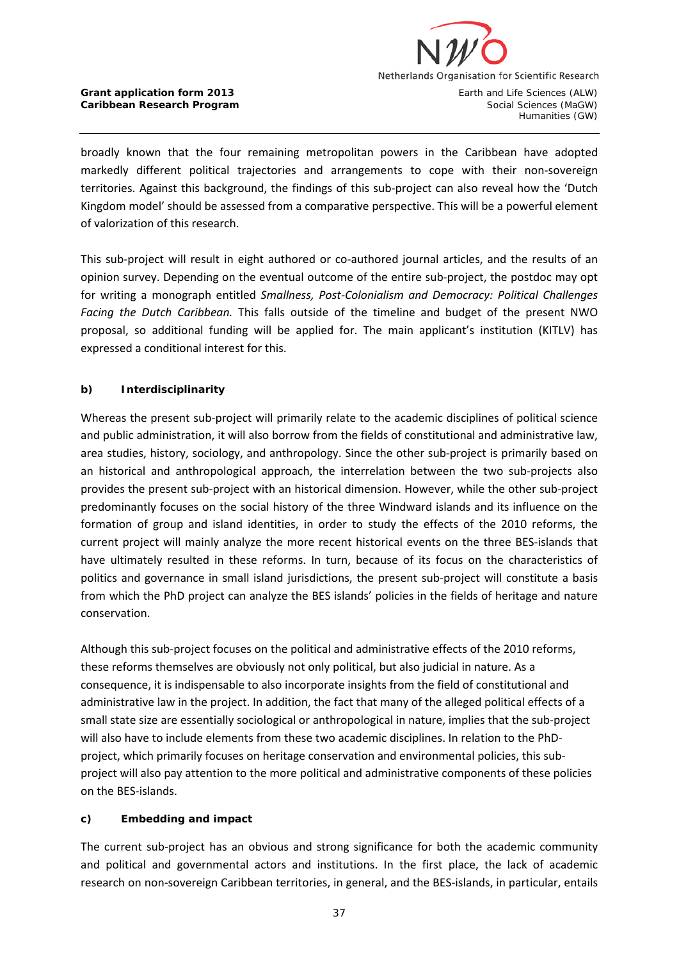

Humanities (GW)

broadly known that the four remaining metropolitan powers in the Caribbean have adopted markedly different political trajectories and arrangements to cope with their non-sovereign territories. Against this background, the findings of this sub-project can also reveal how the 'Dutch Kingdom model' should be assessed from a comparative perspective. This will be a powerful element of valorization of this research.

This sub-project will result in eight authored or co-authored journal articles, and the results of an opinion survey. Depending on the eventual outcome of the entire sub-project, the postdoc may opt for writing a monograph entitled *Smallness, Post-Colonialism and Democracy: Political Challenges Facing the Dutch Caribbean.* This falls outside of the timeline and budget of the present NWO proposal, so additional funding will be applied for. The main applicant's institution (KITLV) has expressed a conditional interest for this.

# **b) Interdisciplinarity**

Whereas the present sub-project will primarily relate to the academic disciplines of political science and public administration, it will also borrow from the fields of constitutional and administrative law, area studies, history, sociology, and anthropology. Since the other sub-project is primarily based on an historical and anthropological approach, the interrelation between the two sub-projects also provides the present sub-project with an historical dimension. However, while the other sub-project predominantly focuses on the social history of the three Windward islands and its influence on the formation of group and island identities, in order to study the effects of the 2010 reforms, the current project will mainly analyze the more recent historical events on the three BES-islands that have ultimately resulted in these reforms. In turn, because of its focus on the characteristics of politics and governance in small island jurisdictions, the present sub-project will constitute a basis from which the PhD project can analyze the BES islands' policies in the fields of heritage and nature conservation.

Although this sub-project focuses on the political and administrative effects of the 2010 reforms, these reforms themselves are obviously not only political, but also judicial in nature. As a consequence, it is indispensable to also incorporate insights from the field of constitutional and administrative law in the project. In addition, the fact that many of the alleged political effects of a small state size are essentially sociological or anthropological in nature, implies that the sub-project will also have to include elements from these two academic disciplines. In relation to the PhDproject, which primarily focuses on heritage conservation and environmental policies, this subproject will also pay attention to the more political and administrative components of these policies on the BES-islands.

### **c) Embedding and impact**

The current sub-project has an obvious and strong significance for both the academic community and political and governmental actors and institutions. In the first place, the lack of academic research on non-sovereign Caribbean territories, in general, and the BES-islands, in particular, entails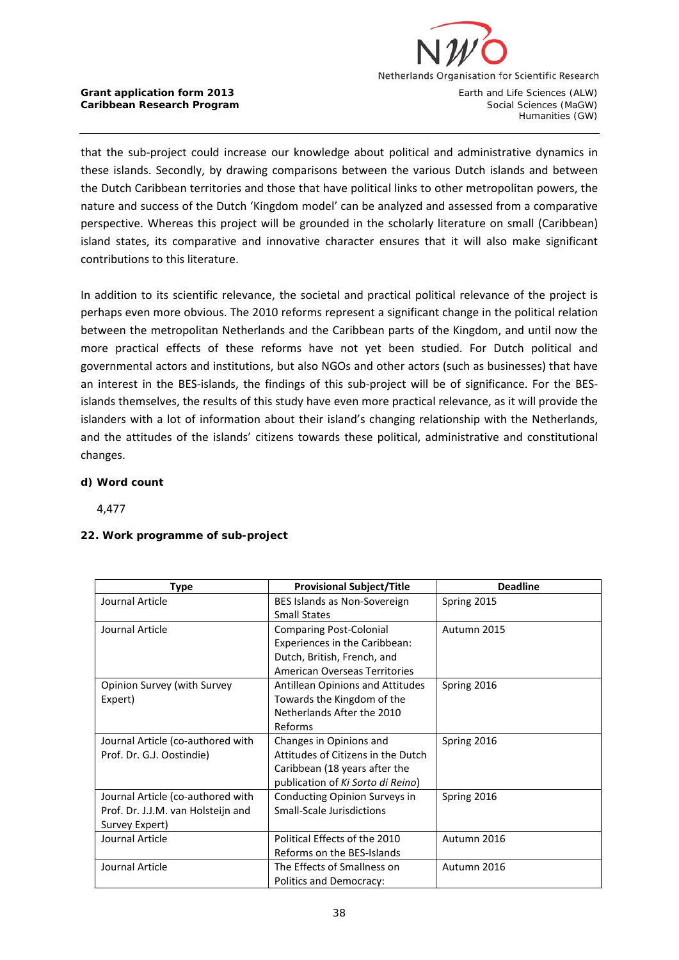

**Caribbean Research Program** Social Sciences (MaGW)

Humanities (GW)

that the sub-project could increase our knowledge about political and administrative dynamics in these islands. Secondly, by drawing comparisons between the various Dutch islands and between the Dutch Caribbean territories and those that have political links to other metropolitan powers, the nature and success of the Dutch 'Kingdom model' can be analyzed and assessed from a comparative perspective. Whereas this project will be grounded in the scholarly literature on small (Caribbean) island states, its comparative and innovative character ensures that it will also make significant contributions to this literature.

In addition to its scientific relevance, the societal and practical political relevance of the project is perhaps even more obvious. The 2010 reforms represent a significant change in the political relation between the metropolitan Netherlands and the Caribbean parts of the Kingdom, and until now the more practical effects of these reforms have not yet been studied. For Dutch political and governmental actors and institutions, but also NGOs and other actors (such as businesses) that have an interest in the BES-islands, the findings of this sub-project will be of significance. For the BESislands themselves, the results of this study have even more practical relevance, as it will provide the islanders with a lot of information about their island's changing relationship with the Netherlands, and the attitudes of the islands' citizens towards these political, administrative and constitutional changes.

### **d) Word count**

4,477

### **22. Work programme of sub-project**

| <b>Type</b>                        | <b>Provisional Subject/Title</b>        | <b>Deadline</b> |
|------------------------------------|-----------------------------------------|-----------------|
| Journal Article                    | BES Islands as Non-Sovereign            | Spring 2015     |
|                                    | <b>Small States</b>                     |                 |
| Journal Article                    | <b>Comparing Post-Colonial</b>          | Autumn 2015     |
|                                    | Experiences in the Caribbean:           |                 |
|                                    | Dutch, British, French, and             |                 |
|                                    | <b>American Overseas Territories</b>    |                 |
| Opinion Survey (with Survey        | <b>Antillean Opinions and Attitudes</b> | Spring 2016     |
| Expert)                            | Towards the Kingdom of the              |                 |
|                                    | Netherlands After the 2010              |                 |
|                                    | Reforms                                 |                 |
| Journal Article (co-authored with  | Changes in Opinions and                 | Spring 2016     |
| Prof. Dr. G.J. Oostindie)          | Attitudes of Citizens in the Dutch      |                 |
|                                    | Caribbean (18 years after the           |                 |
|                                    | publication of Ki Sorto di Reino)       |                 |
| Journal Article (co-authored with  | Conducting Opinion Surveys in           | Spring 2016     |
| Prof. Dr. J.J.M. van Holsteijn and | Small-Scale Jurisdictions               |                 |
| Survey Expert)                     |                                         |                 |
| Journal Article                    | Political Effects of the 2010           | Autumn 2016     |
|                                    | Reforms on the BES-Islands              |                 |
| Journal Article                    | The Effects of Smallness on             | Autumn 2016     |
|                                    | Politics and Democracy:                 |                 |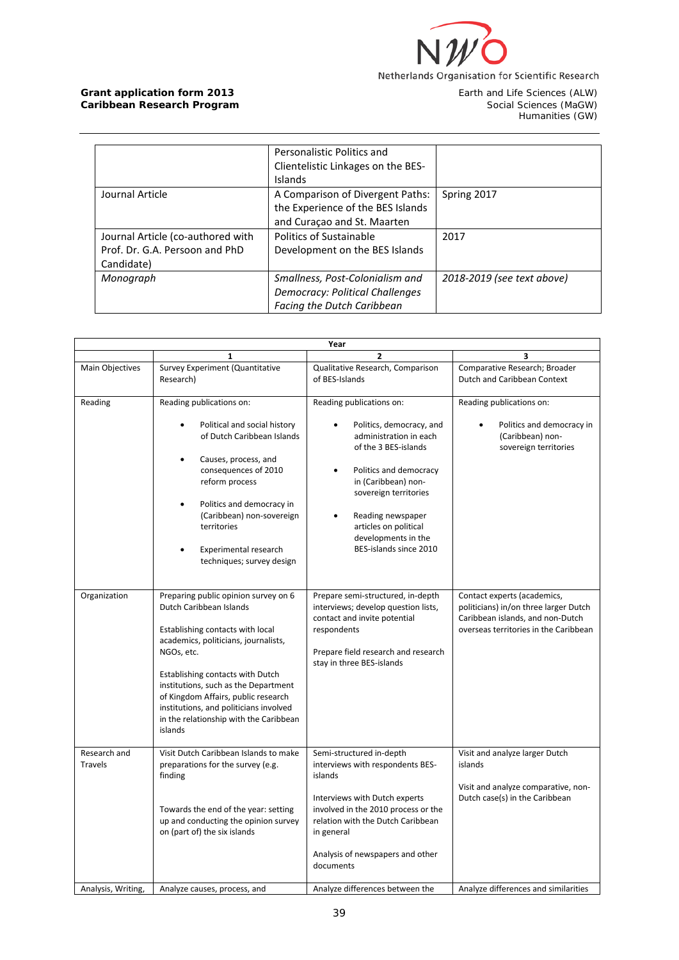

Earth and Life Sciences (ALW)<br>Social Sciences (MaGW)<br>Humanities (GW)

|                                                                                   | Personalistic Politics and<br>Clientelistic Linkages on the BES-<br>Islands                             |                            |
|-----------------------------------------------------------------------------------|---------------------------------------------------------------------------------------------------------|----------------------------|
| Journal Article                                                                   | A Comparison of Divergent Paths:<br>the Experience of the BES Islands<br>and Curaçao and St. Maarten    | Spring 2017                |
| Journal Article (co-authored with<br>Prof. Dr. G.A. Persoon and PhD<br>Candidate) | Politics of Sustainable<br>Development on the BES Islands                                               | 2017                       |
| Monograph                                                                         | Smallness, Post-Colonialism and<br>Democracy: Political Challenges<br><b>Facing the Dutch Caribbean</b> | 2018-2019 (see text above) |

| Year                    |                                                                                                                                                                                                                                                                                                                                                                             |                                                                                                                                                                                                                                                                                 |                                                                                                                                                   |  |  |
|-------------------------|-----------------------------------------------------------------------------------------------------------------------------------------------------------------------------------------------------------------------------------------------------------------------------------------------------------------------------------------------------------------------------|---------------------------------------------------------------------------------------------------------------------------------------------------------------------------------------------------------------------------------------------------------------------------------|---------------------------------------------------------------------------------------------------------------------------------------------------|--|--|
|                         | 1                                                                                                                                                                                                                                                                                                                                                                           | $\overline{2}$                                                                                                                                                                                                                                                                  | 3                                                                                                                                                 |  |  |
| Main Objectives         | Survey Experiment (Quantitative<br>Research)                                                                                                                                                                                                                                                                                                                                | Qualitative Research, Comparison<br>of BES-Islands                                                                                                                                                                                                                              | Comparative Research; Broader<br>Dutch and Caribbean Context                                                                                      |  |  |
| Reading                 | Reading publications on:<br>Political and social history<br>of Dutch Caribbean Islands<br>Causes, process, and<br>٠<br>consequences of 2010<br>reform process<br>Politics and democracy in<br>$\bullet$<br>(Caribbean) non-sovereign<br>territories<br>Experimental research<br>techniques; survey design                                                                   | Reading publications on:<br>Politics, democracy, and<br>administration in each<br>of the 3 BES-islands<br>Politics and democracy<br>in (Caribbean) non-<br>sovereign territories<br>Reading newspaper<br>articles on political<br>developments in the<br>BES-islands since 2010 | Reading publications on:<br>Politics and democracy in<br>(Caribbean) non-<br>sovereign territories                                                |  |  |
| Organization            | Preparing public opinion survey on 6<br>Dutch Caribbean Islands<br>Establishing contacts with local<br>academics, politicians, journalists,<br>NGOs, etc.<br>Establishing contacts with Dutch<br>institutions, such as the Department<br>of Kingdom Affairs, public research<br>institutions, and politicians involved<br>in the relationship with the Caribbean<br>islands | Prepare semi-structured, in-depth<br>interviews; develop question lists,<br>contact and invite potential<br>respondents<br>Prepare field research and research<br>stay in three BES-islands                                                                                     | Contact experts (academics,<br>politicians) in/on three larger Dutch<br>Caribbean islands, and non-Dutch<br>overseas territories in the Caribbean |  |  |
| Research and<br>Travels | Visit Dutch Caribbean Islands to make<br>preparations for the survey (e.g.<br>finding<br>Towards the end of the year: setting<br>up and conducting the opinion survey<br>on (part of) the six islands                                                                                                                                                                       | Semi-structured in-depth<br>interviews with respondents BES-<br>islands<br>Interviews with Dutch experts<br>involved in the 2010 process or the<br>relation with the Dutch Caribbean<br>in general<br>Analysis of newspapers and other<br>documents                             | Visit and analyze larger Dutch<br>islands<br>Visit and analyze comparative, non-<br>Dutch case(s) in the Caribbean                                |  |  |
| Analysis, Writing,      | Analyze causes, process, and                                                                                                                                                                                                                                                                                                                                                | Analyze differences between the                                                                                                                                                                                                                                                 | Analyze differences and similarities                                                                                                              |  |  |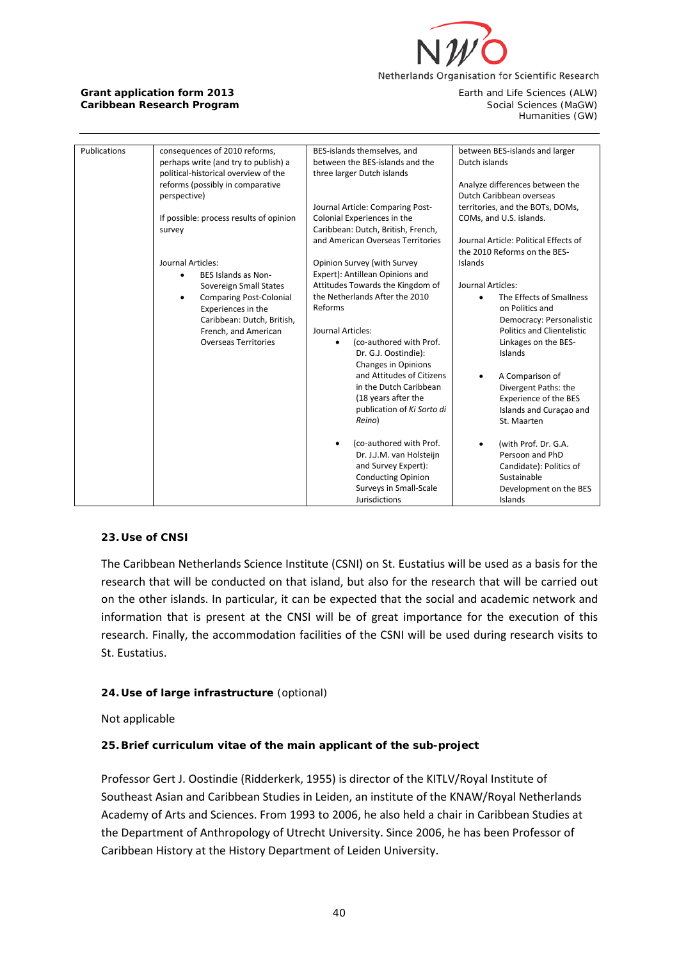

Humanities (GW)

| Publications | consequences of 2010 reforms,           | BES-islands themselves, and          | between BES-islands and larger        |
|--------------|-----------------------------------------|--------------------------------------|---------------------------------------|
|              | perhaps write (and try to publish) a    | between the BES-islands and the      | Dutch islands                         |
|              | political-historical overview of the    | three larger Dutch islands           |                                       |
|              | reforms (possibly in comparative        |                                      | Analyze differences between the       |
|              | perspective)                            |                                      | Dutch Caribbean overseas              |
|              |                                         | Journal Article: Comparing Post-     | territories, and the BOTs, DOMs,      |
|              | If possible: process results of opinion | Colonial Experiences in the          | COMs, and U.S. islands.               |
|              | survey                                  | Caribbean: Dutch, British, French,   |                                       |
|              |                                         | and American Overseas Territories    | Journal Article: Political Effects of |
|              |                                         |                                      | the 2010 Reforms on the BES-          |
|              | Journal Articles:                       | Opinion Survey (with Survey          | Islands                               |
|              | BES Islands as Non-<br>٠                | Expert): Antillean Opinions and      |                                       |
|              | Sovereign Small States                  | Attitudes Towards the Kingdom of     | Journal Articles:                     |
|              | <b>Comparing Post-Colonial</b><br>٠     | the Netherlands After the 2010       | The Effects of Smallness              |
|              | Experiences in the                      | Reforms                              | on Politics and                       |
|              | Caribbean: Dutch, British,              |                                      | Democracy: Personalistic              |
|              | French, and American                    | Journal Articles:                    | <b>Politics and Clientelistic</b>     |
|              | <b>Overseas Territories</b>             | (co-authored with Prof.<br>$\bullet$ | Linkages on the BES-                  |
|              |                                         | Dr. G.J. Oostindie):                 | Islands                               |
|              |                                         | <b>Changes in Opinions</b>           |                                       |
|              |                                         | and Attitudes of Citizens            | A Comparison of                       |
|              |                                         | in the Dutch Caribbean               | Divergent Paths: the                  |
|              |                                         | (18 years after the                  | <b>Experience of the BES</b>          |
|              |                                         | publication of Ki Sorto di           | Islands and Curaçao and               |
|              |                                         | Reino)                               | St. Maarten                           |
|              |                                         |                                      |                                       |
|              |                                         | (co-authored with Prof.<br>$\bullet$ | (with Prof. Dr. G.A.                  |
|              |                                         | Dr. J.J.M. van Holsteijn             | Persoon and PhD                       |
|              |                                         | and Survey Expert):                  | Candidate): Politics of               |
|              |                                         | <b>Conducting Opinion</b>            | Sustainable                           |
|              |                                         | Surveys in Small-Scale               |                                       |
|              |                                         | Jurisdictions                        | Development on the BES                |
|              |                                         |                                      | Islands                               |

### **23. Use of CNSI**

The Caribbean Netherlands Science Institute (CSNI) on St. Eustatius will be used as a basis for the research that will be conducted on that island, but also for the research that will be carried out on the other islands. In particular, it can be expected that the social and academic network and information that is present at the CNSI will be of great importance for the execution of this research. Finally, the accommodation facilities of the CSNI will be used during research visits to St. Eustatius.

# **24. Use of large infrastructure** (optional)

Not applicable

# **25. Brief curriculum vitae of the main applicant of the sub-project**

Professor Gert J. Oostindie (Ridderkerk, 1955) is director of the KITLV/Royal Institute of Southeast Asian and Caribbean Studies in Leiden, an institute of the KNAW/Royal Netherlands Academy of Arts and Sciences. From 1993 to 2006, he also held a chair in Caribbean Studies at the Department of Anthropology of Utrecht University. Since 2006, he has been Professor of Caribbean History at the History Department of Leiden University.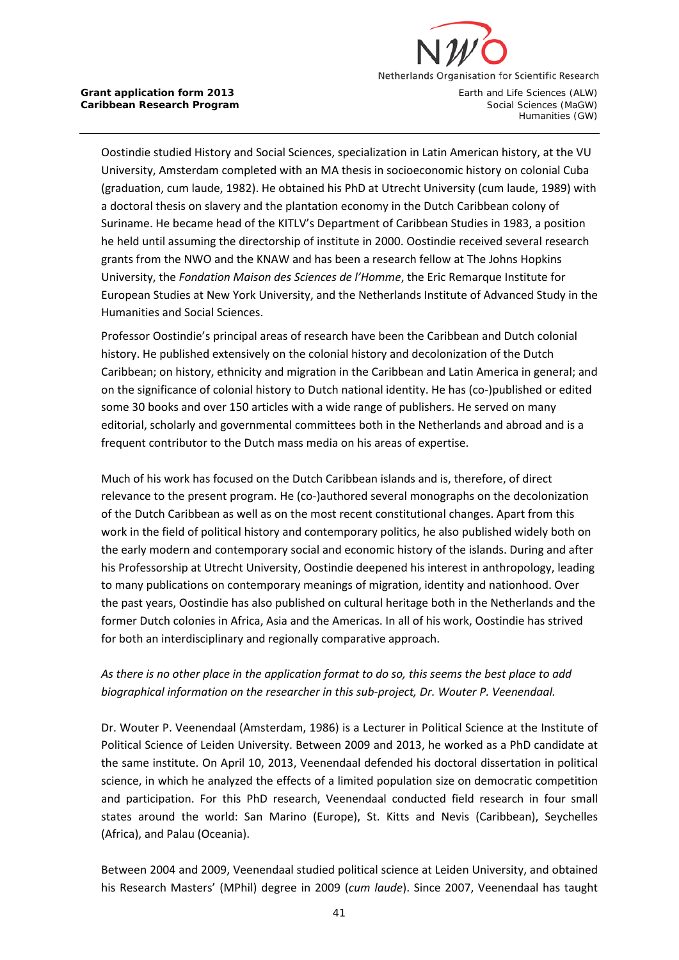

Oostindie studied History and Social Sciences, specialization in Latin American history, at the VU University, Amsterdam completed with an MA thesis in socioeconomic history on colonial Cuba (graduation, cum laude, 1982). He obtained his PhD at Utrecht University (cum laude, 1989) with a doctoral thesis on slavery and the plantation economy in the Dutch Caribbean colony of Suriname. He became head of the KITLV's Department of Caribbean Studies in 1983, a position he held until assuming the directorship of institute in 2000. Oostindie received several research grants from the NWO and the KNAW and has been a research fellow at The Johns Hopkins University, the *Fondation Maison des Sciences de l'Homme*, the Eric Remarque Institute for European Studies at New York University, and the Netherlands Institute of Advanced Study in the Humanities and Social Sciences.

Professor Oostindie's principal areas of research have been the Caribbean and Dutch colonial history. He published extensively on the colonial history and decolonization of the Dutch Caribbean; on history, ethnicity and migration in the Caribbean and Latin America in general; and on the significance of colonial history to Dutch national identity. He has (co-)published or edited some 30 books and over 150 articles with a wide range of publishers. He served on many editorial, scholarly and governmental committees both in the Netherlands and abroad and is a frequent contributor to the Dutch mass media on his areas of expertise.

Much of his work has focused on the Dutch Caribbean islands and is, therefore, of direct relevance to the present program. He (co-)authored several monographs on the decolonization of the Dutch Caribbean as well as on the most recent constitutional changes. Apart from this work in the field of political history and contemporary politics, he also published widely both on the early modern and contemporary social and economic history of the islands. During and after his Professorship at Utrecht University, Oostindie deepened his interest in anthropology, leading to many publications on contemporary meanings of migration, identity and nationhood. Over the past years, Oostindie has also published on cultural heritage both in the Netherlands and the former Dutch colonies in Africa, Asia and the Americas. In all of his work, Oostindie has strived for both an interdisciplinary and regionally comparative approach.

# *As there is no other place in the application format to do so, this seems the best place to add biographical information on the researcher in this sub-project, Dr. Wouter P. Veenendaal.*

Dr. Wouter P. Veenendaal (Amsterdam, 1986) is a Lecturer in Political Science at the Institute of Political Science of Leiden University. Between 2009 and 2013, he worked as a PhD candidate at the same institute. On April 10, 2013, Veenendaal defended his doctoral dissertation in political science, in which he analyzed the effects of a limited population size on democratic competition and participation. For this PhD research, Veenendaal conducted field research in four small states around the world: San Marino (Europe), St. Kitts and Nevis (Caribbean), Seychelles (Africa), and Palau (Oceania).

Between 2004 and 2009, Veenendaal studied political science at Leiden University, and obtained his Research Masters' (MPhil) degree in 2009 (*cum laude*). Since 2007, Veenendaal has taught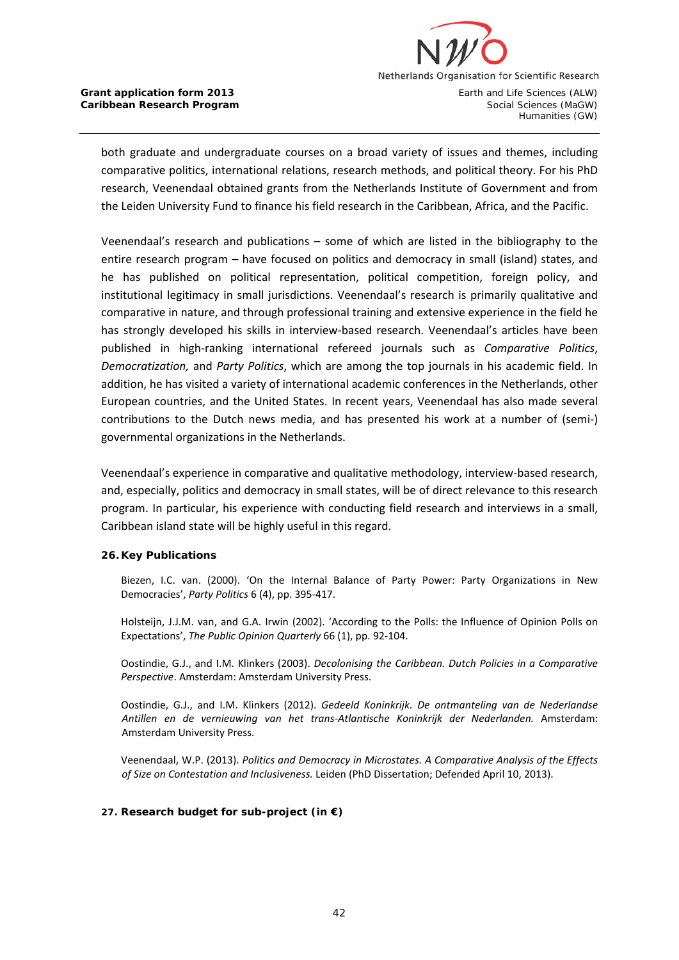

both graduate and undergraduate courses on a broad variety of issues and themes, including comparative politics, international relations, research methods, and political theory. For his PhD research, Veenendaal obtained grants from the Netherlands Institute of Government and from the Leiden University Fund to finance his field research in the Caribbean, Africa, and the Pacific.

Veenendaal's research and publications – some of which are listed in the bibliography to the entire research program – have focused on politics and democracy in small (island) states, and he has published on political representation, political competition, foreign policy, and institutional legitimacy in small jurisdictions. Veenendaal's research is primarily qualitative and comparative in nature, and through professional training and extensive experience in the field he has strongly developed his skills in interview-based research. Veenendaal's articles have been published in high-ranking international refereed journals such as *Comparative Politics*, *Democratization,* and *Party Politics*, which are among the top journals in his academic field. In addition, he has visited a variety of international academic conferences in the Netherlands, other European countries, and the United States. In recent years, Veenendaal has also made several contributions to the Dutch news media, and has presented his work at a number of (semi-) governmental organizations in the Netherlands.

Veenendaal's experience in comparative and qualitative methodology, interview-based research, and, especially, politics and democracy in small states, will be of direct relevance to this research program. In particular, his experience with conducting field research and interviews in a small, Caribbean island state will be highly useful in this regard.

### **26. Key Publications**

Biezen, I.C. van. (2000). 'On the Internal Balance of Party Power: Party Organizations in New Democracies', *Party Politics* 6 (4), pp. 395-417.

Holsteijn, J.J.M. van, and G.A. Irwin (2002). 'According to the Polls: the Influence of Opinion Polls on Expectations', *The Public Opinion Quarterly* 66 (1), pp. 92-104.

Oostindie, G.J., and I.M. Klinkers (2003). *Decolonising the Caribbean. Dutch Policies in a Comparative Perspective*. Amsterdam: Amsterdam University Press.

Oostindie, G.J., and I.M. Klinkers (2012). *Gedeeld Koninkrijk. De ontmanteling van de Nederlandse Antillen en de vernieuwing van het trans-Atlantische Koninkrijk der Nederlanden.* Amsterdam: Amsterdam University Press.

Veenendaal, W.P. (2013). *Politics and Democracy in Microstates. A Comparative Analysis of the Effects of Size on Contestation and Inclusiveness.* Leiden (PhD Dissertation; Defended April 10, 2013).

### **27. Research budget for sub-project (in €)**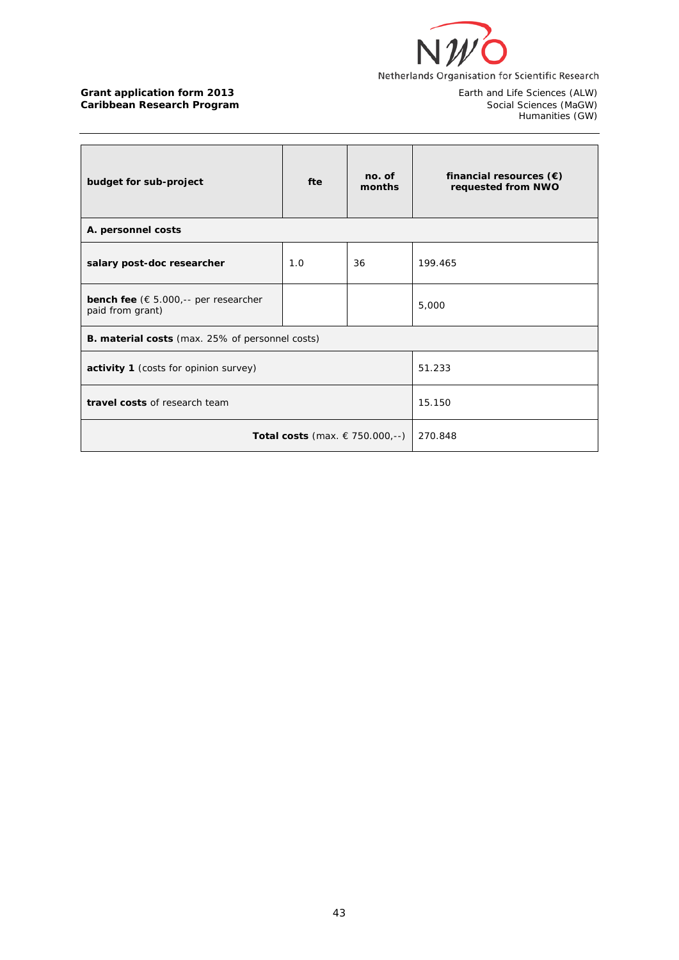

Earth and Life Sciences (ALW)<br>Social Sciences (MaGW)<br>Humanities (GW)

| budget for sub-project                                                    | fte | no. of<br>months | financial resources $(\epsilon)$<br>requested from NWO |  |
|---------------------------------------------------------------------------|-----|------------------|--------------------------------------------------------|--|
| A. personnel costs                                                        |     |                  |                                                        |  |
| salary post-doc researcher                                                | 1.0 | 36               | 199.465                                                |  |
| <b>bench fee</b> ( $\epsilon$ 5.000,-- per researcher<br>paid from grant) |     |                  | 5,000                                                  |  |
| <b>B. material costs</b> (max. 25% of personnel costs)                    |     |                  |                                                        |  |
| activity 1 (costs for opinion survey)                                     |     |                  | 51.233                                                 |  |
| travel costs of research team                                             |     |                  | 15.150                                                 |  |
| Total costs (max. $€ 750.000, --)$                                        |     |                  | 270.848                                                |  |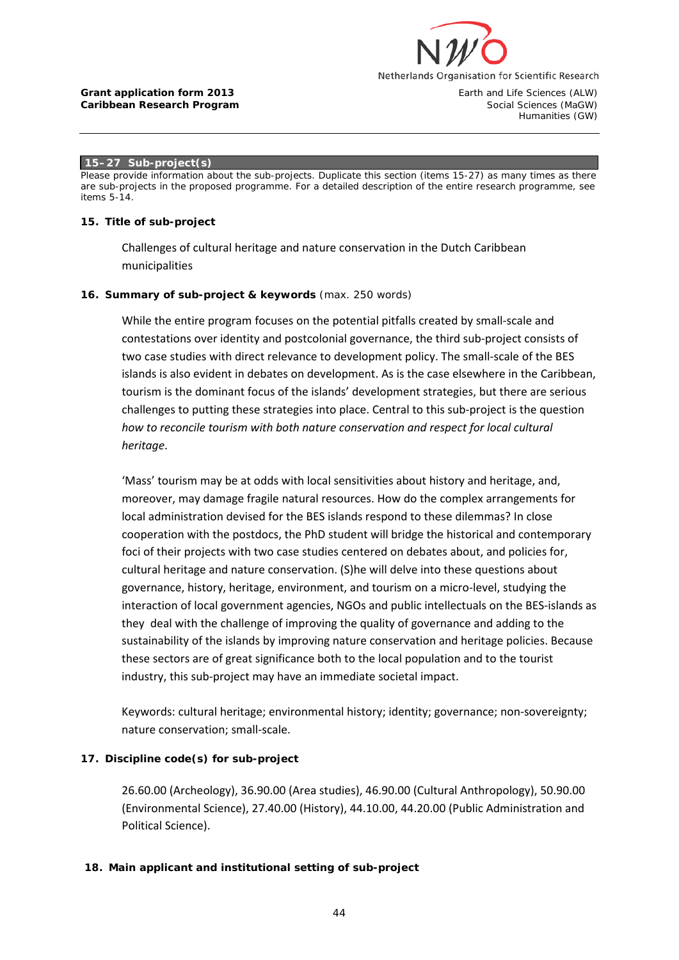

Humanities (GW)

#### **15–27 Sub-project(s)**

*Please provide information about the sub-projects. Duplicate this section (items 15-27) as many times as there are sub-projects in the proposed programme. For a detailed description of the entire research programme, see items 5-14.*

#### **15. Title of sub-project**

Challenges of cultural heritage and nature conservation in the Dutch Caribbean municipalities

### **16. Summary of sub-project & keywords** (max. 250 words)

While the entire program focuses on the potential pitfalls created by small-scale and contestations over identity and postcolonial governance, the third sub-project consists of two case studies with direct relevance to development policy. The small-scale of the BES islands is also evident in debates on development. As is the case elsewhere in the Caribbean, tourism is the dominant focus of the islands' development strategies, but there are serious challenges to putting these strategies into place. Central to this sub-project is the question *how to reconcile tourism with both nature conservation and respect for local cultural heritage*.

'Mass' tourism may be at odds with local sensitivities about history and heritage, and, moreover, may damage fragile natural resources. How do the complex arrangements for local administration devised for the BES islands respond to these dilemmas? In close cooperation with the postdocs, the PhD student will bridge the historical and contemporary foci of their projects with two case studies centered on debates about, and policies for, cultural heritage and nature conservation. (S)he will delve into these questions about governance, history, heritage, environment, and tourism on a micro-level, studying the interaction of local government agencies, NGOs and public intellectuals on the BES-islands as they deal with the challenge of improving the quality of governance and adding to the sustainability of the islands by improving nature conservation and heritage policies. Because these sectors are of great significance both to the local population and to the tourist industry, this sub-project may have an immediate societal impact.

Keywords: cultural heritage; environmental history; identity; governance; non-sovereignty; nature conservation; small-scale.

### **17. Discipline code(s) for sub-project**

26.60.00 (Archeology), 36.90.00 (Area studies), 46.90.00 (Cultural Anthropology), 50.90.00 (Environmental Science), 27.40.00 (History), 44.10.00, 44.20.00 (Public Administration and Political Science).

### **18. Main applicant and institutional setting of sub-project**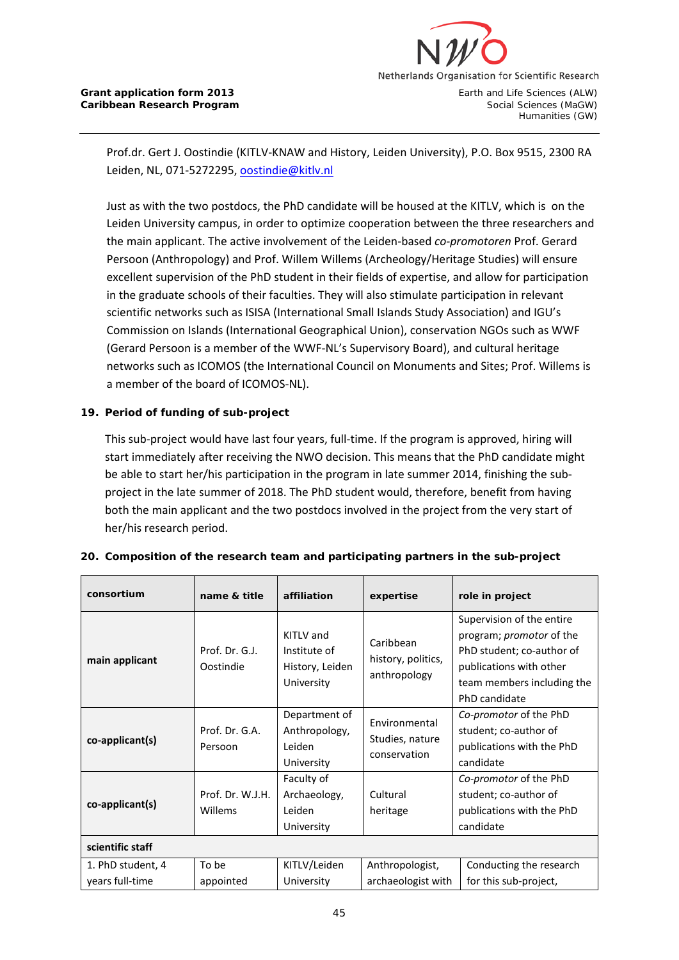

Prof.dr. Gert J. Oostindie (KITLV-KNAW and History, Leiden University), P.O. Box 9515, 2300 RA Leiden, NL, 071-5272295[, oostindie@kitlv.nl](mailto:oostindie@kitlv.nl)

Just as with the two postdocs, the PhD candidate will be housed at the KITLV, which is on the Leiden University campus, in order to optimize cooperation between the three researchers and the main applicant. The active involvement of the Leiden-based *co-promotoren* Prof. Gerard Persoon (Anthropology) and Prof. Willem Willems (Archeology/Heritage Studies) will ensure excellent supervision of the PhD student in their fields of expertise, and allow for participation in the graduate schools of their faculties. They will also stimulate participation in relevant scientific networks such as ISISA (International Small Islands Study Association) and IGU's Commission on Islands (International Geographical Union), conservation NGOs such as WWF (Gerard Persoon is a member of the WWF-NL's Supervisory Board), and cultural heritage networks such as ICOMOS (the International Council on Monuments and Sites; Prof. Willems is a member of the board of ICOMOS-NL).

### **19. Period of funding of sub-project**

This sub-project would have last four years, full-time. If the program is approved, hiring will start immediately after receiving the NWO decision. This means that the PhD candidate might be able to start her/his participation in the program in late summer 2014, finishing the subproject in the late summer of 2018. The PhD student would, therefore, benefit from having both the main applicant and the two postdocs involved in the project from the very start of her/his research period.

| consortium                           | name & title                | affiliation                                                | expertise                                               | role in project                                                                                                                                                     |
|--------------------------------------|-----------------------------|------------------------------------------------------------|---------------------------------------------------------|---------------------------------------------------------------------------------------------------------------------------------------------------------------------|
| main applicant                       | Prof. Dr. G.J.<br>Oostindie | KITLV and<br>Institute of<br>History, Leiden<br>University | Caribbean<br>history, politics,<br>anthropology         | Supervision of the entire<br>program; <i>promotor</i> of the<br>PhD student; co-author of<br>publications with other<br>team members including the<br>PhD candidate |
| co-applicant(s)                      | Prof. Dr. G.A.<br>Persoon   | Department of<br>Anthropology,<br>Leiden<br>University     | <b>Fnvironmental</b><br>Studies, nature<br>conservation | Co-promotor of the PhD<br>student; co-author of<br>publications with the PhD<br>candidate                                                                           |
| co-applicant(s)                      | Prof. Dr. W.J.H.<br>Willems | Faculty of<br>Archaeology,<br>Leiden<br>University         | Cultural<br>heritage                                    | Co-promotor of the PhD<br>student; co-author of<br>publications with the PhD<br>candidate                                                                           |
| scientific staff                     |                             |                                                            |                                                         |                                                                                                                                                                     |
| 1. PhD student, 4<br>years full-time | To be<br>appointed          | KITLV/Leiden<br>University                                 | Anthropologist,<br>archaeologist with                   | Conducting the research<br>for this sub-project,                                                                                                                    |

### **20. Composition of the research team and participating partners in the sub-project**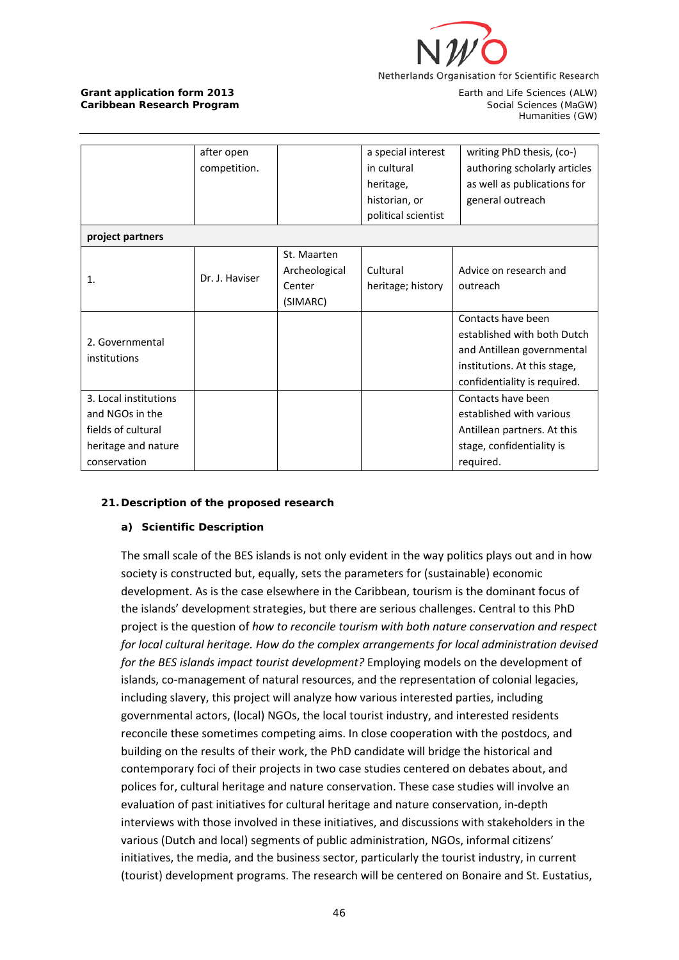

|                                                                                                       | after open<br>competition. |                                                    | a special interest<br>in cultural<br>heritage,<br>historian, or<br>political scientist | writing PhD thesis, (co-)<br>authoring scholarly articles<br>as well as publications for<br>general outreach                                    |
|-------------------------------------------------------------------------------------------------------|----------------------------|----------------------------------------------------|----------------------------------------------------------------------------------------|-------------------------------------------------------------------------------------------------------------------------------------------------|
| project partners                                                                                      |                            |                                                    |                                                                                        |                                                                                                                                                 |
| 1.                                                                                                    | Dr. J. Haviser             | St. Maarten<br>Archeological<br>Center<br>(SIMARC) | Cultural<br>heritage; history                                                          | Advice on research and<br>outreach                                                                                                              |
| 2. Governmental<br>institutions                                                                       |                            |                                                    |                                                                                        | Contacts have been<br>established with both Dutch<br>and Antillean governmental<br>institutions. At this stage,<br>confidentiality is required. |
| 3. Local institutions<br>and NGOs in the<br>fields of cultural<br>heritage and nature<br>conservation |                            |                                                    |                                                                                        | Contacts have been<br>established with various<br>Antillean partners. At this<br>stage, confidentiality is<br>required.                         |

# **21. Description of the proposed research**

### **a) Scientific Description**

The small scale of the BES islands is not only evident in the way politics plays out and in how society is constructed but, equally, sets the parameters for (sustainable) economic development. As is the case elsewhere in the Caribbean, tourism is the dominant focus of the islands' development strategies, but there are serious challenges. Central to this PhD project is the question of *how to reconcile tourism with both nature conservation and respect for local cultural heritage. How do the complex arrangements for local administration devised for the BES islands impact tourist development?* Employing models on the development of islands, co-management of natural resources, and the representation of colonial legacies, including slavery, this project will analyze how various interested parties, including governmental actors, (local) NGOs, the local tourist industry, and interested residents reconcile these sometimes competing aims. In close cooperation with the postdocs, and building on the results of their work, the PhD candidate will bridge the historical and contemporary foci of their projects in two case studies centered on debates about, and polices for, cultural heritage and nature conservation. These case studies will involve an evaluation of past initiatives for cultural heritage and nature conservation, in-depth interviews with those involved in these initiatives, and discussions with stakeholders in the various (Dutch and local) segments of public administration, NGOs, informal citizens' initiatives, the media, and the business sector, particularly the tourist industry, in current (tourist) development programs. The research will be centered on Bonaire and St. Eustatius,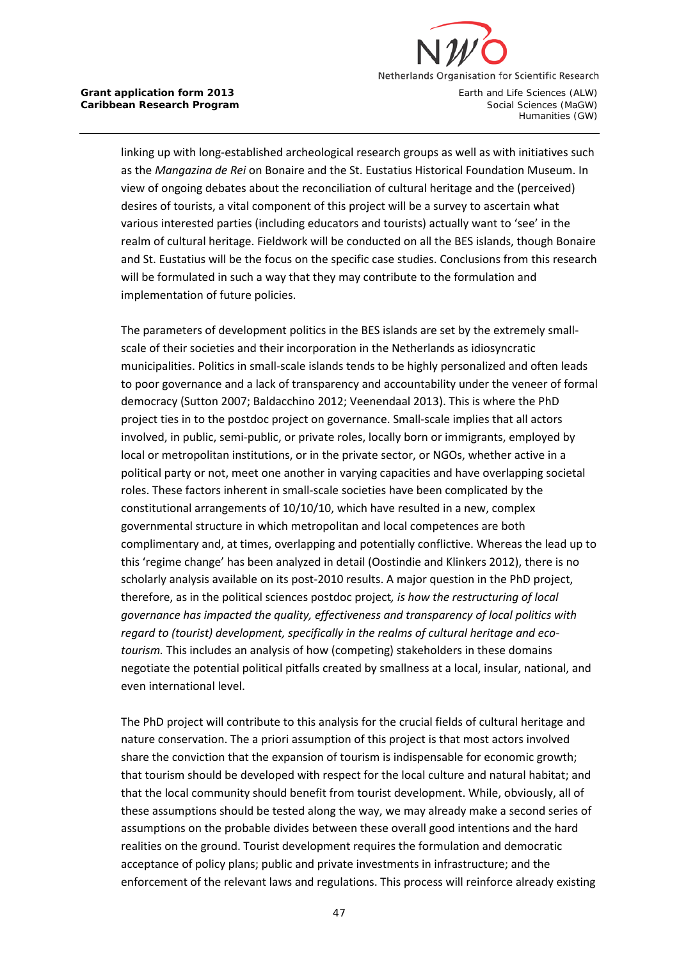

linking up with long-established archeological research groups as well as with initiatives such as the *Mangazina de Rei* on Bonaire and the St. Eustatius Historical Foundation Museum. In view of ongoing debates about the reconciliation of cultural heritage and the (perceived) desires of tourists, a vital component of this project will be a survey to ascertain what various interested parties (including educators and tourists) actually want to 'see' in the realm of cultural heritage. Fieldwork will be conducted on all the BES islands, though Bonaire and St. Eustatius will be the focus on the specific case studies. Conclusions from this research will be formulated in such a way that they may contribute to the formulation and implementation of future policies.

The parameters of development politics in the BES islands are set by the extremely smallscale of their societies and their incorporation in the Netherlands as idiosyncratic municipalities. Politics in small-scale islands tends to be highly personalized and often leads to poor governance and a lack of transparency and accountability under the veneer of formal democracy (Sutton 2007; Baldacchino 2012; Veenendaal 2013). This is where the PhD project ties in to the postdoc project on governance. Small-scale implies that all actors involved, in public, semi-public, or private roles, locally born or immigrants, employed by local or metropolitan institutions, or in the private sector, or NGOs, whether active in a political party or not, meet one another in varying capacities and have overlapping societal roles. These factors inherent in small-scale societies have been complicated by the constitutional arrangements of 10/10/10, which have resulted in a new, complex governmental structure in which metropolitan and local competences are both complimentary and, at times, overlapping and potentially conflictive. Whereas the lead up to this 'regime change' has been analyzed in detail (Oostindie and Klinkers 2012), there is no scholarly analysis available on its post-2010 results. A major question in the PhD project, therefore, as in the political sciences postdoc project*, is how the restructuring of local governance has impacted the quality, effectiveness and transparency of local politics with regard to (tourist) development, specifically in the realms of cultural heritage and ecotourism.* This includes an analysis of how (competing) stakeholders in these domains negotiate the potential political pitfalls created by smallness at a local, insular, national, and even international level.

The PhD project will contribute to this analysis for the crucial fields of cultural heritage and nature conservation. The a priori assumption of this project is that most actors involved share the conviction that the expansion of tourism is indispensable for economic growth; that tourism should be developed with respect for the local culture and natural habitat; and that the local community should benefit from tourist development. While, obviously, all of these assumptions should be tested along the way, we may already make a second series of assumptions on the probable divides between these overall good intentions and the hard realities on the ground. Tourist development requires the formulation and democratic acceptance of policy plans; public and private investments in infrastructure; and the enforcement of the relevant laws and regulations. This process will reinforce already existing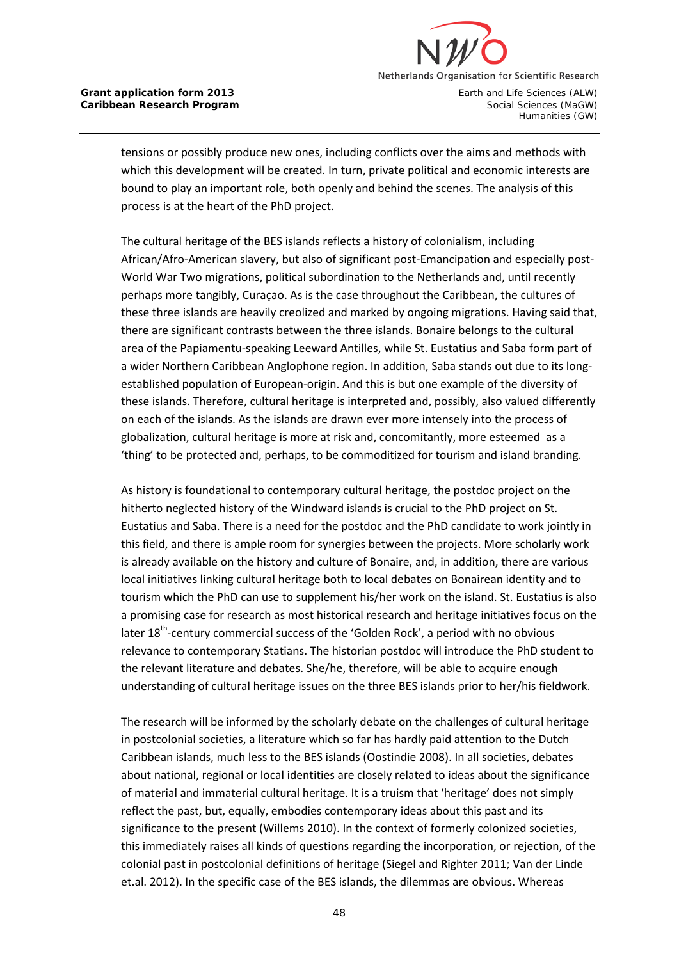

Humanities (GW)

tensions or possibly produce new ones, including conflicts over the aims and methods with which this development will be created. In turn, private political and economic interests are bound to play an important role, both openly and behind the scenes. The analysis of this process is at the heart of the PhD project.

The cultural heritage of the BES islands reflects a history of colonialism, including African/Afro-American slavery, but also of significant post-Emancipation and especially post-World War Two migrations, political subordination to the Netherlands and, until recently perhaps more tangibly, Curaçao. As is the case throughout the Caribbean, the cultures of these three islands are heavily creolized and marked by ongoing migrations. Having said that, there are significant contrasts between the three islands. Bonaire belongs to the cultural area of the Papiamentu-speaking Leeward Antilles, while St. Eustatius and Saba form part of a wider Northern Caribbean Anglophone region. In addition, Saba stands out due to its longestablished population of European-origin. And this is but one example of the diversity of these islands. Therefore, cultural heritage is interpreted and, possibly, also valued differently on each of the islands. As the islands are drawn ever more intensely into the process of globalization, cultural heritage is more at risk and, concomitantly, more esteemed as a 'thing' to be protected and, perhaps, to be commoditized for tourism and island branding.

As history is foundational to contemporary cultural heritage, the postdoc project on the hitherto neglected history of the Windward islands is crucial to the PhD project on St. Eustatius and Saba. There is a need for the postdoc and the PhD candidate to work jointly in this field, and there is ample room for synergies between the projects. More scholarly work is already available on the history and culture of Bonaire, and, in addition, there are various local initiatives linking cultural heritage both to local debates on Bonairean identity and to tourism which the PhD can use to supplement his/her work on the island. St. Eustatius is also a promising case for research as most historical research and heritage initiatives focus on the later  $18<sup>th</sup>$ -century commercial success of the 'Golden Rock', a period with no obvious relevance to contemporary Statians. The historian postdoc will introduce the PhD student to the relevant literature and debates. She/he, therefore, will be able to acquire enough understanding of cultural heritage issues on the three BES islands prior to her/his fieldwork.

The research will be informed by the scholarly debate on the challenges of cultural heritage in postcolonial societies, a literature which so far has hardly paid attention to the Dutch Caribbean islands, much less to the BES islands (Oostindie 2008). In all societies, debates about national, regional or local identities are closely related to ideas about the significance of material and immaterial cultural heritage. It is a truism that 'heritage' does not simply reflect the past, but, equally, embodies contemporary ideas about this past and its significance to the present (Willems 2010). In the context of formerly colonized societies, this immediately raises all kinds of questions regarding the incorporation, or rejection, of the colonial past in postcolonial definitions of heritage (Siegel and Righter 2011; Van der Linde et.al. 2012). In the specific case of the BES islands, the dilemmas are obvious. Whereas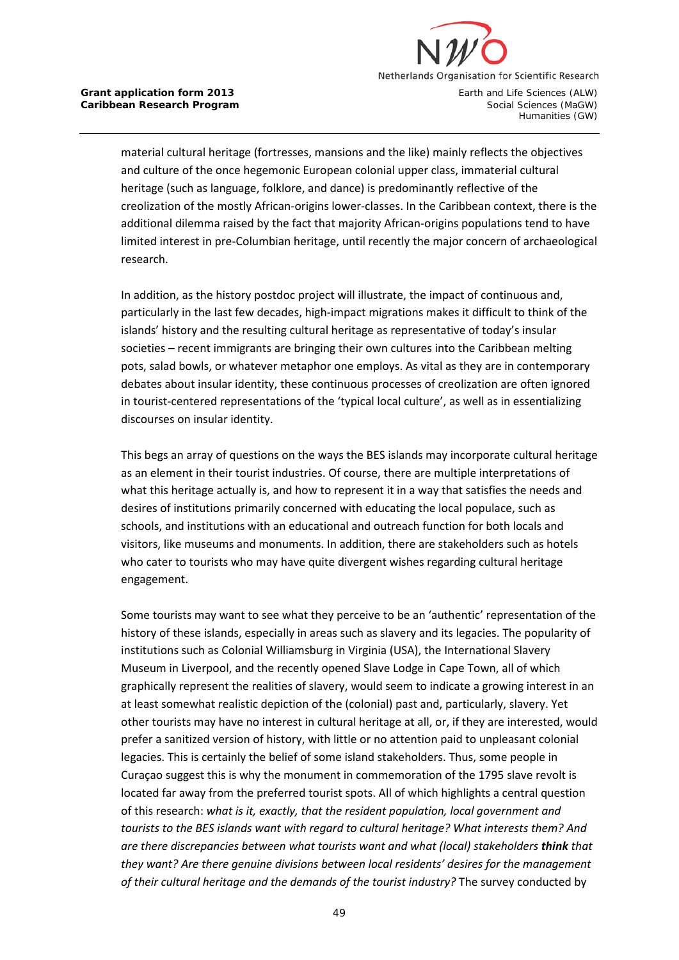

Humanities (GW)

material cultural heritage (fortresses, mansions and the like) mainly reflects the objectives and culture of the once hegemonic European colonial upper class, immaterial cultural heritage (such as language, folklore, and dance) is predominantly reflective of the creolization of the mostly African-origins lower-classes. In the Caribbean context, there is the additional dilemma raised by the fact that majority African-origins populations tend to have limited interest in pre-Columbian heritage, until recently the major concern of archaeological research.

In addition, as the history postdoc project will illustrate, the impact of continuous and, particularly in the last few decades, high-impact migrations makes it difficult to think of the islands' history and the resulting cultural heritage as representative of today's insular societies – recent immigrants are bringing their own cultures into the Caribbean melting pots, salad bowls, or whatever metaphor one employs. As vital as they are in contemporary debates about insular identity, these continuous processes of creolization are often ignored in tourist-centered representations of the 'typical local culture', as well as in essentializing discourses on insular identity.

This begs an array of questions on the ways the BES islands may incorporate cultural heritage as an element in their tourist industries. Of course, there are multiple interpretations of what this heritage actually is, and how to represent it in a way that satisfies the needs and desires of institutions primarily concerned with educating the local populace, such as schools, and institutions with an educational and outreach function for both locals and visitors, like museums and monuments. In addition, there are stakeholders such as hotels who cater to tourists who may have quite divergent wishes regarding cultural heritage engagement.

Some tourists may want to see what they perceive to be an 'authentic' representation of the history of these islands, especially in areas such as slavery and its legacies. The popularity of institutions such as Colonial Williamsburg in Virginia (USA), the International Slavery Museum in Liverpool, and the recently opened Slave Lodge in Cape Town, all of which graphically represent the realities of slavery, would seem to indicate a growing interest in an at least somewhat realistic depiction of the (colonial) past and, particularly, slavery. Yet other tourists may have no interest in cultural heritage at all, or, if they are interested, would prefer a sanitized version of history, with little or no attention paid to unpleasant colonial legacies. This is certainly the belief of some island stakeholders. Thus, some people in Curaçao suggest this is why the monument in commemoration of the 1795 slave revolt is located far away from the preferred tourist spots. All of which highlights a central question of this research: *what is it, exactly, that the resident population, local government and tourists to the BES islands want with regard to cultural heritage? What interests them? And are there discrepancies between what tourists want and what (local) stakeholders think that they want? Are there genuine divisions between local residents' desires for the management of their cultural heritage and the demands of the tourist industry?* The survey conducted by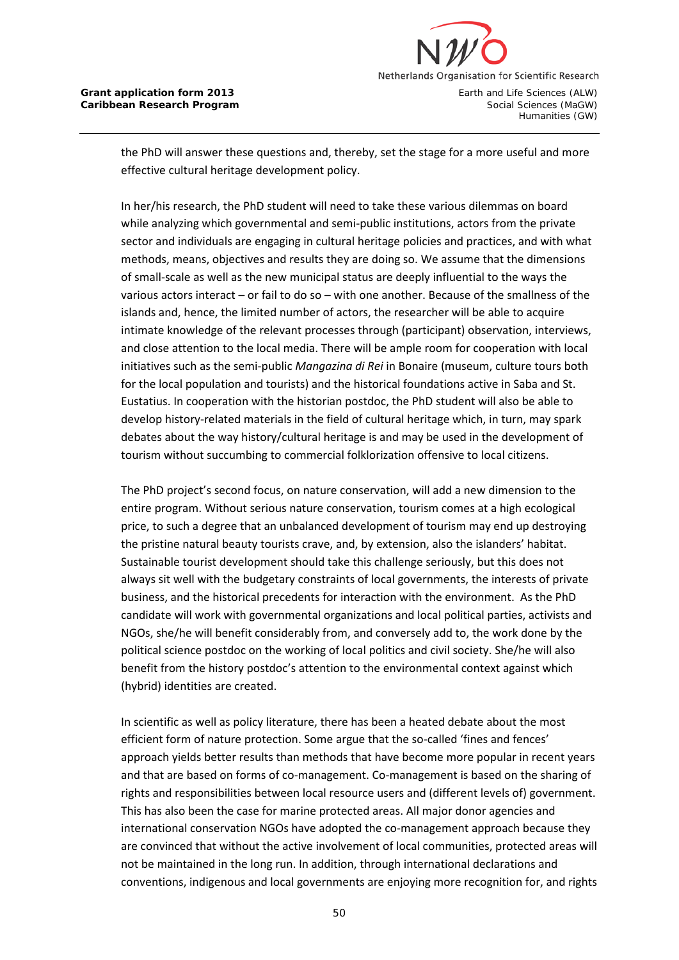

the PhD will answer these questions and, thereby, set the stage for a more useful and more effective cultural heritage development policy.

In her/his research, the PhD student will need to take these various dilemmas on board while analyzing which governmental and semi-public institutions, actors from the private sector and individuals are engaging in cultural heritage policies and practices, and with what methods, means, objectives and results they are doing so. We assume that the dimensions of small-scale as well as the new municipal status are deeply influential to the ways the various actors interact – or fail to do so – with one another. Because of the smallness of the islands and, hence, the limited number of actors, the researcher will be able to acquire intimate knowledge of the relevant processes through (participant) observation, interviews, and close attention to the local media. There will be ample room for cooperation with local initiatives such as the semi-public *Mangazina di Rei* in Bonaire (museum, culture tours both for the local population and tourists) and the historical foundations active in Saba and St. Eustatius. In cooperation with the historian postdoc, the PhD student will also be able to develop history-related materials in the field of cultural heritage which, in turn, may spark debates about the way history/cultural heritage is and may be used in the development of tourism without succumbing to commercial folklorization offensive to local citizens.

The PhD project's second focus, on nature conservation, will add a new dimension to the entire program. Without serious nature conservation, tourism comes at a high ecological price, to such a degree that an unbalanced development of tourism may end up destroying the pristine natural beauty tourists crave, and, by extension, also the islanders' habitat. Sustainable tourist development should take this challenge seriously, but this does not always sit well with the budgetary constraints of local governments, the interests of private business, and the historical precedents for interaction with the environment. As the PhD candidate will work with governmental organizations and local political parties, activists and NGOs, she/he will benefit considerably from, and conversely add to, the work done by the political science postdoc on the working of local politics and civil society. She/he will also benefit from the history postdoc's attention to the environmental context against which (hybrid) identities are created.

In scientific as well as policy literature, there has been a heated debate about the most efficient form of nature protection. Some argue that the so-called 'fines and fences' approach yields better results than methods that have become more popular in recent years and that are based on forms of co-management. Co-management is based on the sharing of rights and responsibilities between local resource users and (different levels of) government. This has also been the case for marine protected areas. All major donor agencies and international conservation NGOs have adopted the co-management approach because they are convinced that without the active involvement of local communities, protected areas will not be maintained in the long run. In addition, through international declarations and conventions, indigenous and local governments are enjoying more recognition for, and rights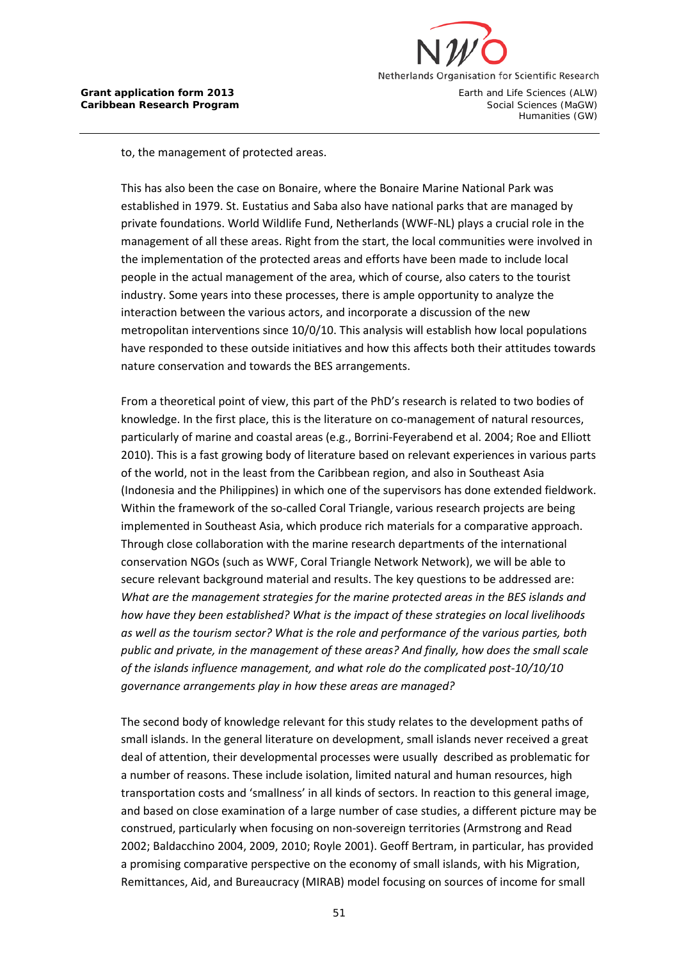

to, the management of protected areas.

This has also been the case on Bonaire, where the Bonaire Marine National Park was established in 1979. St. Eustatius and Saba also have national parks that are managed by private foundations. World Wildlife Fund, Netherlands (WWF-NL) plays a crucial role in the management of all these areas. Right from the start, the local communities were involved in the implementation of the protected areas and efforts have been made to include local people in the actual management of the area, which of course, also caters to the tourist industry. Some years into these processes, there is ample opportunity to analyze the interaction between the various actors, and incorporate a discussion of the new metropolitan interventions since 10/0/10. This analysis will establish how local populations have responded to these outside initiatives and how this affects both their attitudes towards nature conservation and towards the BES arrangements.

From a theoretical point of view, this part of the PhD's research is related to two bodies of knowledge. In the first place, this is the literature on co-management of natural resources, particularly of marine and coastal areas (e.g., Borrini-Feyerabend et al. 2004; Roe and Elliott 2010). This is a fast growing body of literature based on relevant experiences in various parts of the world, not in the least from the Caribbean region, and also in Southeast Asia (Indonesia and the Philippines) in which one of the supervisors has done extended fieldwork. Within the framework of the so-called Coral Triangle, various research projects are being implemented in Southeast Asia, which produce rich materials for a comparative approach. Through close collaboration with the marine research departments of the international conservation NGOs (such as WWF, Coral Triangle Network Network), we will be able to secure relevant background material and results. The key questions to be addressed are: *What are the management strategies for the marine protected areas in the BES islands and how have they been established? What is the impact of these strategies on local livelihoods as well as the tourism sector? What is the role and performance of the various parties, both public and private, in the management of these areas? And finally, how does the small scale of the islands influence management, and what role do the complicated post-10/10/10 governance arrangements play in how these areas are managed?*

The second body of knowledge relevant for this study relates to the development paths of small islands. In the general literature on development, small islands never received a great deal of attention, their developmental processes were usually described as problematic for a number of reasons. These include isolation, limited natural and human resources, high transportation costs and 'smallness' in all kinds of sectors. In reaction to this general image, and based on close examination of a large number of case studies, a different picture may be construed, particularly when focusing on non-sovereign territories (Armstrong and Read 2002; Baldacchino 2004, 2009, 2010; Royle 2001). Geoff Bertram, in particular, has provided a promising comparative perspective on the economy of small islands, with his Migration, Remittances, Aid, and Bureaucracy (MIRAB) model focusing on sources of income for small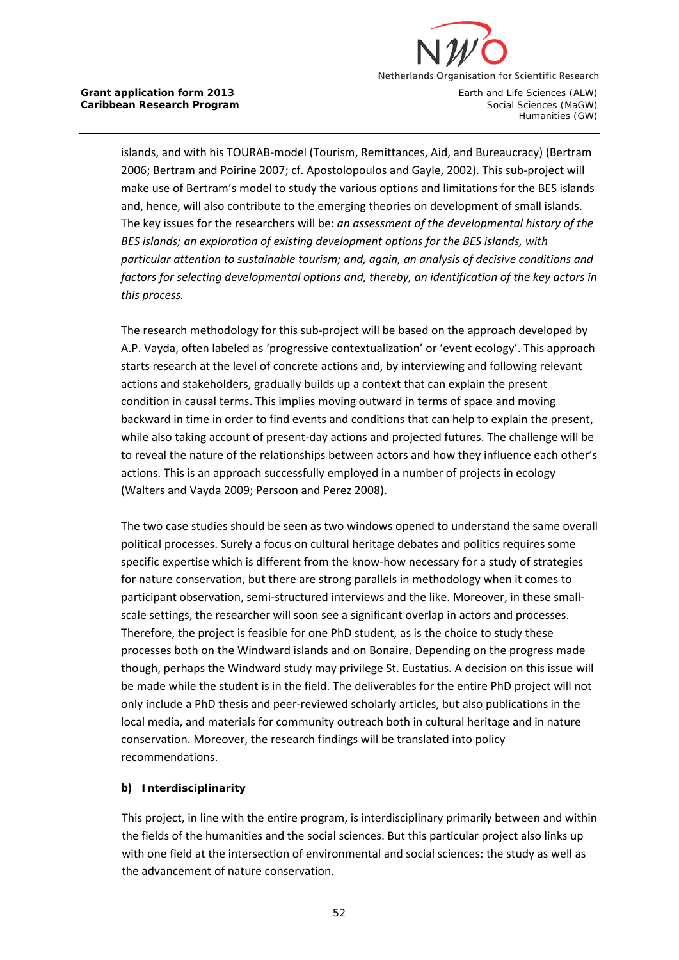

islands, and with his TOURAB-model (Tourism, Remittances, Aid, and Bureaucracy) (Bertram 2006; Bertram and Poirine 2007; cf. Apostolopoulos and Gayle, 2002). This sub-project will make use of Bertram's model to study the various options and limitations for the BES islands and, hence, will also contribute to the emerging theories on development of small islands. The key issues for the researchers will be: *an assessment of the developmental history of the BES islands; an exploration of existing development options for the BES islands, with particular attention to sustainable tourism; and, again, an analysis of decisive conditions and factors for selecting developmental options and, thereby, an identification of the key actors in this process.* 

The research methodology for this sub-project will be based on the approach developed by A.P. Vayda, often labeled as 'progressive contextualization' or 'event ecology'. This approach starts research at the level of concrete actions and, by interviewing and following relevant actions and stakeholders, gradually builds up a context that can explain the present condition in causal terms. This implies moving outward in terms of space and moving backward in time in order to find events and conditions that can help to explain the present, while also taking account of present-day actions and projected futures. The challenge will be to reveal the nature of the relationships between actors and how they influence each other's actions. This is an approach successfully employed in a number of projects in ecology (Walters and Vayda 2009; Persoon and Perez 2008).

The two case studies should be seen as two windows opened to understand the same overall political processes. Surely a focus on cultural heritage debates and politics requires some specific expertise which is different from the know-how necessary for a study of strategies for nature conservation, but there are strong parallels in methodology when it comes to participant observation, semi-structured interviews and the like. Moreover, in these smallscale settings, the researcher will soon see a significant overlap in actors and processes. Therefore, the project is feasible for one PhD student, as is the choice to study these processes both on the Windward islands and on Bonaire. Depending on the progress made though, perhaps the Windward study may privilege St. Eustatius. A decision on this issue will be made while the student is in the field. The deliverables for the entire PhD project will not only include a PhD thesis and peer-reviewed scholarly articles, but also publications in the local media, and materials for community outreach both in cultural heritage and in nature conservation. Moreover, the research findings will be translated into policy recommendations.

### **b) Interdisciplinarity**

This project, in line with the entire program, is interdisciplinary primarily between and within the fields of the humanities and the social sciences. But this particular project also links up with one field at the intersection of environmental and social sciences: the study as well as the advancement of nature conservation.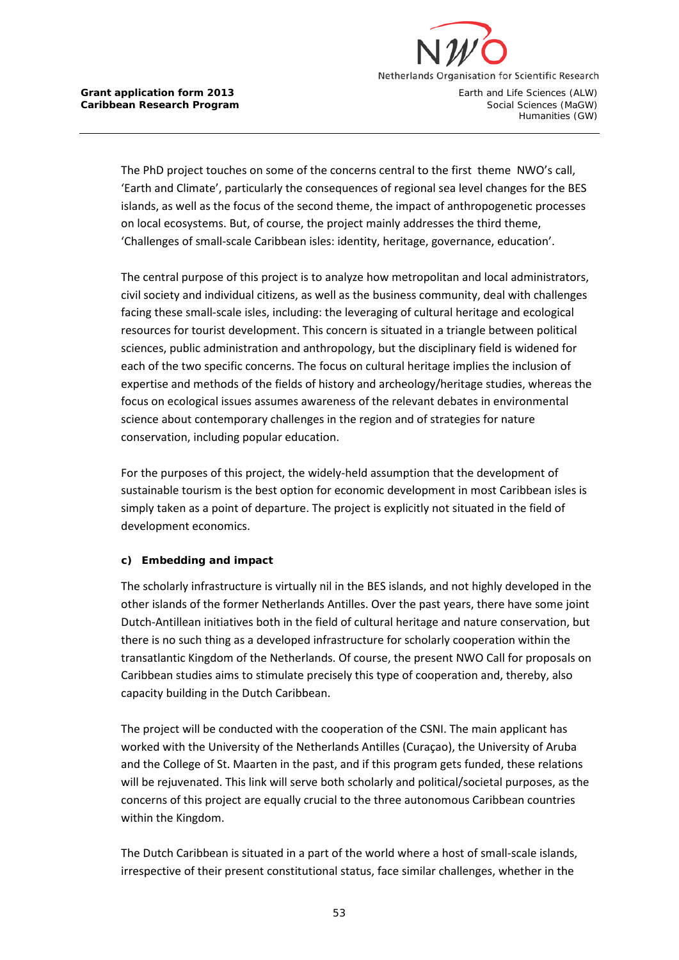

The PhD project touches on some of the concerns central to the first theme NWO's call, 'Earth and Climate', particularly the consequences of regional sea level changes for the BES islands, as well as the focus of the second theme, the impact of anthropogenetic processes on local ecosystems. But, of course, the project mainly addresses the third theme, 'Challenges of small-scale Caribbean isles: identity, heritage, governance, education'.

The central purpose of this project is to analyze how metropolitan and local administrators, civil society and individual citizens, as well as the business community, deal with challenges facing these small-scale isles, including: the leveraging of cultural heritage and ecological resources for tourist development. This concern is situated in a triangle between political sciences, public administration and anthropology, but the disciplinary field is widened for each of the two specific concerns. The focus on cultural heritage implies the inclusion of expertise and methods of the fields of history and archeology/heritage studies, whereas the focus on ecological issues assumes awareness of the relevant debates in environmental science about contemporary challenges in the region and of strategies for nature conservation, including popular education.

For the purposes of this project, the widely-held assumption that the development of sustainable tourism is the best option for economic development in most Caribbean isles is simply taken as a point of departure. The project is explicitly not situated in the field of development economics.

# **c) Embedding and impact**

The scholarly infrastructure is virtually nil in the BES islands, and not highly developed in the other islands of the former Netherlands Antilles. Over the past years, there have some joint Dutch-Antillean initiatives both in the field of cultural heritage and nature conservation, but there is no such thing as a developed infrastructure for scholarly cooperation within the transatlantic Kingdom of the Netherlands. Of course, the present NWO Call for proposals on Caribbean studies aims to stimulate precisely this type of cooperation and, thereby, also capacity building in the Dutch Caribbean.

The project will be conducted with the cooperation of the CSNI. The main applicant has worked with the University of the Netherlands Antilles (Curaçao), the University of Aruba and the College of St. Maarten in the past, and if this program gets funded, these relations will be rejuvenated. This link will serve both scholarly and political/societal purposes, as the concerns of this project are equally crucial to the three autonomous Caribbean countries within the Kingdom.

The Dutch Caribbean is situated in a part of the world where a host of small-scale islands, irrespective of their present constitutional status, face similar challenges, whether in the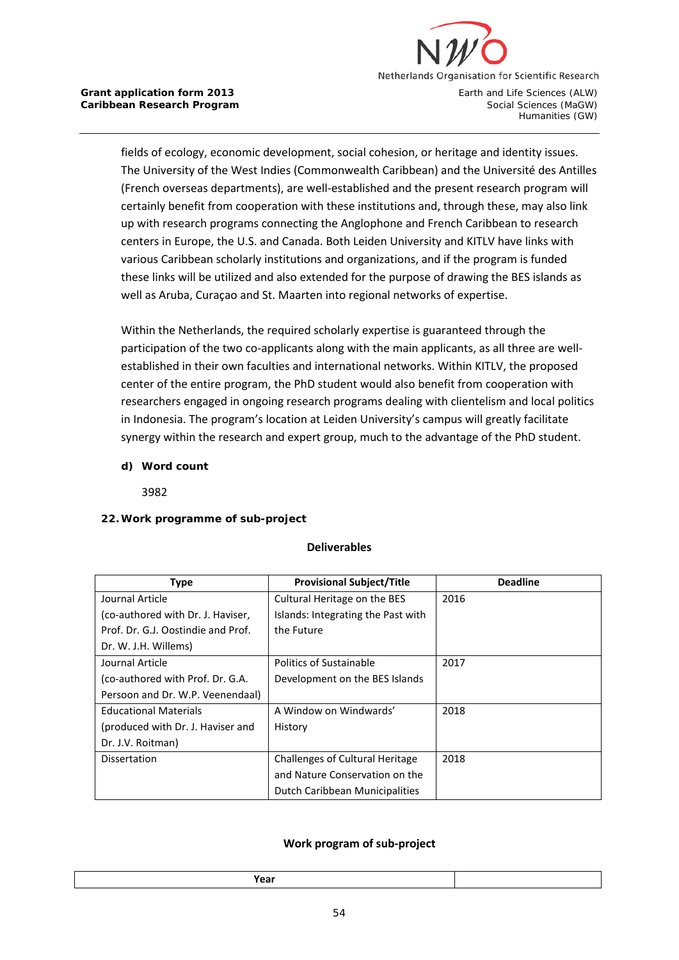

fields of ecology, economic development, social cohesion, or heritage and identity issues. The University of the West Indies (Commonwealth Caribbean) and the Université des Antilles (French overseas departments), are well-established and the present research program will certainly benefit from cooperation with these institutions and, through these, may also link up with research programs connecting the Anglophone and French Caribbean to research centers in Europe, the U.S. and Canada. Both Leiden University and KITLV have links with various Caribbean scholarly institutions and organizations, and if the program is funded these links will be utilized and also extended for the purpose of drawing the BES islands as well as Aruba, Curaçao and St. Maarten into regional networks of expertise.

Within the Netherlands, the required scholarly expertise is guaranteed through the participation of the two co-applicants along with the main applicants, as all three are wellestablished in their own faculties and international networks. Within KITLV, the proposed center of the entire program, the PhD student would also benefit from cooperation with researchers engaged in ongoing research programs dealing with clientelism and local politics in Indonesia. The program's location at Leiden University's campus will greatly facilitate synergy within the research and expert group, much to the advantage of the PhD student.

**d) Word count**

3982

# **22.Work programme of sub-project**

### **Deliverables**

| <b>Type</b>                        | <b>Provisional Subject/Title</b>       | <b>Deadline</b> |
|------------------------------------|----------------------------------------|-----------------|
| Journal Article                    | Cultural Heritage on the BES           | 2016            |
| (co-authored with Dr. J. Haviser,  | Islands: Integrating the Past with     |                 |
| Prof. Dr. G.J. Oostindie and Prof. | the Future                             |                 |
| Dr. W. J.H. Willems)               |                                        |                 |
| Journal Article                    | Politics of Sustainable                | 2017            |
| (co-authored with Prof. Dr. G.A.   | Development on the BES Islands         |                 |
| Persoon and Dr. W.P. Veenendaal)   |                                        |                 |
| <b>Educational Materials</b>       | A Window on Windwards'                 | 2018            |
| (produced with Dr. J. Haviser and  | History                                |                 |
| Dr. J.V. Roitman)                  |                                        |                 |
| <b>Dissertation</b>                | <b>Challenges of Cultural Heritage</b> | 2018            |
|                                    | and Nature Conservation on the         |                 |
|                                    | Dutch Caribbean Municipalities         |                 |

### **Work program of sub-project**

**Year**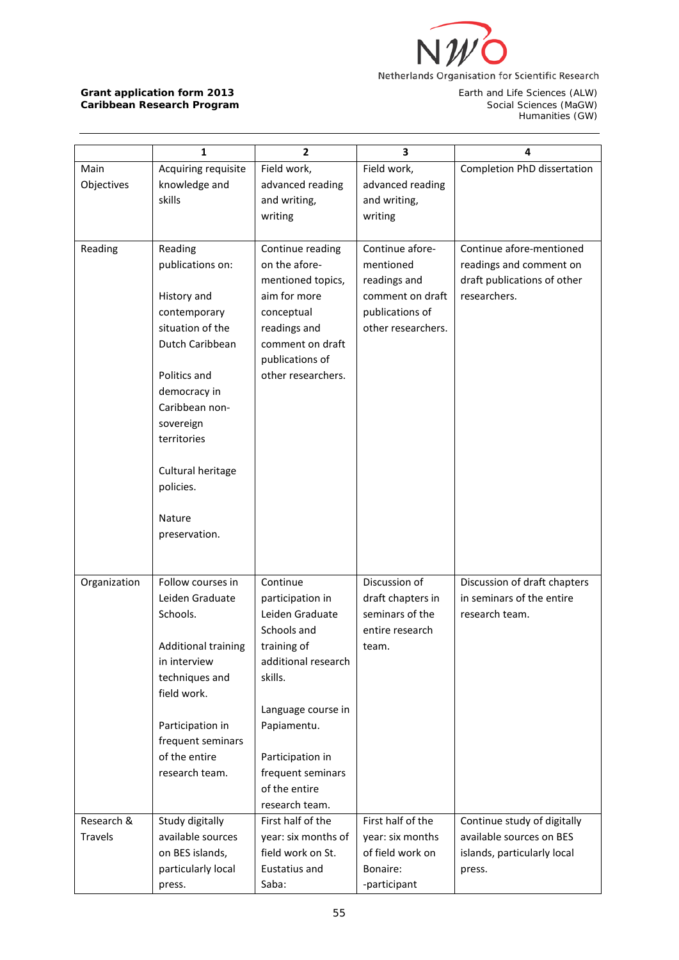

Earth and Life Sciences (ALW)<br>Social Sciences (MaGW)<br>Humanities (GW)

|              | 1                          | 2                   | 3                  | 4                            |
|--------------|----------------------------|---------------------|--------------------|------------------------------|
| Main         | Acquiring requisite        | Field work,         | Field work,        | Completion PhD dissertation  |
| Objectives   | knowledge and              | advanced reading    | advanced reading   |                              |
|              | skills                     | and writing,        | and writing,       |                              |
|              |                            | writing             | writing            |                              |
|              |                            |                     |                    |                              |
| Reading      | Reading                    | Continue reading    | Continue afore-    | Continue afore-mentioned     |
|              | publications on:           | on the afore-       | mentioned          | readings and comment on      |
|              |                            | mentioned topics,   | readings and       | draft publications of other  |
|              | History and                | aim for more        | comment on draft   | researchers.                 |
|              | contemporary               | conceptual          | publications of    |                              |
|              | situation of the           | readings and        | other researchers. |                              |
|              | Dutch Caribbean            | comment on draft    |                    |                              |
|              |                            | publications of     |                    |                              |
|              | Politics and               | other researchers.  |                    |                              |
|              | democracy in               |                     |                    |                              |
|              | Caribbean non-             |                     |                    |                              |
|              | sovereign                  |                     |                    |                              |
|              | territories                |                     |                    |                              |
|              |                            |                     |                    |                              |
|              | Cultural heritage          |                     |                    |                              |
|              | policies.                  |                     |                    |                              |
|              | Nature                     |                     |                    |                              |
|              | preservation.              |                     |                    |                              |
|              |                            |                     |                    |                              |
|              |                            |                     |                    |                              |
| Organization | Follow courses in          | Continue            | Discussion of      | Discussion of draft chapters |
|              | Leiden Graduate            | participation in    | draft chapters in  | in seminars of the entire    |
|              | Schools.                   | Leiden Graduate     | seminars of the    | research team.               |
|              |                            | Schools and         | entire research    |                              |
|              | <b>Additional training</b> | training of         | team.              |                              |
|              | in interview               | additional research |                    |                              |
|              | techniques and             | skills.             |                    |                              |
|              | field work.                |                     |                    |                              |
|              |                            | Language course in  |                    |                              |
|              | Participation in           | Papiamentu.         |                    |                              |
|              | frequent seminars          |                     |                    |                              |
|              | of the entire              | Participation in    |                    |                              |
|              | research team.             | frequent seminars   |                    |                              |
|              |                            | of the entire       |                    |                              |
|              |                            | research team.      |                    |                              |
| Research &   | Study digitally            | First half of the   | First half of the  | Continue study of digitally  |
| Travels      | available sources          | year: six months of | year: six months   | available sources on BES     |
|              | on BES islands,            | field work on St.   | of field work on   | islands, particularly local  |
|              | particularly local         | Eustatius and       | Bonaire:           | press.                       |
|              | press.                     | Saba:               | -participant       |                              |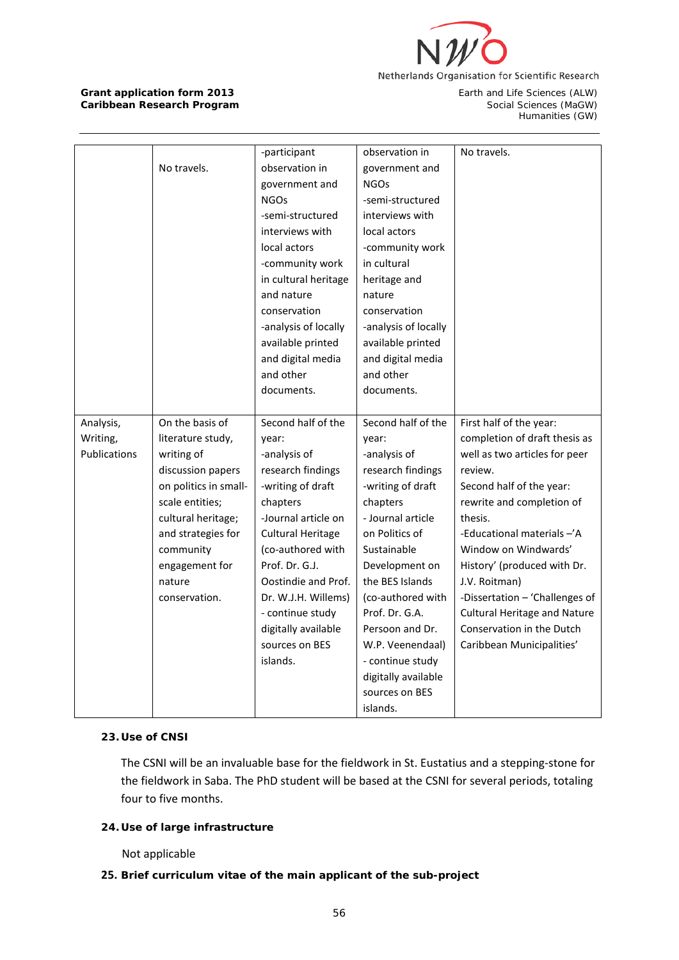

Humanities (GW)

|              |                       | -participant             | observation in       | No travels.                         |
|--------------|-----------------------|--------------------------|----------------------|-------------------------------------|
|              | No travels.           | observation in           | government and       |                                     |
|              |                       | government and           | <b>NGOs</b>          |                                     |
|              |                       | <b>NGOs</b>              | -semi-structured     |                                     |
|              |                       | -semi-structured         | interviews with      |                                     |
|              |                       |                          |                      |                                     |
|              |                       | interviews with          | local actors         |                                     |
|              |                       | local actors             | -community work      |                                     |
|              |                       | -community work          | in cultural          |                                     |
|              |                       | in cultural heritage     | heritage and         |                                     |
|              |                       | and nature               | nature               |                                     |
|              |                       | conservation             | conservation         |                                     |
|              |                       | -analysis of locally     | -analysis of locally |                                     |
|              |                       | available printed        | available printed    |                                     |
|              |                       | and digital media        | and digital media    |                                     |
|              |                       | and other                | and other            |                                     |
|              |                       | documents.               | documents.           |                                     |
|              |                       |                          |                      |                                     |
| Analysis,    | On the basis of       | Second half of the       | Second half of the   | First half of the year:             |
| Writing,     | literature study,     | year:                    | year:                | completion of draft thesis as       |
| Publications | writing of            | -analysis of             | -analysis of         | well as two articles for peer       |
|              | discussion papers     | research findings        | research findings    | review.                             |
|              | on politics in small- | -writing of draft        | -writing of draft    | Second half of the year:            |
|              | scale entities;       | chapters                 | chapters             | rewrite and completion of           |
|              | cultural heritage;    | -Journal article on      | - Journal article    | thesis.                             |
|              | and strategies for    | <b>Cultural Heritage</b> | on Politics of       | -Educational materials -'A          |
|              | community             | (co-authored with        | Sustainable          | Window on Windwards'                |
|              | engagement for        | Prof. Dr. G.J.           | Development on       | History' (produced with Dr.         |
|              | nature                | Oostindie and Prof.      | the BES Islands      | J.V. Roitman)                       |
|              | conservation.         | Dr. W.J.H. Willems)      | (co-authored with    | -Dissertation - 'Challenges of      |
|              |                       | - continue study         | Prof. Dr. G.A.       | <b>Cultural Heritage and Nature</b> |
|              |                       | digitally available      | Persoon and Dr.      | Conservation in the Dutch           |
|              |                       | sources on BES           | W.P. Veenendaal)     | Caribbean Municipalities'           |
|              |                       | islands.                 | - continue study     |                                     |
|              |                       |                          | digitally available  |                                     |
|              |                       |                          | sources on BES       |                                     |
|              |                       |                          | islands.             |                                     |

# **23. Use of CNSI**

The CSNI will be an invaluable base for the fieldwork in St. Eustatius and a stepping-stone for the fieldwork in Saba. The PhD student will be based at the CSNI for several periods, totaling four to five months.

# **24. Use of large infrastructure**

Not applicable

### **25. Brief curriculum vitae of the main applicant of the sub-project**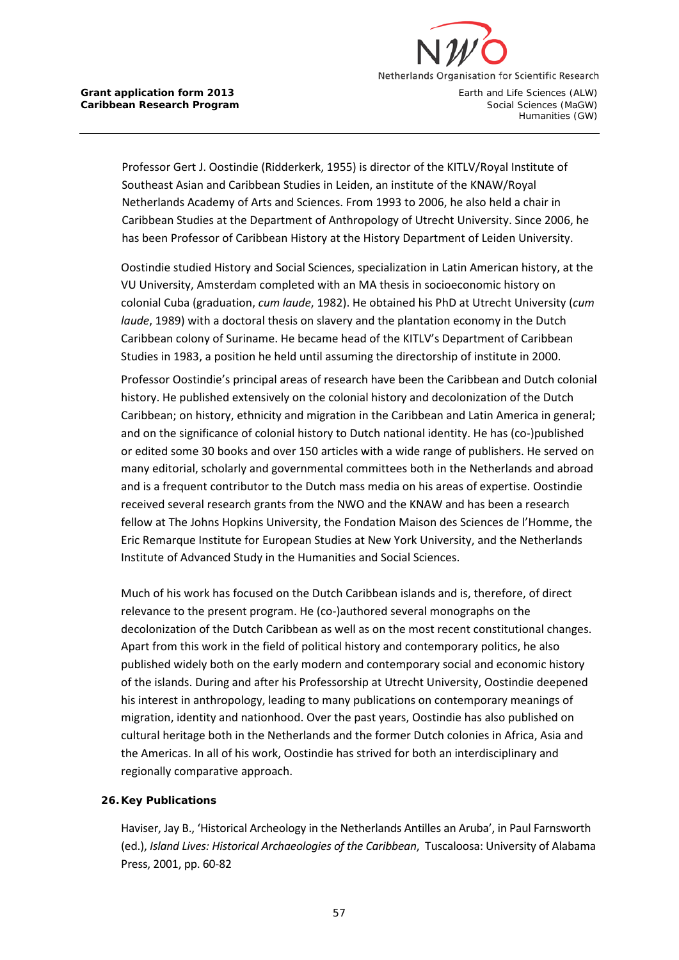

Professor Gert J. Oostindie (Ridderkerk, 1955) is director of the KITLV/Royal Institute of Southeast Asian and Caribbean Studies in Leiden, an institute of the KNAW/Royal Netherlands Academy of Arts and Sciences. From 1993 to 2006, he also held a chair in Caribbean Studies at the Department of Anthropology of Utrecht University. Since 2006, he has been Professor of Caribbean History at the History Department of Leiden University.

Oostindie studied History and Social Sciences, specialization in Latin American history, at the VU University, Amsterdam completed with an MA thesis in socioeconomic history on colonial Cuba (graduation, *cum laude*, 1982). He obtained his PhD at Utrecht University (*cum laude*, 1989) with a doctoral thesis on slavery and the plantation economy in the Dutch Caribbean colony of Suriname. He became head of the KITLV's Department of Caribbean Studies in 1983, a position he held until assuming the directorship of institute in 2000.

Professor Oostindie's principal areas of research have been the Caribbean and Dutch colonial history. He published extensively on the colonial history and decolonization of the Dutch Caribbean; on history, ethnicity and migration in the Caribbean and Latin America in general; and on the significance of colonial history to Dutch national identity. He has (co-)published or edited some 30 books and over 150 articles with a wide range of publishers. He served on many editorial, scholarly and governmental committees both in the Netherlands and abroad and is a frequent contributor to the Dutch mass media on his areas of expertise. Oostindie received several research grants from the NWO and the KNAW and has been a research fellow at The Johns Hopkins University, the Fondation Maison des Sciences de l'Homme, the Eric Remarque Institute for European Studies at New York University, and the Netherlands Institute of Advanced Study in the Humanities and Social Sciences.

Much of his work has focused on the Dutch Caribbean islands and is, therefore, of direct relevance to the present program. He (co-)authored several monographs on the decolonization of the Dutch Caribbean as well as on the most recent constitutional changes. Apart from this work in the field of political history and contemporary politics, he also published widely both on the early modern and contemporary social and economic history of the islands. During and after his Professorship at Utrecht University, Oostindie deepened his interest in anthropology, leading to many publications on contemporary meanings of migration, identity and nationhood. Over the past years, Oostindie has also published on cultural heritage both in the Netherlands and the former Dutch colonies in Africa, Asia and the Americas. In all of his work, Oostindie has strived for both an interdisciplinary and regionally comparative approach.

### **26. Key Publications**

Haviser, Jay B., 'Historical Archeology in the Netherlands Antilles an Aruba', in Paul Farnsworth (ed.), *Island Lives: Historical Archaeologies of the Caribbean*, Tuscaloosa: University of Alabama Press, 2001, pp. 60-82